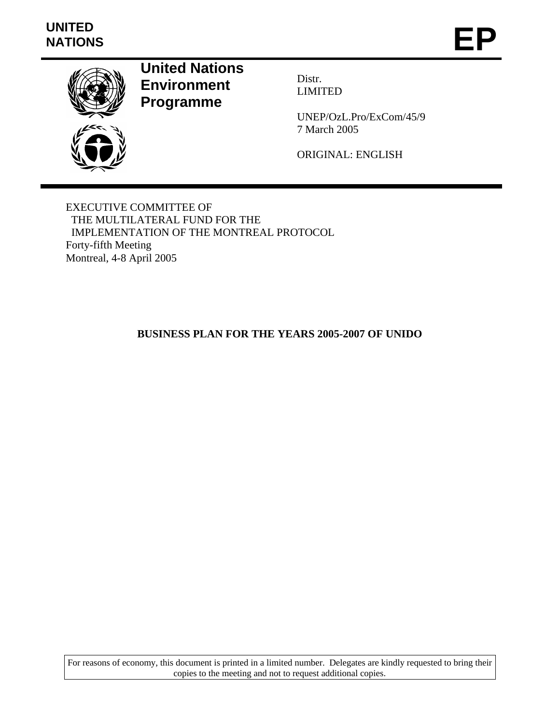# **UNITED**  UNITED<br>NATIONS **EP**



**United Nations Environment Programme** 

Distr. LIMITED

UNEP/OzL.Pro/ExCom/45/9 7 March 2005

ORIGINAL: ENGLISH

EXECUTIVE COMMITTEE OF THE MULTILATERAL FUND FOR THE IMPLEMENTATION OF THE MONTREAL PROTOCOL Forty-fifth Meeting Montreal, 4-8 April 2005

# **BUSINESS PLAN FOR THE YEARS 2005-2007 OF UNIDO**

For reasons of economy, this document is printed in a limited number. Delegates are kindly requested to bring their copies to the meeting and not to request additional copies.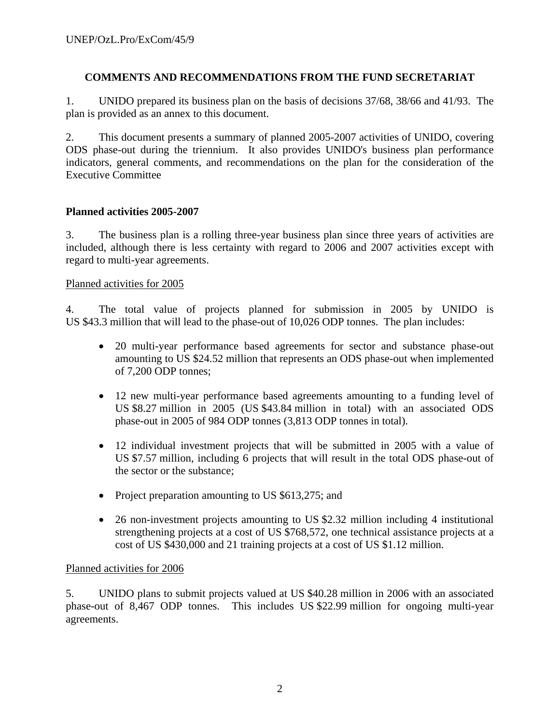# **COMMENTS AND RECOMMENDATIONS FROM THE FUND SECRETARIAT**

1. UNIDO prepared its business plan on the basis of decisions 37/68, 38/66 and 41/93. The plan is provided as an annex to this document.

2. This document presents a summary of planned 2005-2007 activities of UNIDO, covering ODS phase-out during the triennium. It also provides UNIDO's business plan performance indicators, general comments, and recommendations on the plan for the consideration of the Executive Committee

# **Planned activities 2005-2007**

3. The business plan is a rolling three-year business plan since three years of activities are included, although there is less certainty with regard to 2006 and 2007 activities except with regard to multi-year agreements.

# Planned activities for 2005

4. The total value of projects planned for submission in 2005 by UNIDO is US \$43.3 million that will lead to the phase-out of 10,026 ODP tonnes. The plan includes:

- 20 multi-year performance based agreements for sector and substance phase-out amounting to US \$24.52 million that represents an ODS phase-out when implemented of 7,200 ODP tonnes;
- 12 new multi-year performance based agreements amounting to a funding level of US \$8.27 million in 2005 (US \$43.84 million in total) with an associated ODS phase-out in 2005 of 984 ODP tonnes (3,813 ODP tonnes in total).
- 12 individual investment projects that will be submitted in 2005 with a value of US \$7.57 million, including 6 projects that will result in the total ODS phase-out of the sector or the substance;
- Project preparation amounting to US \$613,275; and
- 26 non-investment projects amounting to US \$2.32 million including 4 institutional strengthening projects at a cost of US \$768,572, one technical assistance projects at a cost of US \$430,000 and 21 training projects at a cost of US \$1.12 million.

# Planned activities for 2006

5. UNIDO plans to submit projects valued at US \$40.28 million in 2006 with an associated phase-out of 8,467 ODP tonnes. This includes US \$22.99 million for ongoing multi-year agreements.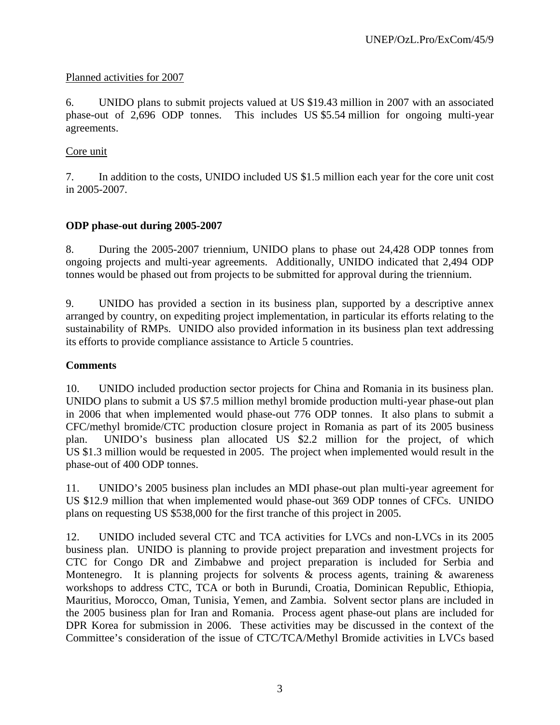# Planned activities for 2007

6. UNIDO plans to submit projects valued at US \$19.43 million in 2007 with an associated phase-out of 2,696 ODP tonnes. This includes US \$5.54 million for ongoing multi-year agreements.

# Core unit

7. In addition to the costs, UNIDO included US \$1.5 million each year for the core unit cost in 2005-2007.

# **ODP phase-out during 2005-2007**

8. During the 2005-2007 triennium, UNIDO plans to phase out 24,428 ODP tonnes from ongoing projects and multi-year agreements. Additionally, UNIDO indicated that 2,494 ODP tonnes would be phased out from projects to be submitted for approval during the triennium.

9. UNIDO has provided a section in its business plan, supported by a descriptive annex arranged by country, on expediting project implementation, in particular its efforts relating to the sustainability of RMPs. UNIDO also provided information in its business plan text addressing its efforts to provide compliance assistance to Article 5 countries.

#### **Comments**

10. UNIDO included production sector projects for China and Romania in its business plan. UNIDO plans to submit a US \$7.5 million methyl bromide production multi-year phase-out plan in 2006 that when implemented would phase-out 776 ODP tonnes. It also plans to submit a CFC/methyl bromide/CTC production closure project in Romania as part of its 2005 business plan. UNIDO's business plan allocated US \$2.2 million for the project, of which US \$1.3 million would be requested in 2005. The project when implemented would result in the phase-out of 400 ODP tonnes.

11. UNIDO's 2005 business plan includes an MDI phase-out plan multi-year agreement for US \$12.9 million that when implemented would phase-out 369 ODP tonnes of CFCs. UNIDO plans on requesting US \$538,000 for the first tranche of this project in 2005.

12. UNIDO included several CTC and TCA activities for LVCs and non-LVCs in its 2005 business plan. UNIDO is planning to provide project preparation and investment projects for CTC for Congo DR and Zimbabwe and project preparation is included for Serbia and Montenegro. It is planning projects for solvents  $\&$  process agents, training  $\&$  awareness workshops to address CTC, TCA or both in Burundi, Croatia, Dominican Republic, Ethiopia, Mauritius, Morocco, Oman, Tunisia, Yemen, and Zambia. Solvent sector plans are included in the 2005 business plan for Iran and Romania. Process agent phase-out plans are included for DPR Korea for submission in 2006. These activities may be discussed in the context of the Committee's consideration of the issue of CTC/TCA/Methyl Bromide activities in LVCs based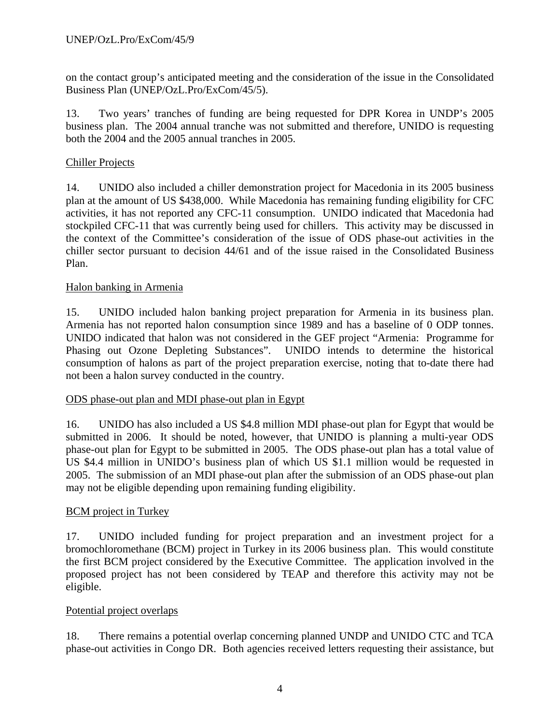on the contact group's anticipated meeting and the consideration of the issue in the Consolidated Business Plan (UNEP/OzL.Pro/ExCom/45/5).

13. Two years' tranches of funding are being requested for DPR Korea in UNDP's 2005 business plan. The 2004 annual tranche was not submitted and therefore, UNIDO is requesting both the 2004 and the 2005 annual tranches in 2005.

# Chiller Projects

14. UNIDO also included a chiller demonstration project for Macedonia in its 2005 business plan at the amount of US \$438,000. While Macedonia has remaining funding eligibility for CFC activities, it has not reported any CFC-11 consumption. UNIDO indicated that Macedonia had stockpiled CFC-11 that was currently being used for chillers. This activity may be discussed in the context of the Committee's consideration of the issue of ODS phase-out activities in the chiller sector pursuant to decision 44/61 and of the issue raised in the Consolidated Business Plan.

# Halon banking in Armenia

15. UNIDO included halon banking project preparation for Armenia in its business plan. Armenia has not reported halon consumption since 1989 and has a baseline of 0 ODP tonnes. UNIDO indicated that halon was not considered in the GEF project "Armenia: Programme for Phasing out Ozone Depleting Substances". UNIDO intends to determine the historical consumption of halons as part of the project preparation exercise, noting that to-date there had not been a halon survey conducted in the country.

#### ODS phase-out plan and MDI phase-out plan in Egypt

16. UNIDO has also included a US \$4.8 million MDI phase-out plan for Egypt that would be submitted in 2006. It should be noted, however, that UNIDO is planning a multi-year ODS phase-out plan for Egypt to be submitted in 2005. The ODS phase-out plan has a total value of US \$4.4 million in UNIDO's business plan of which US \$1.1 million would be requested in 2005. The submission of an MDI phase-out plan after the submission of an ODS phase-out plan may not be eligible depending upon remaining funding eligibility.

# BCM project in Turkey

17. UNIDO included funding for project preparation and an investment project for a bromochloromethane (BCM) project in Turkey in its 2006 business plan. This would constitute the first BCM project considered by the Executive Committee. The application involved in the proposed project has not been considered by TEAP and therefore this activity may not be eligible.

#### Potential project overlaps

18. There remains a potential overlap concerning planned UNDP and UNIDO CTC and TCA phase-out activities in Congo DR. Both agencies received letters requesting their assistance, but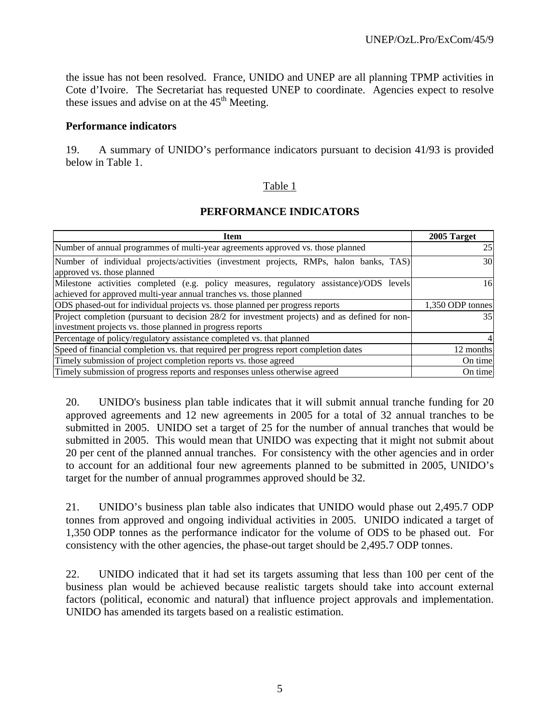the issue has not been resolved. France, UNIDO and UNEP are all planning TPMP activities in Cote d'Ivoire. The Secretariat has requested UNEP to coordinate. Agencies expect to resolve these issues and advise on at the  $45<sup>th</sup>$  Meeting.

#### **Performance indicators**

19. A summary of UNIDO's performance indicators pursuant to decision 41/93 is provided below in Table 1.

# Table 1

# **PERFORMANCE INDICATORS**

| <b>Item</b>                                                                                                          | 2005 Target      |
|----------------------------------------------------------------------------------------------------------------------|------------------|
| Number of annual programmes of multi-year agreements approved vs. those planned                                      | 25               |
| Number of individual projects/activities (investment projects, RMPs, halon banks, TAS)<br>approved vs. those planned | 30               |
| Milestone activities completed (e.g. policy measures, regulatory assistance)/ODS levels                              | 16               |
| achieved for approved multi-year annual tranches vs. those planned                                                   |                  |
| ODS phased-out for individual projects vs. those planned per progress reports                                        | 1,350 ODP tonnes |
| Project completion (pursuant to decision 28/2 for investment projects) and as defined for non-                       | 35 I             |
| investment projects vs. those planned in progress reports                                                            |                  |
| Percentage of policy/regulatory assistance completed vs. that planned                                                |                  |
| Speed of financial completion vs. that required per progress report completion dates                                 | 12 months        |
| Timely submission of project completion reports vs. those agreed                                                     | On time          |
| Timely submission of progress reports and responses unless otherwise agreed                                          | On time          |

20. UNIDO's business plan table indicates that it will submit annual tranche funding for 20 approved agreements and 12 new agreements in 2005 for a total of 32 annual tranches to be submitted in 2005. UNIDO set a target of 25 for the number of annual tranches that would be submitted in 2005. This would mean that UNIDO was expecting that it might not submit about 20 per cent of the planned annual tranches. For consistency with the other agencies and in order to account for an additional four new agreements planned to be submitted in 2005, UNIDO's target for the number of annual programmes approved should be 32.

21. UNIDO's business plan table also indicates that UNIDO would phase out 2,495.7 ODP tonnes from approved and ongoing individual activities in 2005. UNIDO indicated a target of 1,350 ODP tonnes as the performance indicator for the volume of ODS to be phased out. For consistency with the other agencies, the phase-out target should be 2,495.7 ODP tonnes.

22. UNIDO indicated that it had set its targets assuming that less than 100 per cent of the business plan would be achieved because realistic targets should take into account external factors (political, economic and natural) that influence project approvals and implementation. UNIDO has amended its targets based on a realistic estimation.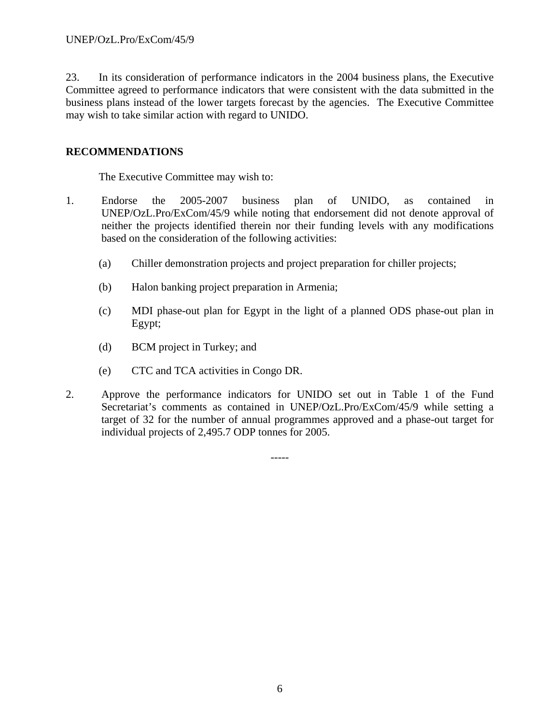23. In its consideration of performance indicators in the 2004 business plans, the Executive Committee agreed to performance indicators that were consistent with the data submitted in the business plans instead of the lower targets forecast by the agencies. The Executive Committee may wish to take similar action with regard to UNIDO.

# **RECOMMENDATIONS**

The Executive Committee may wish to:

- 1. Endorse the 2005-2007 business plan of UNIDO, as contained in UNEP/OzL.Pro/ExCom/45/9 while noting that endorsement did not denote approval of neither the projects identified therein nor their funding levels with any modifications based on the consideration of the following activities:
	- (a) Chiller demonstration projects and project preparation for chiller projects;
	- (b) Halon banking project preparation in Armenia;
	- (c) MDI phase-out plan for Egypt in the light of a planned ODS phase-out plan in Egypt;
	- (d) BCM project in Turkey; and
	- (e) CTC and TCA activities in Congo DR.
- 2. Approve the performance indicators for UNIDO set out in Table 1 of the Fund Secretariat's comments as contained in UNEP/OzL.Pro/ExCom/45/9 while setting a target of 32 for the number of annual programmes approved and a phase-out target for individual projects of 2,495.7 ODP tonnes for 2005.

-----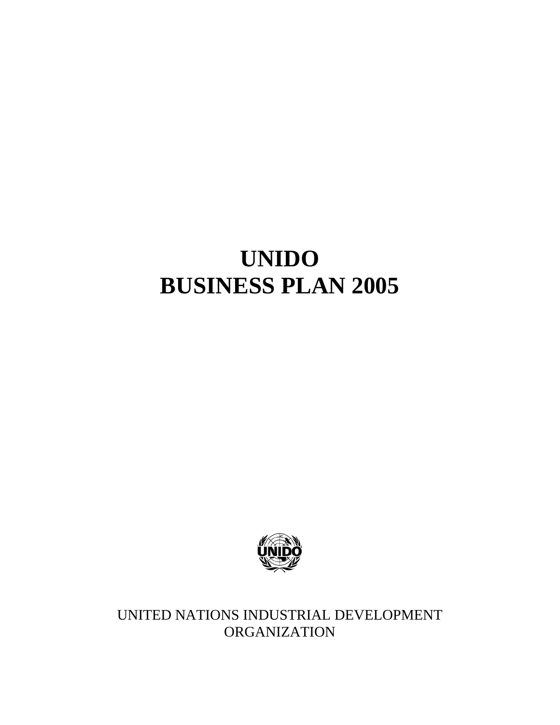# **UNIDO BUSINESS PLAN 2005**



UNITED NATIONS INDUSTRIAL DEVELOPMENT **ORGANIZATION**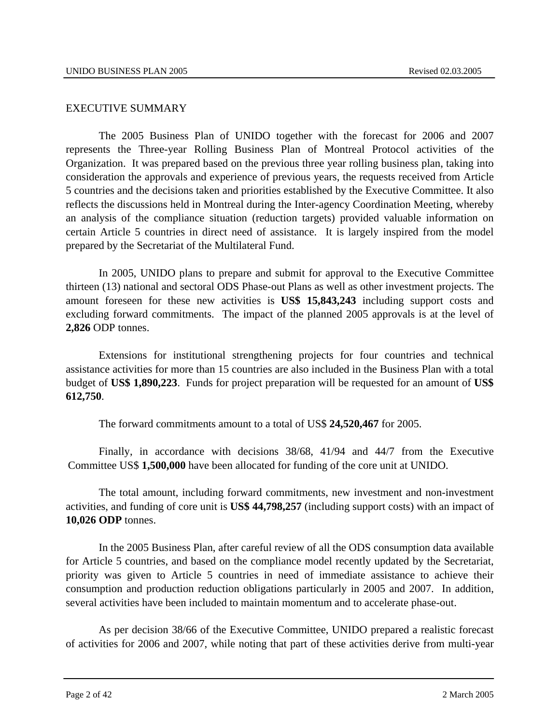#### EXECUTIVE SUMMARY

The 2005 Business Plan of UNIDO together with the forecast for 2006 and 2007 represents the Three-year Rolling Business Plan of Montreal Protocol activities of the Organization. It was prepared based on the previous three year rolling business plan, taking into consideration the approvals and experience of previous years, the requests received from Article 5 countries and the decisions taken and priorities established by the Executive Committee. It also reflects the discussions held in Montreal during the Inter-agency Coordination Meeting, whereby an analysis of the compliance situation (reduction targets) provided valuable information on certain Article 5 countries in direct need of assistance. It is largely inspired from the model prepared by the Secretariat of the Multilateral Fund.

In 2005, UNIDO plans to prepare and submit for approval to the Executive Committee thirteen (13) national and sectoral ODS Phase-out Plans as well as other investment projects. The amount foreseen for these new activities is **US\$ 15,843,243** including support costs and excluding forward commitments. The impact of the planned 2005 approvals is at the level of **2,826** ODP tonnes.

Extensions for institutional strengthening projects for four countries and technical assistance activities for more than 15 countries are also included in the Business Plan with a total budget of **US\$ 1,890,223**. Funds for project preparation will be requested for an amount of **US\$ 612,750**.

The forward commitments amount to a total of US\$ **24,520,467** for 2005.

Finally, in accordance with decisions 38/68, 41/94 and 44/7 from the Executive Committee US\$ **1,500,000** have been allocated for funding of the core unit at UNIDO.

The total amount, including forward commitments, new investment and non-investment activities, and funding of core unit is **US\$ 44,798,257** (including support costs) with an impact of **10,026 ODP** tonnes.

 In the 2005 Business Plan, after careful review of all the ODS consumption data available for Article 5 countries, and based on the compliance model recently updated by the Secretariat, priority was given to Article 5 countries in need of immediate assistance to achieve their consumption and production reduction obligations particularly in 2005 and 2007. In addition, several activities have been included to maintain momentum and to accelerate phase-out.

 As per decision 38/66 of the Executive Committee, UNIDO prepared a realistic forecast of activities for 2006 and 2007, while noting that part of these activities derive from multi-year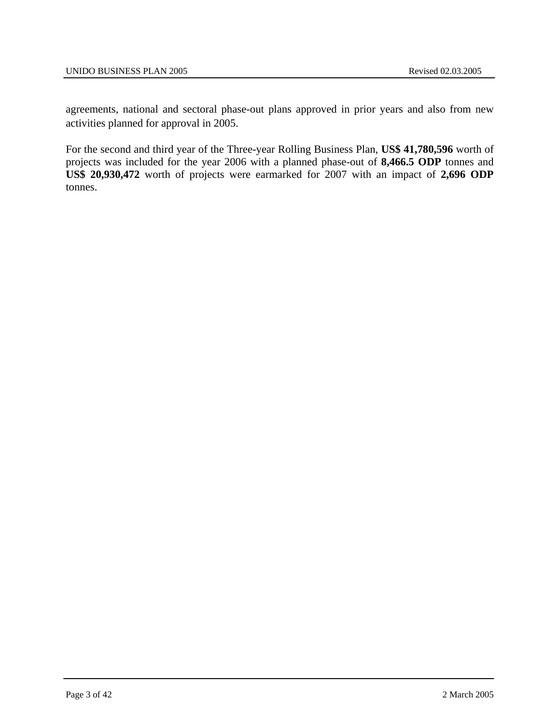agreements, national and sectoral phase-out plans approved in prior years and also from new activities planned for approval in 2005.

For the second and third year of the Three-year Rolling Business Plan, **US\$ 41,780,596** worth of projects was included for the year 2006 with a planned phase-out of **8,466.5 ODP** tonnes and **US\$ 20,930,472** worth of projects were earmarked for 2007 with an impact of **2,696 ODP** tonnes.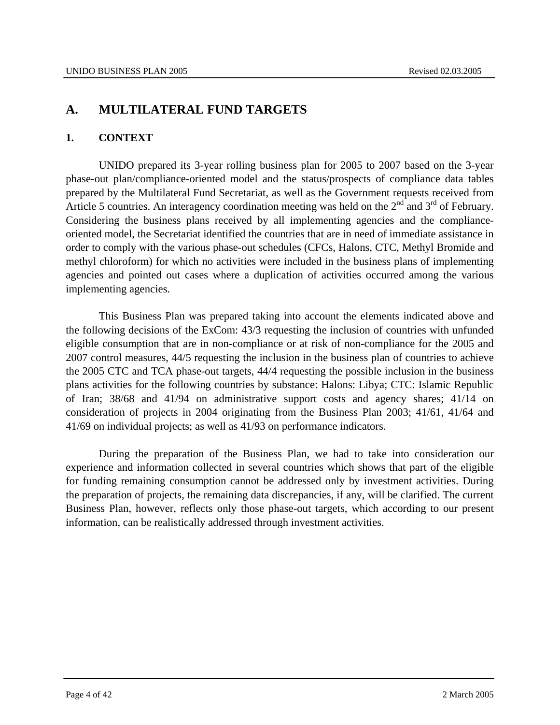# **A. MULTILATERAL FUND TARGETS**

# **1. CONTEXT**

UNIDO prepared its 3-year rolling business plan for 2005 to 2007 based on the 3-year phase-out plan/compliance-oriented model and the status/prospects of compliance data tables prepared by the Multilateral Fund Secretariat, as well as the Government requests received from Article 5 countries. An interagency coordination meeting was held on the  $2<sup>nd</sup>$  and  $3<sup>rd</sup>$  of February. Considering the business plans received by all implementing agencies and the complianceoriented model, the Secretariat identified the countries that are in need of immediate assistance in order to comply with the various phase-out schedules (CFCs, Halons, CTC, Methyl Bromide and methyl chloroform) for which no activities were included in the business plans of implementing agencies and pointed out cases where a duplication of activities occurred among the various implementing agencies.

This Business Plan was prepared taking into account the elements indicated above and the following decisions of the ExCom: 43/3 requesting the inclusion of countries with unfunded eligible consumption that are in non-compliance or at risk of non-compliance for the 2005 and 2007 control measures, 44/5 requesting the inclusion in the business plan of countries to achieve the 2005 CTC and TCA phase-out targets, 44/4 requesting the possible inclusion in the business plans activities for the following countries by substance: Halons: Libya; CTC: Islamic Republic of Iran; 38/68 and 41/94 on administrative support costs and agency shares; 41/14 on consideration of projects in 2004 originating from the Business Plan 2003; 41/61, 41/64 and 41/69 on individual projects; as well as 41/93 on performance indicators.

During the preparation of the Business Plan, we had to take into consideration our experience and information collected in several countries which shows that part of the eligible for funding remaining consumption cannot be addressed only by investment activities. During the preparation of projects, the remaining data discrepancies, if any, will be clarified. The current Business Plan, however, reflects only those phase-out targets, which according to our present information, can be realistically addressed through investment activities.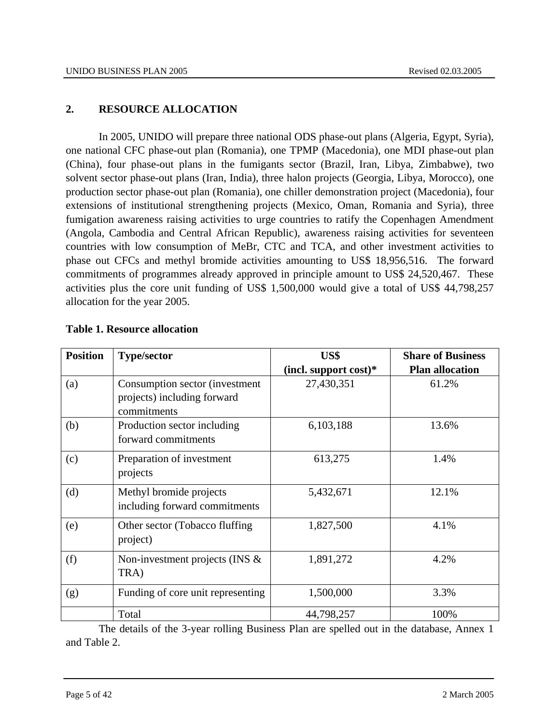# **2. RESOURCE ALLOCATION**

In 2005, UNIDO will prepare three national ODS phase-out plans (Algeria, Egypt, Syria), one national CFC phase-out plan (Romania), one TPMP (Macedonia), one MDI phase-out plan (China), four phase-out plans in the fumigants sector (Brazil, Iran, Libya, Zimbabwe), two solvent sector phase-out plans (Iran, India), three halon projects (Georgia, Libya, Morocco), one production sector phase-out plan (Romania), one chiller demonstration project (Macedonia), four extensions of institutional strengthening projects (Mexico, Oman, Romania and Syria), three fumigation awareness raising activities to urge countries to ratify the Copenhagen Amendment (Angola, Cambodia and Central African Republic), awareness raising activities for seventeen countries with low consumption of MeBr, CTC and TCA, and other investment activities to phase out CFCs and methyl bromide activities amounting to US\$ 18,956,516. The forward commitments of programmes already approved in principle amount to US\$ 24,520,467. These activities plus the core unit funding of US\$ 1,500,000 would give a total of US\$ 44,798,257 allocation for the year 2005.

| <b>Position</b> | <b>Type/sector</b>                                                            | US\$                     | <b>Share of Business</b> |
|-----------------|-------------------------------------------------------------------------------|--------------------------|--------------------------|
|                 |                                                                               | (incl. support $cost$ )* | <b>Plan allocation</b>   |
| (a)             | Consumption sector (investment)<br>projects) including forward<br>commitments | 27,430,351               | 61.2%                    |
| (b)             | Production sector including<br>forward commitments                            | 6,103,188                | 13.6%                    |
| (c)             | Preparation of investment<br>projects                                         | 613,275                  | 1.4%                     |
| (d)             | Methyl bromide projects<br>including forward commitments                      | 5,432,671                | 12.1%                    |
| (e)             | Other sector (Tobacco fluffing)<br>project)                                   | 1,827,500                | 4.1%                     |
| (f)             | Non-investment projects (INS $\&$<br>TRA)                                     | 1,891,272                | 4.2%                     |
| (g)             | Funding of core unit representing                                             | 1,500,000                | 3.3%                     |
|                 | Total                                                                         | 44,798,257               | 100%                     |

# **Table 1. Resource allocation**

The details of the 3-year rolling Business Plan are spelled out in the database, Annex 1 and Table 2.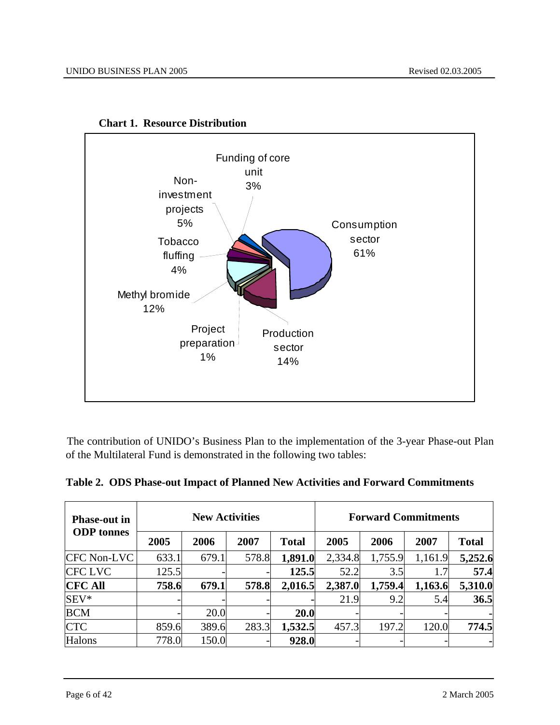

**Chart 1. Resource Distribution** 

The contribution of UNIDO's Business Plan to the implementation of the 3-year Phase-out Plan of the Multilateral Fund is demonstrated in the following two tables:

| Table 2. ODS Phase-out Impact of Planned New Activities and Forward Commitments |
|---------------------------------------------------------------------------------|
|                                                                                 |

| <b>Phase-out in</b> |       | <b>New Activities</b> |       |              | <b>Forward Commitments</b> |         |         |              |  |  |  |
|---------------------|-------|-----------------------|-------|--------------|----------------------------|---------|---------|--------------|--|--|--|
| <b>ODP</b> tonnes   | 2005  | 2006                  | 2007  | <b>Total</b> | 2005                       | 2006    | 2007    | <b>Total</b> |  |  |  |
| <b>CFC Non-LVC</b>  | 633.1 | 679.1                 | 578.8 | 1,891.0      | 2,334.8                    | 1,755.9 | 1,161.9 | 5,252.6      |  |  |  |
| <b>CFC LVC</b>      | 125.5 |                       |       | 125.5        | 52.2                       | 3.5     |         | 57.4         |  |  |  |
| <b>CFC All</b>      | 758.6 | 679.1                 | 578.8 | 2,016.5      | 2,387.0                    | 1,759.4 | 1,163.6 | 5,310.0      |  |  |  |
| $SEV*$              |       |                       |       |              | 21.9                       | 9.2     | 5.4     | 36.5         |  |  |  |
| <b>BCM</b>          |       | 20.0                  |       | 20.0         |                            |         |         |              |  |  |  |
| <b>CTC</b>          | 859.6 | 389.6                 | 283.3 | 1,532.5      | 457.3                      | 197.2   | 120.0   | 774.5        |  |  |  |
| <b>Halons</b>       | 778.0 | 150.0                 |       | 928.0        |                            |         |         |              |  |  |  |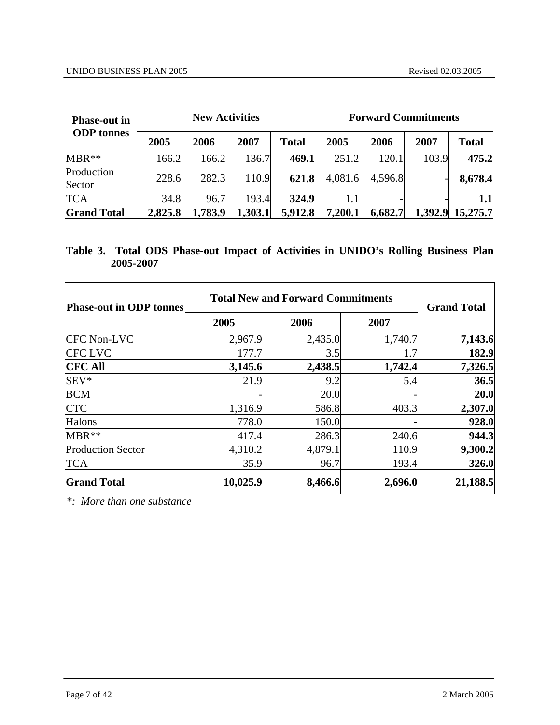| <b>Phase-out in</b>  |         | <b>New Activities</b> |         |              | <b>Forward Commitments</b> |         |       |                  |  |  |  |
|----------------------|---------|-----------------------|---------|--------------|----------------------------|---------|-------|------------------|--|--|--|
| <b>ODP</b> tonnes    | 2005    | 2006                  | 2007    | <b>Total</b> | 2005                       | 2006    | 2007  | <b>Total</b>     |  |  |  |
| $MBR**$              | 166.2   | 166.2                 | 136.7   | 469.1        | 251.2                      | 120.1   | 103.9 | 475.2            |  |  |  |
| Production<br>Sector | 228.6   | 282.3                 | 110.9   | 621.8        | 4,081.6                    | 4,596.8 |       | 8,678.4          |  |  |  |
| <b>TCA</b>           | 34.8    | 96.7                  | 193.4   | 324.9        | 1.1                        |         |       | $1.1\,$          |  |  |  |
| <b>Grand Total</b>   | 2,825.8 | 1,783.9               | 1,303.1 | 5,912.8      | 7,200.1                    | 6,682.7 |       | 1,392.9 15,275.7 |  |  |  |

# **Table 3. Total ODS Phase-out Impact of Activities in UNIDO's Rolling Business Plan 2005-2007**

| <b>Phase-out in ODP tonnes</b> | <b>Total New and Forward Commitments</b> | <b>Grand Total</b> |         |          |
|--------------------------------|------------------------------------------|--------------------|---------|----------|
|                                | 2005                                     | 2006               | 2007    |          |
| <b>CFC Non-LVC</b>             | 2,967.9                                  | 2,435.0            | 1,740.7 | 7,143.6  |
| <b>CFC LVC</b>                 | 177.7                                    | 3.5                | 1.7     | 182.9    |
| <b>CFC All</b>                 | 3,145.6                                  | 2,438.5            | 1,742.4 | 7,326.5  |
| SEV*                           | 21.9                                     | 9.2                | 5.4     | 36.5     |
| <b>BCM</b>                     |                                          | 20.0               |         | 20.0     |
| <b>CTC</b>                     | 1,316.9                                  | 586.8              | 403.3   | 2,307.0  |
| Halons                         | 778.0                                    | 150.0              |         | 928.0    |
| MBR**                          | 417.4                                    | 286.3              | 240.6   | 944.3    |
| <b>Production Sector</b>       | 4,310.2                                  | 4,879.1            | 110.9   | 9,300.2  |
| <b>TCA</b>                     | 35.9                                     | 96.7               | 193.4   | 326.0    |
| <b>Grand Total</b>             | 10,025.9                                 | 8,466.6            | 2,696.0 | 21,188.5 |

*\*: More than one substance*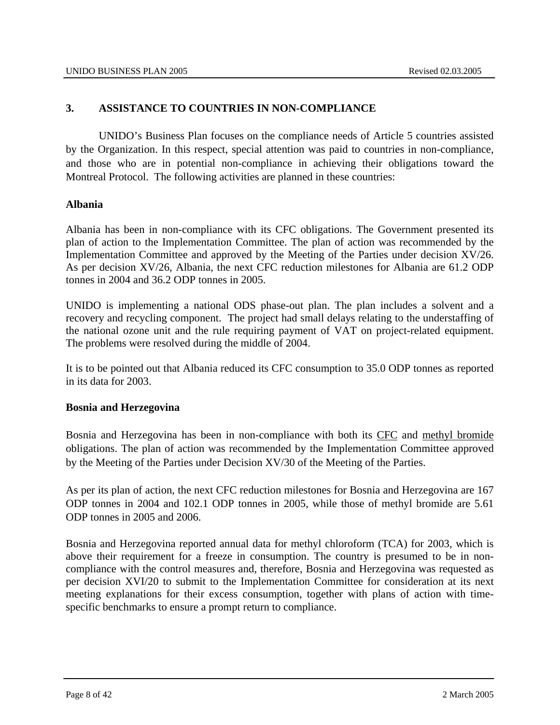# **3. ASSISTANCE TO COUNTRIES IN NON-COMPLIANCE**

UNIDO's Business Plan focuses on the compliance needs of Article 5 countries assisted by the Organization. In this respect, special attention was paid to countries in non-compliance, and those who are in potential non-compliance in achieving their obligations toward the Montreal Protocol. The following activities are planned in these countries:

# **Albania**

Albania has been in non-compliance with its CFC obligations. The Government presented its plan of action to the Implementation Committee. The plan of action was recommended by the Implementation Committee and approved by the Meeting of the Parties under decision XV/26. As per decision XV/26, Albania, the next CFC reduction milestones for Albania are 61.2 ODP tonnes in 2004 and 36.2 ODP tonnes in 2005.

UNIDO is implementing a national ODS phase-out plan. The plan includes a solvent and a recovery and recycling component. The project had small delays relating to the understaffing of the national ozone unit and the rule requiring payment of VAT on project-related equipment. The problems were resolved during the middle of 2004.

It is to be pointed out that Albania reduced its CFC consumption to 35.0 ODP tonnes as reported in its data for 2003.

#### **Bosnia and Herzegovina**

Bosnia and Herzegovina has been in non-compliance with both its CFC and methyl bromide obligations. The plan of action was recommended by the Implementation Committee approved by the Meeting of the Parties under Decision XV/30 of the Meeting of the Parties.

As per its plan of action, the next CFC reduction milestones for Bosnia and Herzegovina are 167 ODP tonnes in 2004 and 102.1 ODP tonnes in 2005, while those of methyl bromide are 5.61 ODP tonnes in 2005 and 2006.

Bosnia and Herzegovina reported annual data for methyl chloroform (TCA) for 2003, which is above their requirement for a freeze in consumption. The country is presumed to be in noncompliance with the control measures and, therefore, Bosnia and Herzegovina was requested as per decision XVI/20 to submit to the Implementation Committee for consideration at its next meeting explanations for their excess consumption, together with plans of action with timespecific benchmarks to ensure a prompt return to compliance.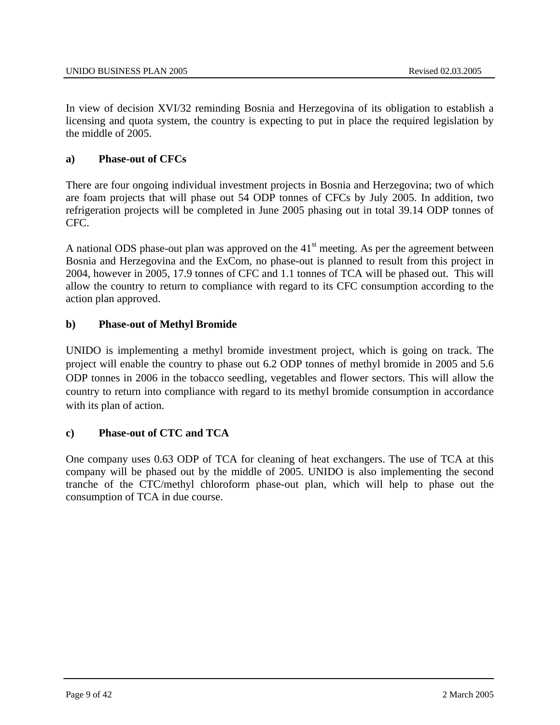In view of decision XVI/32 reminding Bosnia and Herzegovina of its obligation to establish a licensing and quota system, the country is expecting to put in place the required legislation by the middle of 2005.

# **a) Phase-out of CFCs**

There are four ongoing individual investment projects in Bosnia and Herzegovina; two of which are foam projects that will phase out 54 ODP tonnes of CFCs by July 2005. In addition, two refrigeration projects will be completed in June 2005 phasing out in total 39.14 ODP tonnes of CFC.

A national ODS phase-out plan was approved on the  $41<sup>st</sup>$  meeting. As per the agreement between Bosnia and Herzegovina and the ExCom, no phase-out is planned to result from this project in 2004, however in 2005, 17.9 tonnes of CFC and 1.1 tonnes of TCA will be phased out. This will allow the country to return to compliance with regard to its CFC consumption according to the action plan approved.

# **b) Phase-out of Methyl Bromide**

UNIDO is implementing a methyl bromide investment project, which is going on track. The project will enable the country to phase out 6.2 ODP tonnes of methyl bromide in 2005 and 5.6 ODP tonnes in 2006 in the tobacco seedling, vegetables and flower sectors. This will allow the country to return into compliance with regard to its methyl bromide consumption in accordance with its plan of action.

# **c) Phase-out of CTC and TCA**

One company uses 0.63 ODP of TCA for cleaning of heat exchangers. The use of TCA at this company will be phased out by the middle of 2005. UNIDO is also implementing the second tranche of the CTC/methyl chloroform phase-out plan, which will help to phase out the consumption of TCA in due course.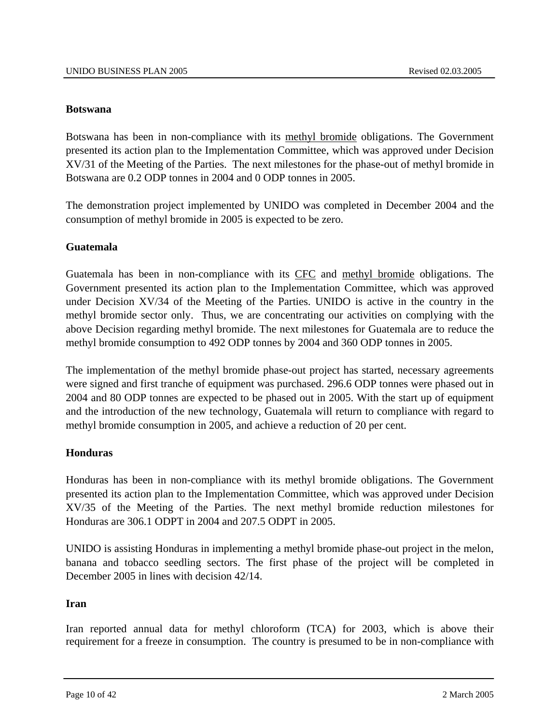#### **Botswana**

Botswana has been in non-compliance with its methyl bromide obligations. The Government presented its action plan to the Implementation Committee, which was approved under Decision XV/31 of the Meeting of the Parties. The next milestones for the phase-out of methyl bromide in Botswana are 0.2 ODP tonnes in 2004 and 0 ODP tonnes in 2005.

The demonstration project implemented by UNIDO was completed in December 2004 and the consumption of methyl bromide in 2005 is expected to be zero.

# **Guatemala**

Guatemala has been in non-compliance with its CFC and methyl bromide obligations. The Government presented its action plan to the Implementation Committee, which was approved under Decision XV/34 of the Meeting of the Parties. UNIDO is active in the country in the methyl bromide sector only. Thus, we are concentrating our activities on complying with the above Decision regarding methyl bromide. The next milestones for Guatemala are to reduce the methyl bromide consumption to 492 ODP tonnes by 2004 and 360 ODP tonnes in 2005.

The implementation of the methyl bromide phase-out project has started, necessary agreements were signed and first tranche of equipment was purchased. 296.6 ODP tonnes were phased out in 2004 and 80 ODP tonnes are expected to be phased out in 2005. With the start up of equipment and the introduction of the new technology, Guatemala will return to compliance with regard to methyl bromide consumption in 2005, and achieve a reduction of 20 per cent.

#### **Honduras**

Honduras has been in non-compliance with its methyl bromide obligations. The Government presented its action plan to the Implementation Committee, which was approved under Decision XV/35 of the Meeting of the Parties. The next methyl bromide reduction milestones for Honduras are 306.1 ODPT in 2004 and 207.5 ODPT in 2005.

UNIDO is assisting Honduras in implementing a methyl bromide phase-out project in the melon, banana and tobacco seedling sectors. The first phase of the project will be completed in December 2005 in lines with decision 42/14.

#### **Iran**

Iran reported annual data for methyl chloroform (TCA) for 2003, which is above their requirement for a freeze in consumption. The country is presumed to be in non-compliance with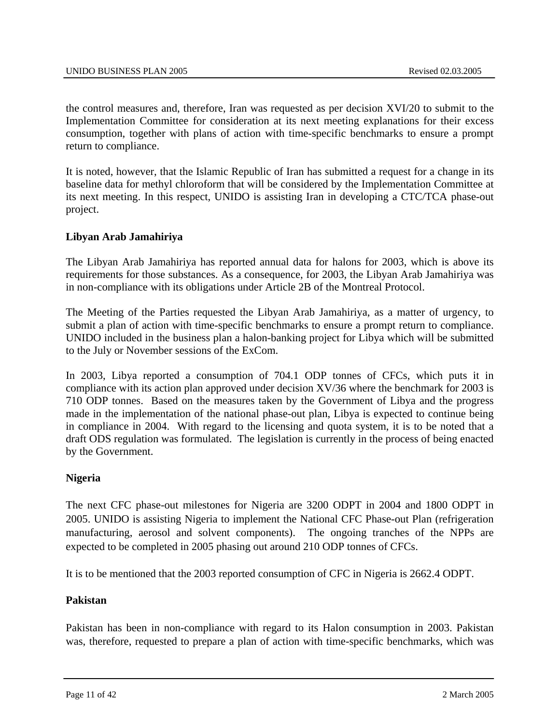the control measures and, therefore, Iran was requested as per decision XVI/20 to submit to the Implementation Committee for consideration at its next meeting explanations for their excess consumption, together with plans of action with time-specific benchmarks to ensure a prompt return to compliance.

It is noted, however, that the Islamic Republic of Iran has submitted a request for a change in its baseline data for methyl chloroform that will be considered by the Implementation Committee at its next meeting. In this respect, UNIDO is assisting Iran in developing a CTC/TCA phase-out project.

# **Libyan Arab Jamahiriya**

The Libyan Arab Jamahiriya has reported annual data for halons for 2003, which is above its requirements for those substances. As a consequence, for 2003, the Libyan Arab Jamahiriya was in non-compliance with its obligations under Article 2B of the Montreal Protocol.

The Meeting of the Parties requested the Libyan Arab Jamahiriya, as a matter of urgency, to submit a plan of action with time-specific benchmarks to ensure a prompt return to compliance. UNIDO included in the business plan a halon-banking project for Libya which will be submitted to the July or November sessions of the ExCom.

In 2003, Libya reported a consumption of 704.1 ODP tonnes of CFCs, which puts it in compliance with its action plan approved under decision XV/36 where the benchmark for 2003 is 710 ODP tonnes. Based on the measures taken by the Government of Libya and the progress made in the implementation of the national phase-out plan, Libya is expected to continue being in compliance in 2004. With regard to the licensing and quota system, it is to be noted that a draft ODS regulation was formulated. The legislation is currently in the process of being enacted by the Government.

#### **Nigeria**

The next CFC phase-out milestones for Nigeria are 3200 ODPT in 2004 and 1800 ODPT in 2005. UNIDO is assisting Nigeria to implement the National CFC Phase-out Plan (refrigeration manufacturing, aerosol and solvent components). The ongoing tranches of the NPPs are expected to be completed in 2005 phasing out around 210 ODP tonnes of CFCs.

It is to be mentioned that the 2003 reported consumption of CFC in Nigeria is 2662.4 ODPT.

# **Pakistan**

Pakistan has been in non-compliance with regard to its Halon consumption in 2003. Pakistan was, therefore, requested to prepare a plan of action with time-specific benchmarks, which was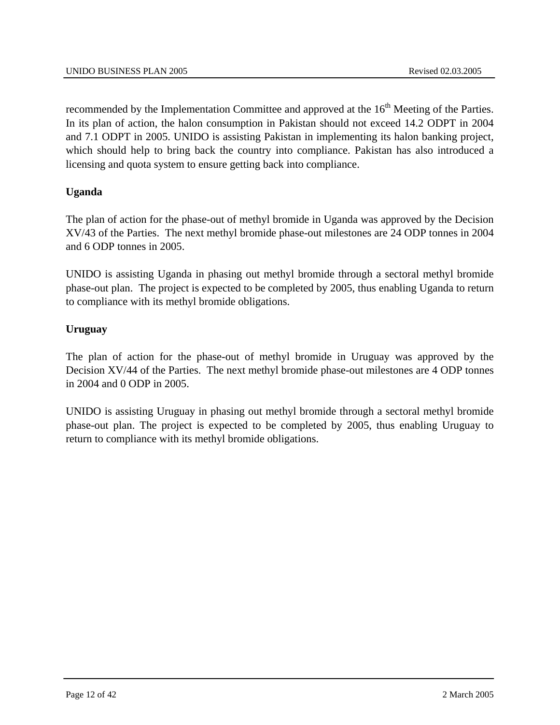recommended by the Implementation Committee and approved at the 16<sup>th</sup> Meeting of the Parties. In its plan of action, the halon consumption in Pakistan should not exceed 14.2 ODPT in 2004 and 7.1 ODPT in 2005. UNIDO is assisting Pakistan in implementing its halon banking project, which should help to bring back the country into compliance. Pakistan has also introduced a licensing and quota system to ensure getting back into compliance.

# **Uganda**

The plan of action for the phase-out of methyl bromide in Uganda was approved by the Decision XV/43 of the Parties. The next methyl bromide phase-out milestones are 24 ODP tonnes in 2004 and 6 ODP tonnes in 2005.

UNIDO is assisting Uganda in phasing out methyl bromide through a sectoral methyl bromide phase-out plan. The project is expected to be completed by 2005, thus enabling Uganda to return to compliance with its methyl bromide obligations.

# **Uruguay**

The plan of action for the phase-out of methyl bromide in Uruguay was approved by the Decision XV/44 of the Parties. The next methyl bromide phase-out milestones are 4 ODP tonnes in 2004 and 0 ODP in 2005.

UNIDO is assisting Uruguay in phasing out methyl bromide through a sectoral methyl bromide phase-out plan. The project is expected to be completed by 2005, thus enabling Uruguay to return to compliance with its methyl bromide obligations.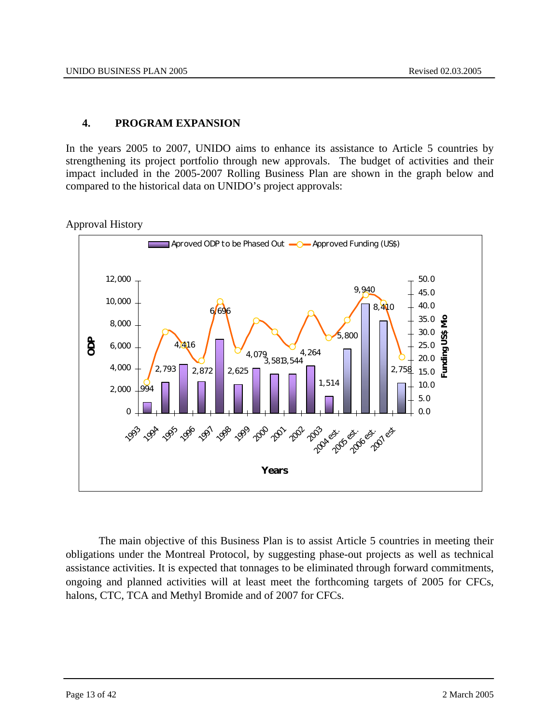# **4. PROGRAM EXPANSION**

In the years 2005 to 2007, UNIDO aims to enhance its assistance to Article 5 countries by strengthening its project portfolio through new approvals. The budget of activities and their impact included in the 2005-2007 Rolling Business Plan are shown in the graph below and compared to the historical data on UNIDO's project approvals:





The main objective of this Business Plan is to assist Article 5 countries in meeting their obligations under the Montreal Protocol, by suggesting phase-out projects as well as technical assistance activities. It is expected that tonnages to be eliminated through forward commitments, ongoing and planned activities will at least meet the forthcoming targets of 2005 for CFCs, halons, CTC, TCA and Methyl Bromide and of 2007 for CFCs.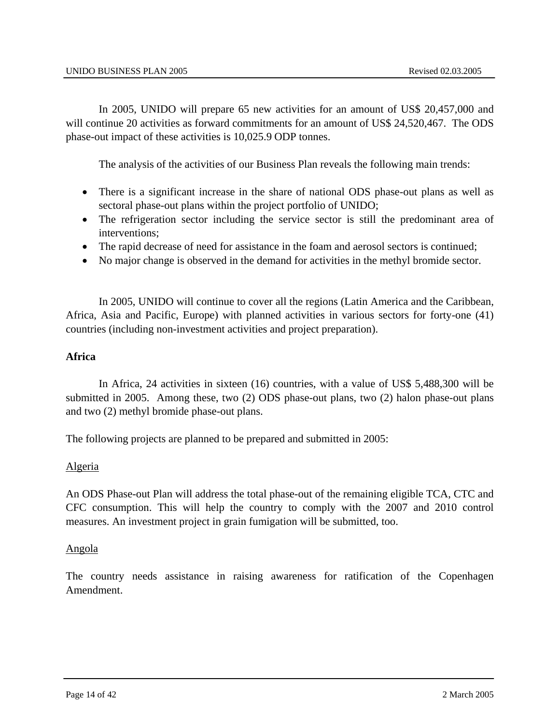In 2005, UNIDO will prepare 65 new activities for an amount of US\$ 20,457,000 and will continue 20 activities as forward commitments for an amount of US\$ 24,520,467. The ODS phase-out impact of these activities is 10,025.9 ODP tonnes.

The analysis of the activities of our Business Plan reveals the following main trends:

- There is a significant increase in the share of national ODS phase-out plans as well as sectoral phase-out plans within the project portfolio of UNIDO;
- The refrigeration sector including the service sector is still the predominant area of interventions;
- The rapid decrease of need for assistance in the foam and aerosol sectors is continued;
- No major change is observed in the demand for activities in the methyl bromide sector.

In 2005, UNIDO will continue to cover all the regions (Latin America and the Caribbean, Africa, Asia and Pacific, Europe) with planned activities in various sectors for forty-one (41) countries (including non-investment activities and project preparation).

#### **Africa**

In Africa, 24 activities in sixteen (16) countries, with a value of US\$ 5,488,300 will be submitted in 2005. Among these, two (2) ODS phase-out plans, two (2) halon phase-out plans and two (2) methyl bromide phase-out plans.

The following projects are planned to be prepared and submitted in 2005:

#### Algeria

An ODS Phase-out Plan will address the total phase-out of the remaining eligible TCA, CTC and CFC consumption. This will help the country to comply with the 2007 and 2010 control measures. An investment project in grain fumigation will be submitted, too.

#### Angola

The country needs assistance in raising awareness for ratification of the Copenhagen Amendment.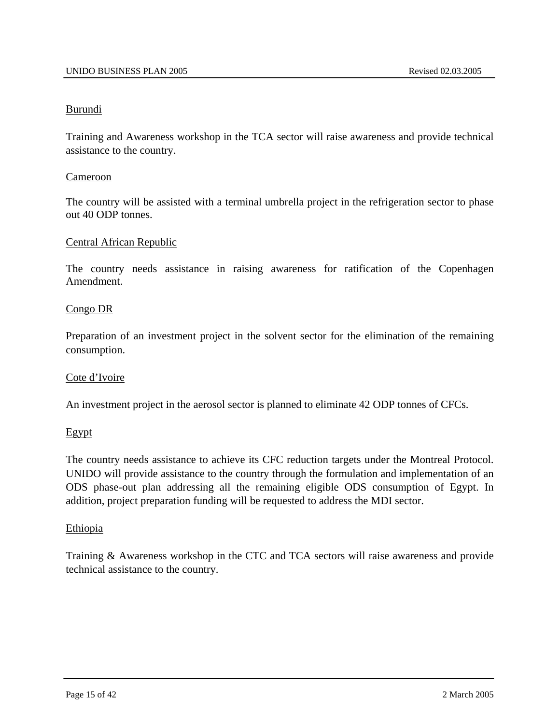#### Burundi

Training and Awareness workshop in the TCA sector will raise awareness and provide technical assistance to the country.

#### Cameroon

The country will be assisted with a terminal umbrella project in the refrigeration sector to phase out 40 ODP tonnes.

#### Central African Republic

The country needs assistance in raising awareness for ratification of the Copenhagen Amendment.

#### Congo DR

Preparation of an investment project in the solvent sector for the elimination of the remaining consumption.

#### Cote d'Ivoire

An investment project in the aerosol sector is planned to eliminate 42 ODP tonnes of CFCs.

#### Egypt

The country needs assistance to achieve its CFC reduction targets under the Montreal Protocol. UNIDO will provide assistance to the country through the formulation and implementation of an ODS phase-out plan addressing all the remaining eligible ODS consumption of Egypt. In addition, project preparation funding will be requested to address the MDI sector.

#### **Ethiopia**

Training & Awareness workshop in the CTC and TCA sectors will raise awareness and provide technical assistance to the country.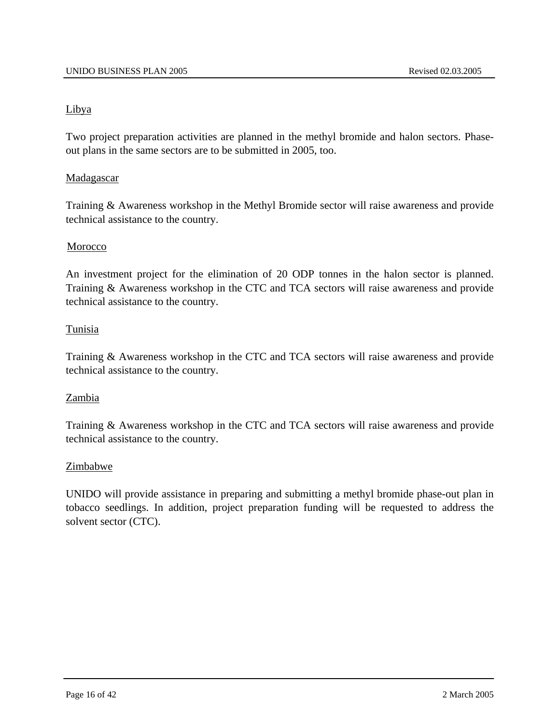# Libya

Two project preparation activities are planned in the methyl bromide and halon sectors. Phaseout plans in the same sectors are to be submitted in 2005, too.

# Madagascar

Training & Awareness workshop in the Methyl Bromide sector will raise awareness and provide technical assistance to the country.

# Morocco

An investment project for the elimination of 20 ODP tonnes in the halon sector is planned. Training & Awareness workshop in the CTC and TCA sectors will raise awareness and provide technical assistance to the country.

# Tunisia

Training & Awareness workshop in the CTC and TCA sectors will raise awareness and provide technical assistance to the country.

#### Zambia

Training & Awareness workshop in the CTC and TCA sectors will raise awareness and provide technical assistance to the country.

#### Zimbabwe

UNIDO will provide assistance in preparing and submitting a methyl bromide phase-out plan in tobacco seedlings. In addition, project preparation funding will be requested to address the solvent sector (CTC).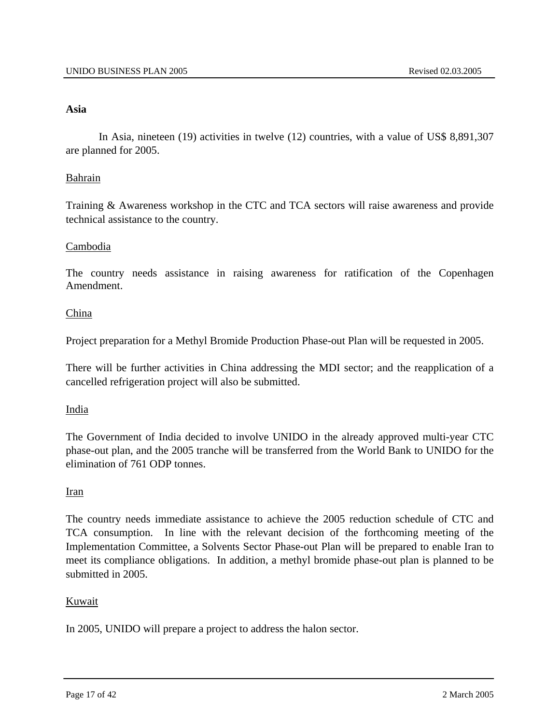#### **Asia**

In Asia, nineteen (19) activities in twelve (12) countries, with a value of US\$ 8,891,307 are planned for 2005.

#### Bahrain

Training & Awareness workshop in the CTC and TCA sectors will raise awareness and provide technical assistance to the country.

#### Cambodia

The country needs assistance in raising awareness for ratification of the Copenhagen Amendment.

#### China

Project preparation for a Methyl Bromide Production Phase-out Plan will be requested in 2005.

There will be further activities in China addressing the MDI sector; and the reapplication of a cancelled refrigeration project will also be submitted.

#### India

The Government of India decided to involve UNIDO in the already approved multi-year CTC phase-out plan, and the 2005 tranche will be transferred from the World Bank to UNIDO for the elimination of 761 ODP tonnes.

#### Iran

The country needs immediate assistance to achieve the 2005 reduction schedule of CTC and TCA consumption. In line with the relevant decision of the forthcoming meeting of the Implementation Committee, a Solvents Sector Phase-out Plan will be prepared to enable Iran to meet its compliance obligations. In addition, a methyl bromide phase-out plan is planned to be submitted in 2005.

#### Kuwait

In 2005, UNIDO will prepare a project to address the halon sector.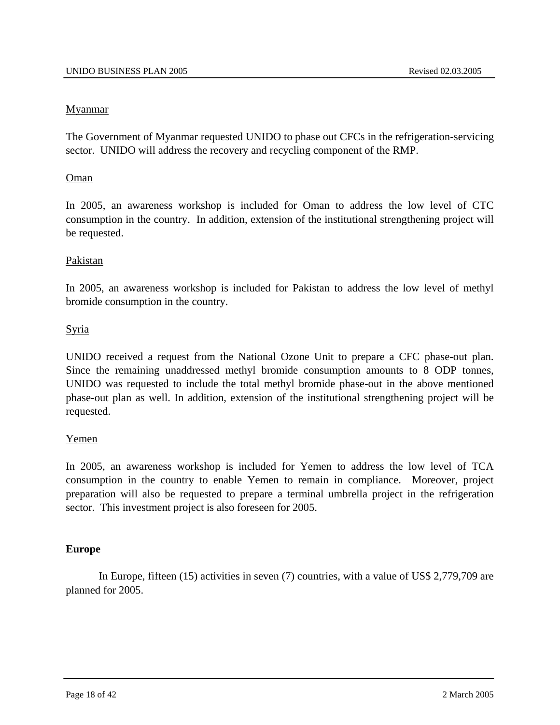# **Myanmar**

The Government of Myanmar requested UNIDO to phase out CFCs in the refrigeration-servicing sector. UNIDO will address the recovery and recycling component of the RMP.

# Oman

In 2005, an awareness workshop is included for Oman to address the low level of CTC consumption in the country. In addition, extension of the institutional strengthening project will be requested.

# Pakistan

In 2005, an awareness workshop is included for Pakistan to address the low level of methyl bromide consumption in the country.

# Syria

UNIDO received a request from the National Ozone Unit to prepare a CFC phase-out plan. Since the remaining unaddressed methyl bromide consumption amounts to 8 ODP tonnes, UNIDO was requested to include the total methyl bromide phase-out in the above mentioned phase-out plan as well. In addition, extension of the institutional strengthening project will be requested.

#### Yemen

In 2005, an awareness workshop is included for Yemen to address the low level of TCA consumption in the country to enable Yemen to remain in compliance. Moreover, project preparation will also be requested to prepare a terminal umbrella project in the refrigeration sector. This investment project is also foreseen for 2005.

# **Europe**

In Europe, fifteen (15) activities in seven (7) countries, with a value of US\$ 2,779,709 are planned for 2005.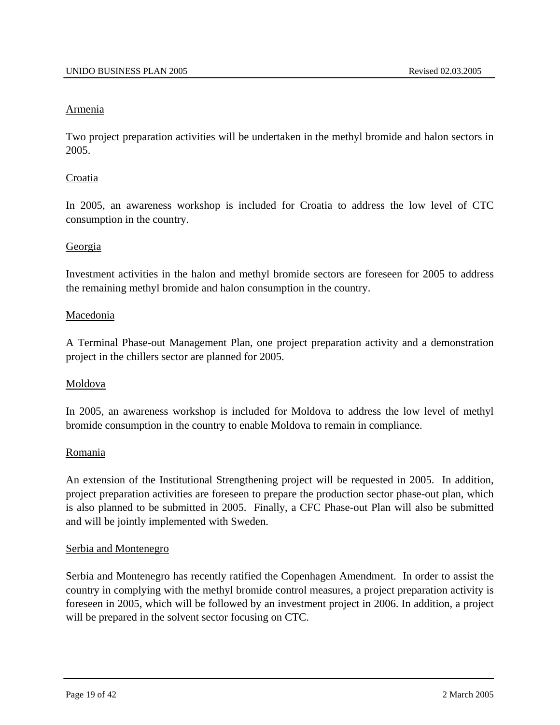#### Armenia

Two project preparation activities will be undertaken in the methyl bromide and halon sectors in 2005.

#### Croatia

In 2005, an awareness workshop is included for Croatia to address the low level of CTC consumption in the country.

#### **Georgia**

Investment activities in the halon and methyl bromide sectors are foreseen for 2005 to address the remaining methyl bromide and halon consumption in the country.

#### Macedonia

A Terminal Phase-out Management Plan, one project preparation activity and a demonstration project in the chillers sector are planned for 2005.

#### Moldova

In 2005, an awareness workshop is included for Moldova to address the low level of methyl bromide consumption in the country to enable Moldova to remain in compliance.

#### Romania

An extension of the Institutional Strengthening project will be requested in 2005. In addition, project preparation activities are foreseen to prepare the production sector phase-out plan, which is also planned to be submitted in 2005. Finally, a CFC Phase-out Plan will also be submitted and will be jointly implemented with Sweden.

#### Serbia and Montenegro

Serbia and Montenegro has recently ratified the Copenhagen Amendment. In order to assist the country in complying with the methyl bromide control measures, a project preparation activity is foreseen in 2005, which will be followed by an investment project in 2006. In addition, a project will be prepared in the solvent sector focusing on CTC.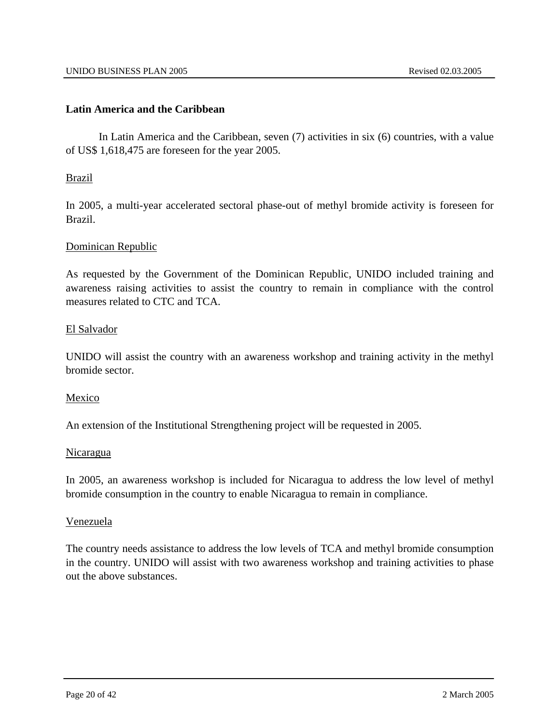#### **Latin America and the Caribbean**

In Latin America and the Caribbean, seven (7) activities in six (6) countries, with a value of US\$ 1,618,475 are foreseen for the year 2005.

# Brazil

In 2005, a multi-year accelerated sectoral phase-out of methyl bromide activity is foreseen for Brazil.

#### Dominican Republic

As requested by the Government of the Dominican Republic, UNIDO included training and awareness raising activities to assist the country to remain in compliance with the control measures related to CTC and TCA.

#### El Salvador

UNIDO will assist the country with an awareness workshop and training activity in the methyl bromide sector.

#### Mexico

An extension of the Institutional Strengthening project will be requested in 2005.

#### **Nicaragua**

In 2005, an awareness workshop is included for Nicaragua to address the low level of methyl bromide consumption in the country to enable Nicaragua to remain in compliance.

#### Venezuela

The country needs assistance to address the low levels of TCA and methyl bromide consumption in the country. UNIDO will assist with two awareness workshop and training activities to phase out the above substances.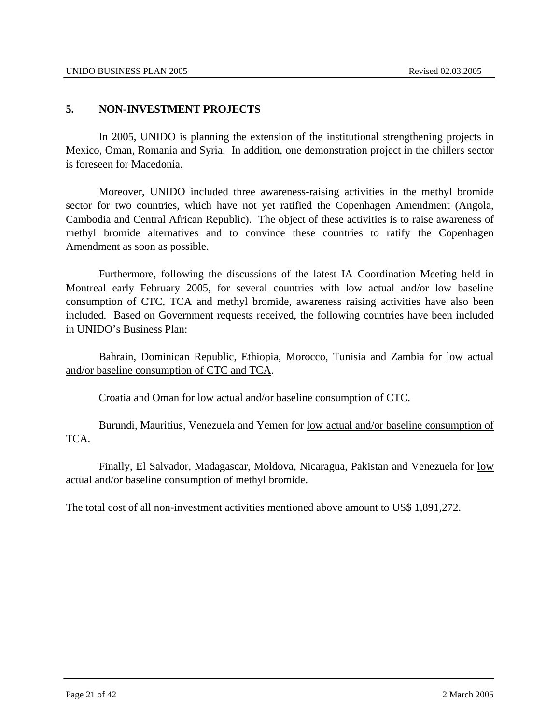# **5. NON-INVESTMENT PROJECTS**

In 2005, UNIDO is planning the extension of the institutional strengthening projects in Mexico, Oman, Romania and Syria. In addition, one demonstration project in the chillers sector is foreseen for Macedonia.

Moreover, UNIDO included three awareness-raising activities in the methyl bromide sector for two countries, which have not yet ratified the Copenhagen Amendment (Angola, Cambodia and Central African Republic). The object of these activities is to raise awareness of methyl bromide alternatives and to convince these countries to ratify the Copenhagen Amendment as soon as possible.

Furthermore, following the discussions of the latest IA Coordination Meeting held in Montreal early February 2005, for several countries with low actual and/or low baseline consumption of CTC, TCA and methyl bromide, awareness raising activities have also been included. Based on Government requests received, the following countries have been included in UNIDO's Business Plan:

Bahrain, Dominican Republic, Ethiopia, Morocco, Tunisia and Zambia for low actual and/or baseline consumption of CTC and TCA.

Croatia and Oman for low actual and/or baseline consumption of CTC.

 Burundi, Mauritius, Venezuela and Yemen for low actual and/or baseline consumption of TCA.

 Finally, El Salvador, Madagascar, Moldova, Nicaragua, Pakistan and Venezuela for low actual and/or baseline consumption of methyl bromide.

The total cost of all non-investment activities mentioned above amount to US\$ 1,891,272.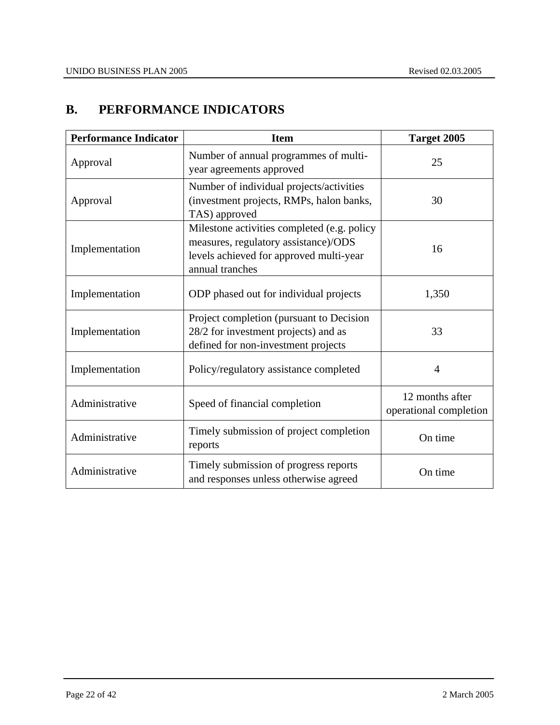# **B. PERFORMANCE INDICATORS**

| <b>Performance Indicator</b> | <b>Item</b>                                                                                                                                       | Target 2005                               |
|------------------------------|---------------------------------------------------------------------------------------------------------------------------------------------------|-------------------------------------------|
| Approval                     | Number of annual programmes of multi-<br>year agreements approved                                                                                 | 25                                        |
| Approval                     | Number of individual projects/activities<br>(investment projects, RMPs, halon banks,<br>TAS) approved                                             | 30                                        |
| Implementation               | Milestone activities completed (e.g. policy<br>measures, regulatory assistance)/ODS<br>levels achieved for approved multi-year<br>annual tranches | 16                                        |
| Implementation               | ODP phased out for individual projects                                                                                                            | 1,350                                     |
| Implementation               | Project completion (pursuant to Decision<br>28/2 for investment projects) and as<br>defined for non-investment projects                           | 33                                        |
| Implementation               | Policy/regulatory assistance completed                                                                                                            | $\overline{4}$                            |
| Administrative               | Speed of financial completion                                                                                                                     | 12 months after<br>operational completion |
| Administrative               | Timely submission of project completion<br>reports                                                                                                | On time                                   |
| Administrative               | Timely submission of progress reports<br>and responses unless otherwise agreed                                                                    | On time                                   |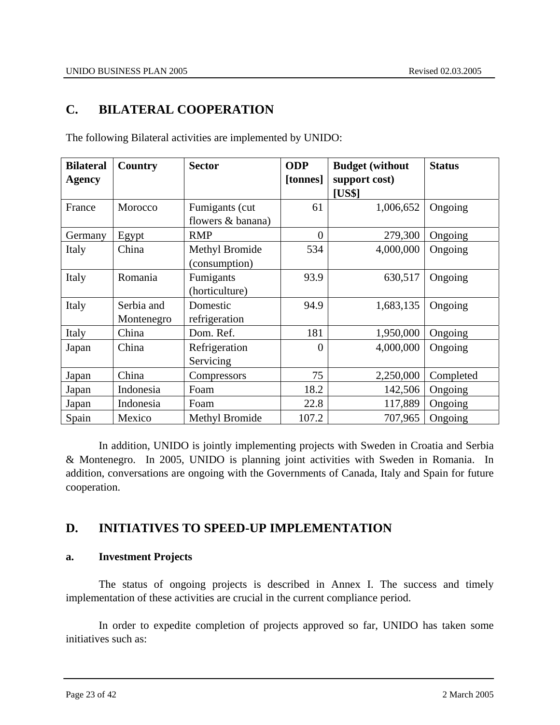# **C. BILATERAL COOPERATION**

| <b>Bilateral</b> | <b>Country</b> | <b>Sector</b>         | <b>ODP</b>     | <b>Budget (without</b> | <b>Status</b> |
|------------------|----------------|-----------------------|----------------|------------------------|---------------|
| <b>Agency</b>    |                |                       | [tonnes]       | support cost)          |               |
|                  |                |                       |                | [US\$]                 |               |
| France           | Morocco        | Fumigants (cut)       | 61             | 1,006,652              | Ongoing       |
|                  |                | flowers & banana)     |                |                        |               |
| Germany          | Egypt          | <b>RMP</b>            | $\overline{0}$ | 279,300                | Ongoing       |
| Italy            | China          | <b>Methyl Bromide</b> | 534            | 4,000,000              | Ongoing       |
|                  |                | (consumption)         |                |                        |               |
| Italy            | Romania        | Fumigants             | 93.9           | 630,517                | Ongoing       |
|                  |                | (horticulture)        |                |                        |               |
| Italy            | Serbia and     | Domestic              | 94.9           | 1,683,135              | Ongoing       |
|                  | Montenegro     | refrigeration         |                |                        |               |
| Italy            | China          | Dom. Ref.             | 181            | 1,950,000              | Ongoing       |
| Japan            | China          | Refrigeration         | $\theta$       | 4,000,000              | Ongoing       |
|                  |                | Servicing             |                |                        |               |
| Japan            | China          | Compressors           | 75             | 2,250,000              | Completed     |
| Japan            | Indonesia      | Foam                  | 18.2           | 142,506                | Ongoing       |
| Japan            | Indonesia      | Foam                  | 22.8           | 117,889                | Ongoing       |
| Spain            | Mexico         | Methyl Bromide        | 107.2          | 707,965                | Ongoing       |

The following Bilateral activities are implemented by UNIDO:

 In addition, UNIDO is jointly implementing projects with Sweden in Croatia and Serbia & Montenegro. In 2005, UNIDO is planning joint activities with Sweden in Romania. In addition, conversations are ongoing with the Governments of Canada, Italy and Spain for future cooperation.

# **D. INITIATIVES TO SPEED-UP IMPLEMENTATION**

# **a. Investment Projects**

 The status of ongoing projects is described in Annex I. The success and timely implementation of these activities are crucial in the current compliance period.

 In order to expedite completion of projects approved so far, UNIDO has taken some initiatives such as: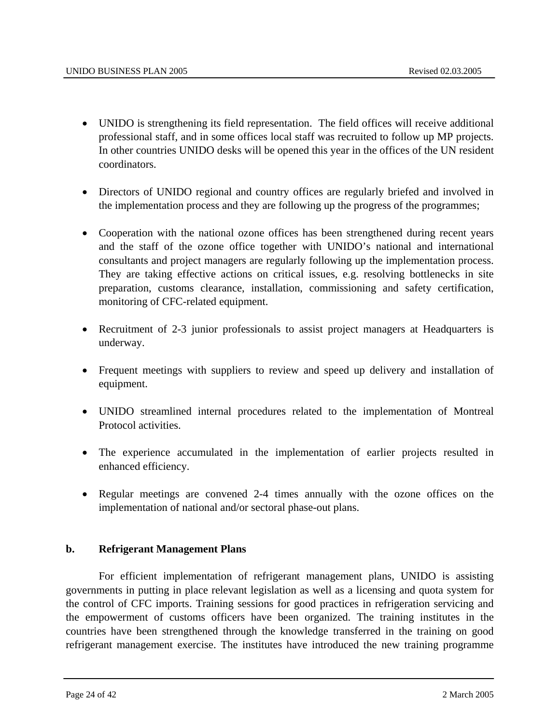- UNIDO is strengthening its field representation. The field offices will receive additional professional staff, and in some offices local staff was recruited to follow up MP projects. In other countries UNIDO desks will be opened this year in the offices of the UN resident coordinators.
- Directors of UNIDO regional and country offices are regularly briefed and involved in the implementation process and they are following up the progress of the programmes;
- Cooperation with the national ozone offices has been strengthened during recent years and the staff of the ozone office together with UNIDO's national and international consultants and project managers are regularly following up the implementation process. They are taking effective actions on critical issues, e.g. resolving bottlenecks in site preparation, customs clearance, installation, commissioning and safety certification, monitoring of CFC-related equipment.
- Recruitment of 2-3 junior professionals to assist project managers at Headquarters is underway.
- Frequent meetings with suppliers to review and speed up delivery and installation of equipment.
- UNIDO streamlined internal procedures related to the implementation of Montreal Protocol activities.
- The experience accumulated in the implementation of earlier projects resulted in enhanced efficiency.
- Regular meetings are convened 2-4 times annually with the ozone offices on the implementation of national and/or sectoral phase-out plans.

#### **b. Refrigerant Management Plans**

For efficient implementation of refrigerant management plans, UNIDO is assisting governments in putting in place relevant legislation as well as a licensing and quota system for the control of CFC imports. Training sessions for good practices in refrigeration servicing and the empowerment of customs officers have been organized. The training institutes in the countries have been strengthened through the knowledge transferred in the training on good refrigerant management exercise. The institutes have introduced the new training programme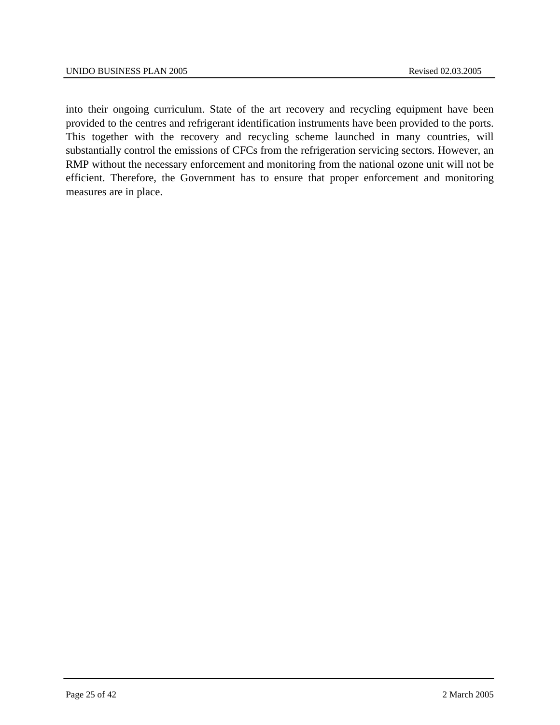into their ongoing curriculum. State of the art recovery and recycling equipment have been provided to the centres and refrigerant identification instruments have been provided to the ports. This together with the recovery and recycling scheme launched in many countries, will substantially control the emissions of CFCs from the refrigeration servicing sectors. However, an RMP without the necessary enforcement and monitoring from the national ozone unit will not be efficient. Therefore, the Government has to ensure that proper enforcement and monitoring measures are in place.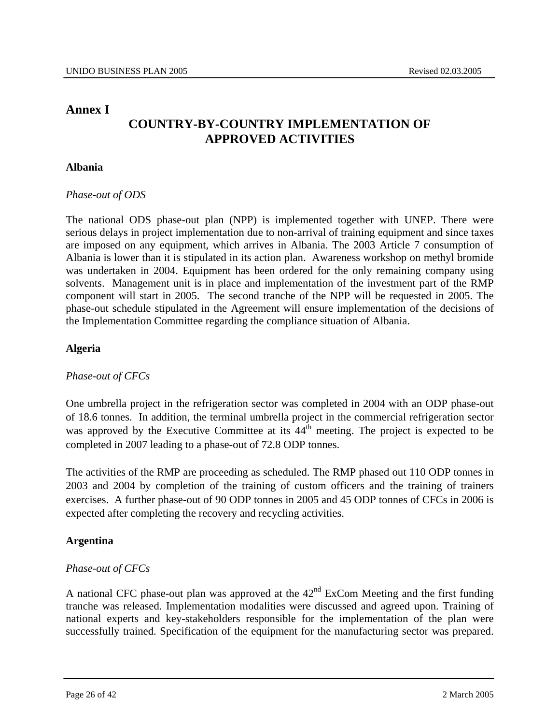# **Annex I**

# **COUNTRY-BY-COUNTRY IMPLEMENTATION OF APPROVED ACTIVITIES**

# **Albania**

#### *Phase-out of ODS*

The national ODS phase-out plan (NPP) is implemented together with UNEP. There were serious delays in project implementation due to non-arrival of training equipment and since taxes are imposed on any equipment, which arrives in Albania. The 2003 Article 7 consumption of Albania is lower than it is stipulated in its action plan. Awareness workshop on methyl bromide was undertaken in 2004. Equipment has been ordered for the only remaining company using solvents. Management unit is in place and implementation of the investment part of the RMP component will start in 2005. The second tranche of the NPP will be requested in 2005. The phase-out schedule stipulated in the Agreement will ensure implementation of the decisions of the Implementation Committee regarding the compliance situation of Albania.

# **Algeria**

# *Phase-out of CFCs*

One umbrella project in the refrigeration sector was completed in 2004 with an ODP phase-out of 18.6 tonnes. In addition, the terminal umbrella project in the commercial refrigeration sector was approved by the Executive Committee at its  $44<sup>th</sup>$  meeting. The project is expected to be completed in 2007 leading to a phase-out of 72.8 ODP tonnes.

The activities of the RMP are proceeding as scheduled. The RMP phased out 110 ODP tonnes in 2003 and 2004 by completion of the training of custom officers and the training of trainers exercises. A further phase-out of 90 ODP tonnes in 2005 and 45 ODP tonnes of CFCs in 2006 is expected after completing the recovery and recycling activities.

# **Argentina**

# *Phase-out of CFCs*

A national CFC phase-out plan was approved at the  $42<sup>nd</sup>$  ExCom Meeting and the first funding tranche was released. Implementation modalities were discussed and agreed upon. Training of national experts and key-stakeholders responsible for the implementation of the plan were successfully trained. Specification of the equipment for the manufacturing sector was prepared.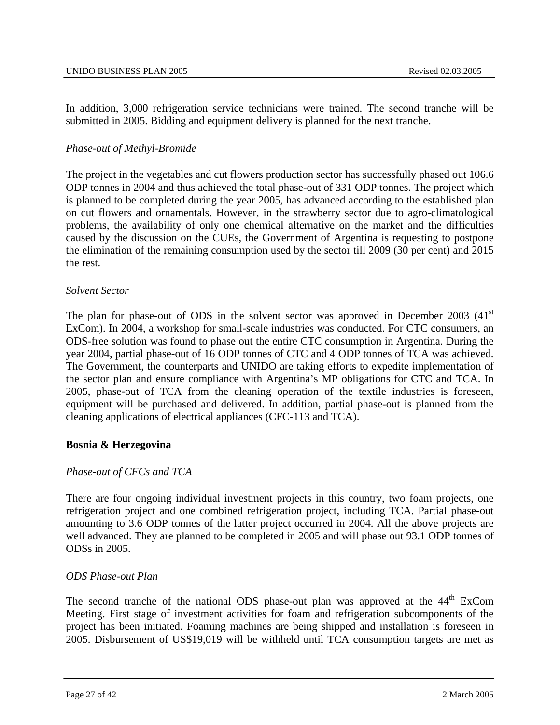In addition, 3,000 refrigeration service technicians were trained. The second tranche will be submitted in 2005. Bidding and equipment delivery is planned for the next tranche.

# *Phase-out of Methyl-Bromide*

The project in the vegetables and cut flowers production sector has successfully phased out 106.6 ODP tonnes in 2004 and thus achieved the total phase-out of 331 ODP tonnes. The project which is planned to be completed during the year 2005, has advanced according to the established plan on cut flowers and ornamentals. However, in the strawberry sector due to agro-climatological problems, the availability of only one chemical alternative on the market and the difficulties caused by the discussion on the CUEs, the Government of Argentina is requesting to postpone the elimination of the remaining consumption used by the sector till 2009 (30 per cent) and 2015 the rest.

#### *Solvent Sector*

The plan for phase-out of ODS in the solvent sector was approved in December 2003  $(41<sup>st</sup>$ ExCom). In 2004, a workshop for small-scale industries was conducted. For CTC consumers, an ODS-free solution was found to phase out the entire CTC consumption in Argentina. During the year 2004, partial phase-out of 16 ODP tonnes of CTC and 4 ODP tonnes of TCA was achieved. The Government, the counterparts and UNIDO are taking efforts to expedite implementation of the sector plan and ensure compliance with Argentina's MP obligations for CTC and TCA. In 2005, phase-out of TCA from the cleaning operation of the textile industries is foreseen, equipment will be purchased and delivered. In addition, partial phase-out is planned from the cleaning applications of electrical appliances (CFC-113 and TCA).

#### **Bosnia & Herzegovina**

#### *Phase-out of CFCs and TCA*

There are four ongoing individual investment projects in this country, two foam projects, one refrigeration project and one combined refrigeration project, including TCA. Partial phase-out amounting to 3.6 ODP tonnes of the latter project occurred in 2004. All the above projects are well advanced. They are planned to be completed in 2005 and will phase out 93.1 ODP tonnes of ODSs in 2005.

#### *ODS Phase-out Plan*

The second tranche of the national ODS phase-out plan was approved at the 44<sup>th</sup> ExCom Meeting. First stage of investment activities for foam and refrigeration subcomponents of the project has been initiated. Foaming machines are being shipped and installation is foreseen in 2005. Disbursement of US\$19,019 will be withheld until TCA consumption targets are met as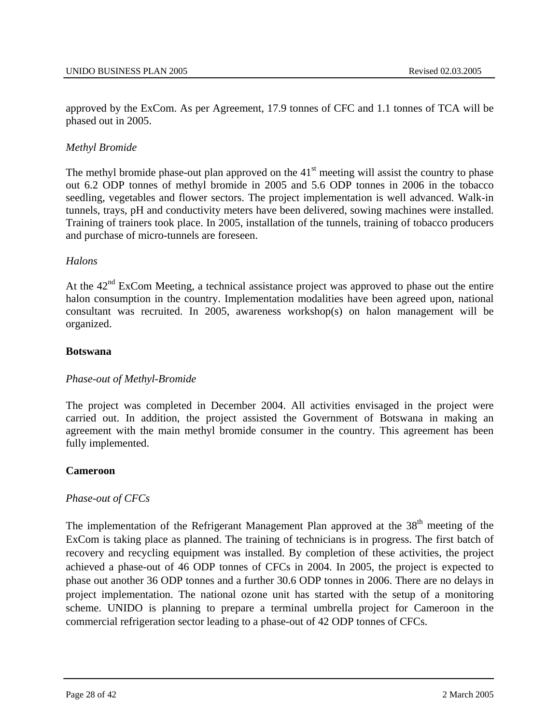approved by the ExCom. As per Agreement, 17.9 tonnes of CFC and 1.1 tonnes of TCA will be phased out in 2005.

# *Methyl Bromide*

The methyl bromide phase-out plan approved on the  $41<sup>st</sup>$  meeting will assist the country to phase out 6.2 ODP tonnes of methyl bromide in 2005 and 5.6 ODP tonnes in 2006 in the tobacco seedling, vegetables and flower sectors. The project implementation is well advanced. Walk-in tunnels, trays, pH and conductivity meters have been delivered, sowing machines were installed. Training of trainers took place. In 2005, installation of the tunnels, training of tobacco producers and purchase of micro-tunnels are foreseen.

#### *Halons*

At the  $42<sup>nd</sup>$  ExCom Meeting, a technical assistance project was approved to phase out the entire halon consumption in the country. Implementation modalities have been agreed upon, national consultant was recruited. In 2005, awareness workshop(s) on halon management will be organized.

#### **Botswana**

#### *Phase-out of Methyl-Bromide*

The project was completed in December 2004. All activities envisaged in the project were carried out. In addition, the project assisted the Government of Botswana in making an agreement with the main methyl bromide consumer in the country. This agreement has been fully implemented.

#### **Cameroon**

#### *Phase-out of CFCs*

The implementation of the Refrigerant Management Plan approved at the  $38<sup>th</sup>$  meeting of the ExCom is taking place as planned. The training of technicians is in progress. The first batch of recovery and recycling equipment was installed. By completion of these activities, the project achieved a phase-out of 46 ODP tonnes of CFCs in 2004. In 2005, the project is expected to phase out another 36 ODP tonnes and a further 30.6 ODP tonnes in 2006. There are no delays in project implementation. The national ozone unit has started with the setup of a monitoring scheme. UNIDO is planning to prepare a terminal umbrella project for Cameroon in the commercial refrigeration sector leading to a phase-out of 42 ODP tonnes of CFCs.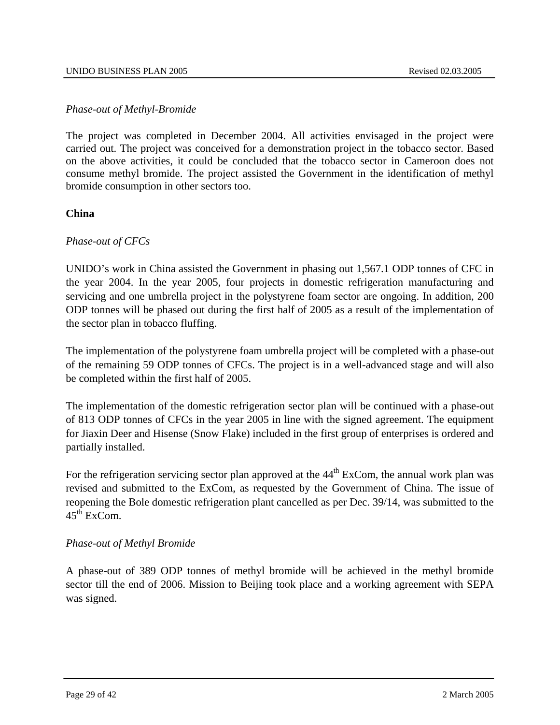# *Phase-out of Methyl-Bromide*

The project was completed in December 2004. All activities envisaged in the project were carried out. The project was conceived for a demonstration project in the tobacco sector. Based on the above activities, it could be concluded that the tobacco sector in Cameroon does not consume methyl bromide. The project assisted the Government in the identification of methyl bromide consumption in other sectors too.

# **China**

# *Phase-out of CFCs*

UNIDO's work in China assisted the Government in phasing out 1,567.1 ODP tonnes of CFC in the year 2004. In the year 2005, four projects in domestic refrigeration manufacturing and servicing and one umbrella project in the polystyrene foam sector are ongoing. In addition, 200 ODP tonnes will be phased out during the first half of 2005 as a result of the implementation of the sector plan in tobacco fluffing.

The implementation of the polystyrene foam umbrella project will be completed with a phase-out of the remaining 59 ODP tonnes of CFCs. The project is in a well-advanced stage and will also be completed within the first half of 2005.

The implementation of the domestic refrigeration sector plan will be continued with a phase-out of 813 ODP tonnes of CFCs in the year 2005 in line with the signed agreement. The equipment for Jiaxin Deer and Hisense (Snow Flake) included in the first group of enterprises is ordered and partially installed.

For the refrigeration servicing sector plan approved at the  $44<sup>th</sup>$  ExCom, the annual work plan was revised and submitted to the ExCom, as requested by the Government of China. The issue of reopening the Bole domestic refrigeration plant cancelled as per Dec. 39/14, was submitted to the  $45^{\text{th}}$  ExCom.

#### *Phase-out of Methyl Bromide*

A phase-out of 389 ODP tonnes of methyl bromide will be achieved in the methyl bromide sector till the end of 2006. Mission to Beijing took place and a working agreement with SEPA was signed.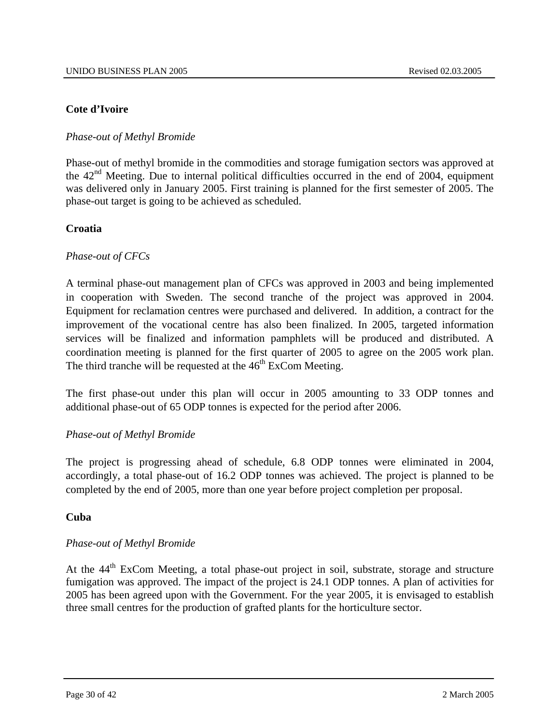# **Cote d'Ivoire**

# *Phase-out of Methyl Bromide*

Phase-out of methyl bromide in the commodities and storage fumigation sectors was approved at the  $42<sup>nd</sup>$  Meeting. Due to internal political difficulties occurred in the end of 2004, equipment was delivered only in January 2005. First training is planned for the first semester of 2005. The phase-out target is going to be achieved as scheduled.

# **Croatia**

# *Phase-out of CFCs*

A terminal phase-out management plan of CFCs was approved in 2003 and being implemented in cooperation with Sweden. The second tranche of the project was approved in 2004. Equipment for reclamation centres were purchased and delivered. In addition, a contract for the improvement of the vocational centre has also been finalized. In 2005, targeted information services will be finalized and information pamphlets will be produced and distributed. A coordination meeting is planned for the first quarter of 2005 to agree on the 2005 work plan. The third tranche will be requested at the  $46<sup>th</sup>$  ExCom Meeting.

The first phase-out under this plan will occur in 2005 amounting to 33 ODP tonnes and additional phase-out of 65 ODP tonnes is expected for the period after 2006.

#### *Phase-out of Methyl Bromide*

The project is progressing ahead of schedule, 6.8 ODP tonnes were eliminated in 2004, accordingly, a total phase-out of 16.2 ODP tonnes was achieved. The project is planned to be completed by the end of 2005, more than one year before project completion per proposal.

#### **Cuba**

#### *Phase-out of Methyl Bromide*

At the 44<sup>th</sup> ExCom Meeting, a total phase-out project in soil, substrate, storage and structure fumigation was approved. The impact of the project is 24.1 ODP tonnes. A plan of activities for 2005 has been agreed upon with the Government. For the year 2005, it is envisaged to establish three small centres for the production of grafted plants for the horticulture sector.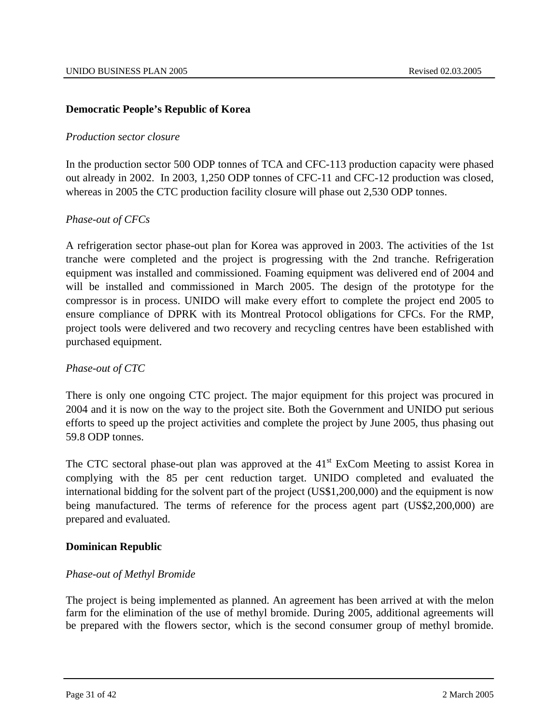# **Democratic People's Republic of Korea**

#### *Production sector closure*

In the production sector 500 ODP tonnes of TCA and CFC-113 production capacity were phased out already in 2002. In 2003, 1,250 ODP tonnes of CFC-11 and CFC-12 production was closed, whereas in 2005 the CTC production facility closure will phase out 2,530 ODP tonnes.

# *Phase-out of CFCs*

A refrigeration sector phase-out plan for Korea was approved in 2003. The activities of the 1st tranche were completed and the project is progressing with the 2nd tranche. Refrigeration equipment was installed and commissioned. Foaming equipment was delivered end of 2004 and will be installed and commissioned in March 2005. The design of the prototype for the compressor is in process. UNIDO will make every effort to complete the project end 2005 to ensure compliance of DPRK with its Montreal Protocol obligations for CFCs. For the RMP, project tools were delivered and two recovery and recycling centres have been established with purchased equipment.

#### *Phase-out of CTC*

There is only one ongoing CTC project. The major equipment for this project was procured in 2004 and it is now on the way to the project site. Both the Government and UNIDO put serious efforts to speed up the project activities and complete the project by June 2005, thus phasing out 59.8 ODP tonnes.

The CTC sectoral phase-out plan was approved at the 41<sup>st</sup> ExCom Meeting to assist Korea in complying with the 85 per cent reduction target. UNIDO completed and evaluated the international bidding for the solvent part of the project (US\$1,200,000) and the equipment is now being manufactured. The terms of reference for the process agent part (US\$2,200,000) are prepared and evaluated.

#### **Dominican Republic**

#### *Phase-out of Methyl Bromide*

The project is being implemented as planned. An agreement has been arrived at with the melon farm for the elimination of the use of methyl bromide. During 2005, additional agreements will be prepared with the flowers sector, which is the second consumer group of methyl bromide.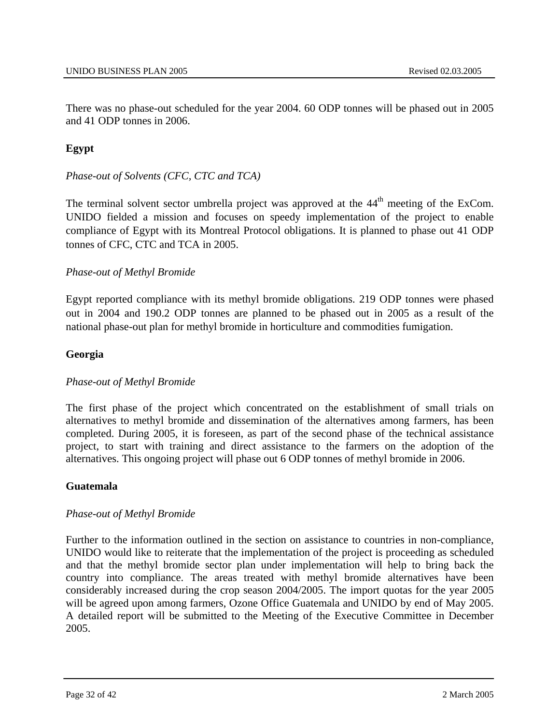There was no phase-out scheduled for the year 2004. 60 ODP tonnes will be phased out in 2005 and 41 ODP tonnes in 2006.

# **Egypt**

# *Phase-out of Solvents (CFC, CTC and TCA)*

The terminal solvent sector umbrella project was approved at the 44<sup>th</sup> meeting of the ExCom. UNIDO fielded a mission and focuses on speedy implementation of the project to enable compliance of Egypt with its Montreal Protocol obligations. It is planned to phase out 41 ODP tonnes of CFC, CTC and TCA in 2005.

# *Phase-out of Methyl Bromide*

Egypt reported compliance with its methyl bromide obligations. 219 ODP tonnes were phased out in 2004 and 190.2 ODP tonnes are planned to be phased out in 2005 as a result of the national phase-out plan for methyl bromide in horticulture and commodities fumigation.

# **Georgia**

#### *Phase-out of Methyl Bromide*

The first phase of the project which concentrated on the establishment of small trials on alternatives to methyl bromide and dissemination of the alternatives among farmers, has been completed. During 2005, it is foreseen, as part of the second phase of the technical assistance project, to start with training and direct assistance to the farmers on the adoption of the alternatives. This ongoing project will phase out 6 ODP tonnes of methyl bromide in 2006.

#### **Guatemala**

#### *Phase-out of Methyl Bromide*

Further to the information outlined in the section on assistance to countries in non-compliance, UNIDO would like to reiterate that the implementation of the project is proceeding as scheduled and that the methyl bromide sector plan under implementation will help to bring back the country into compliance. The areas treated with methyl bromide alternatives have been considerably increased during the crop season 2004/2005. The import quotas for the year 2005 will be agreed upon among farmers, Ozone Office Guatemala and UNIDO by end of May 2005. A detailed report will be submitted to the Meeting of the Executive Committee in December 2005.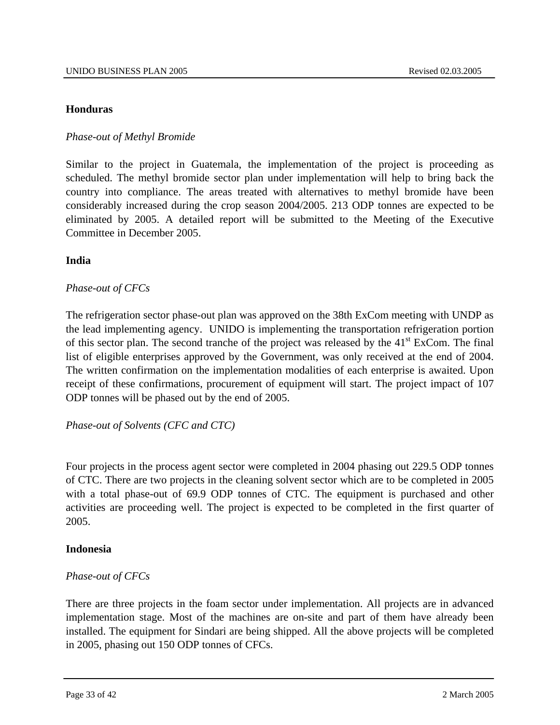#### **Honduras**

# *Phase-out of Methyl Bromide*

Similar to the project in Guatemala, the implementation of the project is proceeding as scheduled. The methyl bromide sector plan under implementation will help to bring back the country into compliance. The areas treated with alternatives to methyl bromide have been considerably increased during the crop season 2004/2005. 213 ODP tonnes are expected to be eliminated by 2005. A detailed report will be submitted to the Meeting of the Executive Committee in December 2005.

# **India**

# *Phase-out of CFCs*

The refrigeration sector phase-out plan was approved on the 38th ExCom meeting with UNDP as the lead implementing agency. UNIDO is implementing the transportation refrigeration portion of this sector plan. The second tranche of the project was released by the  $41<sup>st</sup>$  ExCom. The final list of eligible enterprises approved by the Government, was only received at the end of 2004. The written confirmation on the implementation modalities of each enterprise is awaited. Upon receipt of these confirmations, procurement of equipment will start. The project impact of 107 ODP tonnes will be phased out by the end of 2005.

*Phase-out of Solvents (CFC and CTC)* 

Four projects in the process agent sector were completed in 2004 phasing out 229.5 ODP tonnes of CTC. There are two projects in the cleaning solvent sector which are to be completed in 2005 with a total phase-out of 69.9 ODP tonnes of CTC. The equipment is purchased and other activities are proceeding well. The project is expected to be completed in the first quarter of 2005.

#### **Indonesia**

# *Phase-out of CFCs*

There are three projects in the foam sector under implementation. All projects are in advanced implementation stage. Most of the machines are on-site and part of them have already been installed. The equipment for Sindari are being shipped. All the above projects will be completed in 2005, phasing out 150 ODP tonnes of CFCs.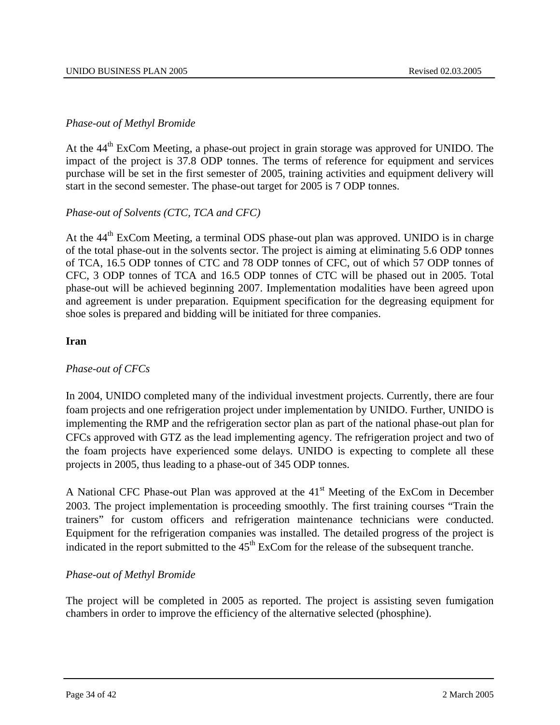# *Phase-out of Methyl Bromide*

At the  $44<sup>th</sup>$  ExCom Meeting, a phase-out project in grain storage was approved for UNIDO. The impact of the project is 37.8 ODP tonnes. The terms of reference for equipment and services purchase will be set in the first semester of 2005, training activities and equipment delivery will start in the second semester. The phase-out target for 2005 is 7 ODP tonnes.

# *Phase-out of Solvents (CTC, TCA and CFC)*

At the 44<sup>th</sup> ExCom Meeting, a terminal ODS phase-out plan was approved. UNIDO is in charge of the total phase-out in the solvents sector. The project is aiming at eliminating 5.6 ODP tonnes of TCA, 16.5 ODP tonnes of CTC and 78 ODP tonnes of CFC, out of which 57 ODP tonnes of CFC, 3 ODP tonnes of TCA and 16.5 ODP tonnes of CTC will be phased out in 2005. Total phase-out will be achieved beginning 2007. Implementation modalities have been agreed upon and agreement is under preparation. Equipment specification for the degreasing equipment for shoe soles is prepared and bidding will be initiated for three companies.

# **Iran**

# *Phase-out of CFCs*

In 2004, UNIDO completed many of the individual investment projects. Currently, there are four foam projects and one refrigeration project under implementation by UNIDO. Further, UNIDO is implementing the RMP and the refrigeration sector plan as part of the national phase-out plan for CFCs approved with GTZ as the lead implementing agency. The refrigeration project and two of the foam projects have experienced some delays. UNIDO is expecting to complete all these projects in 2005, thus leading to a phase-out of 345 ODP tonnes.

A National CFC Phase-out Plan was approved at the  $41<sup>st</sup>$  Meeting of the ExCom in December 2003. The project implementation is proceeding smoothly. The first training courses "Train the trainers" for custom officers and refrigeration maintenance technicians were conducted. Equipment for the refrigeration companies was installed. The detailed progress of the project is indicated in the report submitted to the 45<sup>th</sup> ExCom for the release of the subsequent tranche.

# *Phase-out of Methyl Bromide*

The project will be completed in 2005 as reported. The project is assisting seven fumigation chambers in order to improve the efficiency of the alternative selected (phosphine).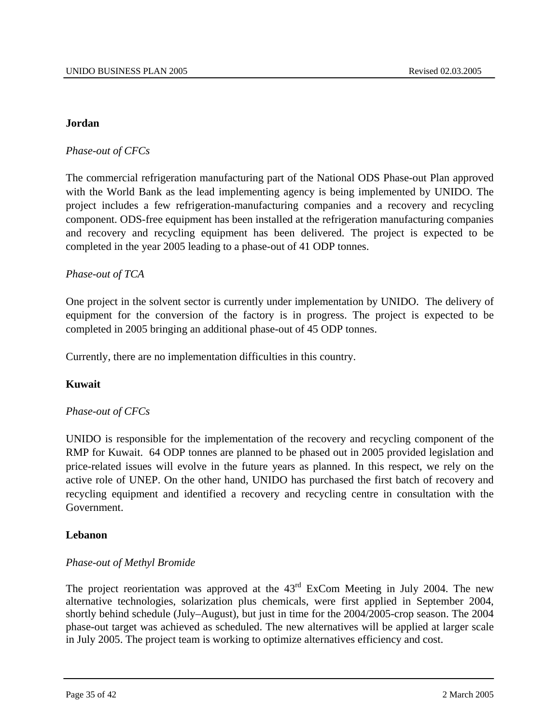#### **Jordan**

# *Phase-out of CFCs*

The commercial refrigeration manufacturing part of the National ODS Phase-out Plan approved with the World Bank as the lead implementing agency is being implemented by UNIDO. The project includes a few refrigeration-manufacturing companies and a recovery and recycling component. ODS-free equipment has been installed at the refrigeration manufacturing companies and recovery and recycling equipment has been delivered. The project is expected to be completed in the year 2005 leading to a phase-out of 41 ODP tonnes.

# *Phase-out of TCA*

One project in the solvent sector is currently under implementation by UNIDO. The delivery of equipment for the conversion of the factory is in progress. The project is expected to be completed in 2005 bringing an additional phase-out of 45 ODP tonnes.

Currently, there are no implementation difficulties in this country.

#### **Kuwait**

#### *Phase-out of CFCs*

UNIDO is responsible for the implementation of the recovery and recycling component of the RMP for Kuwait. 64 ODP tonnes are planned to be phased out in 2005 provided legislation and price-related issues will evolve in the future years as planned. In this respect, we rely on the active role of UNEP. On the other hand, UNIDO has purchased the first batch of recovery and recycling equipment and identified a recovery and recycling centre in consultation with the Government.

#### **Lebanon**

#### *Phase-out of Methyl Bromide*

The project reorientation was approved at the  $43<sup>rd</sup>$  ExCom Meeting in July 2004. The new alternative technologies, solarization plus chemicals, were first applied in September 2004, shortly behind schedule (July–August), but just in time for the 2004/2005-crop season. The 2004 phase-out target was achieved as scheduled. The new alternatives will be applied at larger scale in July 2005. The project team is working to optimize alternatives efficiency and cost.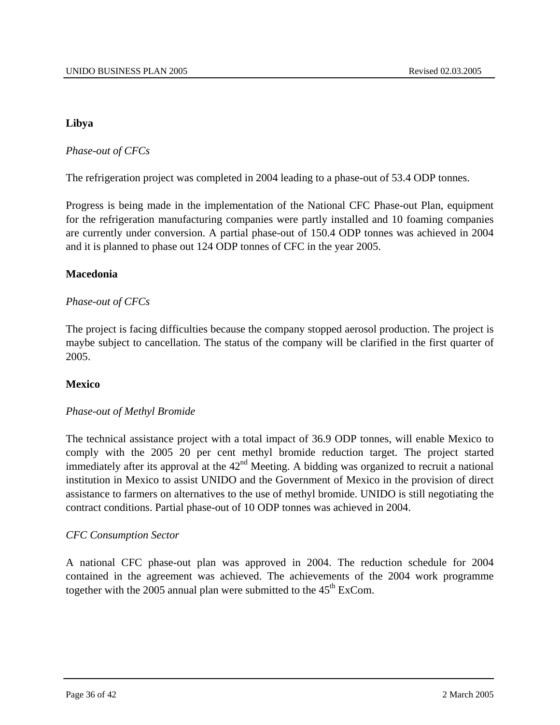# **Libya**

*Phase-out of CFCs*

The refrigeration project was completed in 2004 leading to a phase-out of 53.4 ODP tonnes.

Progress is being made in the implementation of the National CFC Phase-out Plan, equipment for the refrigeration manufacturing companies were partly installed and 10 foaming companies are currently under conversion. A partial phase-out of 150.4 ODP tonnes was achieved in 2004 and it is planned to phase out 124 ODP tonnes of CFC in the year 2005.

# **Macedonia**

# *Phase-out of CFCs*

The project is facing difficulties because the company stopped aerosol production. The project is maybe subject to cancellation. The status of the company will be clarified in the first quarter of 2005.

# **Mexico**

# *Phase-out of Methyl Bromide*

The technical assistance project with a total impact of 36.9 ODP tonnes, will enable Mexico to comply with the 2005 20 per cent methyl bromide reduction target. The project started immediately after its approval at the  $42<sup>nd</sup>$  Meeting. A bidding was organized to recruit a national institution in Mexico to assist UNIDO and the Government of Mexico in the provision of direct assistance to farmers on alternatives to the use of methyl bromide. UNIDO is still negotiating the contract conditions. Partial phase-out of 10 ODP tonnes was achieved in 2004.

# *CFC Consumption Sector*

A national CFC phase-out plan was approved in 2004. The reduction schedule for 2004 contained in the agreement was achieved. The achievements of the 2004 work programme together with the 2005 annual plan were submitted to the  $45<sup>th</sup>$  ExCom.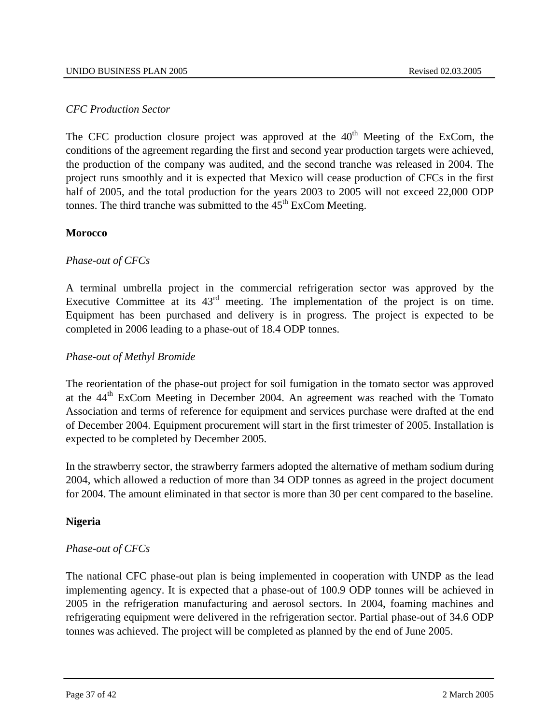#### *CFC Production Sector*

The CFC production closure project was approved at the  $40<sup>th</sup>$  Meeting of the ExCom, the conditions of the agreement regarding the first and second year production targets were achieved, the production of the company was audited, and the second tranche was released in 2004. The project runs smoothly and it is expected that Mexico will cease production of CFCs in the first half of 2005, and the total production for the years 2003 to 2005 will not exceed 22,000 ODP tonnes. The third tranche was submitted to the  $45<sup>th</sup>$  ExCom Meeting.

# **Morocco**

# *Phase-out of CFCs*

A terminal umbrella project in the commercial refrigeration sector was approved by the Executive Committee at its  $43<sup>rd</sup>$  meeting. The implementation of the project is on time. Equipment has been purchased and delivery is in progress. The project is expected to be completed in 2006 leading to a phase-out of 18.4 ODP tonnes.

# *Phase-out of Methyl Bromide*

The reorientation of the phase-out project for soil fumigation in the tomato sector was approved at the 44<sup>th</sup> ExCom Meeting in December 2004. An agreement was reached with the Tomato Association and terms of reference for equipment and services purchase were drafted at the end of December 2004. Equipment procurement will start in the first trimester of 2005. Installation is expected to be completed by December 2005.

In the strawberry sector, the strawberry farmers adopted the alternative of metham sodium during 2004, which allowed a reduction of more than 34 ODP tonnes as agreed in the project document for 2004. The amount eliminated in that sector is more than 30 per cent compared to the baseline.

# **Nigeria**

# *Phase-out of CFCs*

The national CFC phase-out plan is being implemented in cooperation with UNDP as the lead implementing agency. It is expected that a phase-out of 100.9 ODP tonnes will be achieved in 2005 in the refrigeration manufacturing and aerosol sectors. In 2004, foaming machines and refrigerating equipment were delivered in the refrigeration sector. Partial phase-out of 34.6 ODP tonnes was achieved. The project will be completed as planned by the end of June 2005.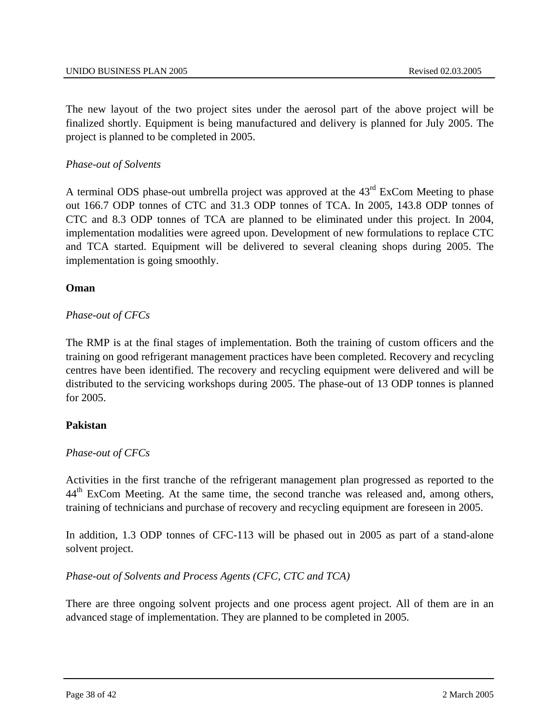The new layout of the two project sites under the aerosol part of the above project will be finalized shortly. Equipment is being manufactured and delivery is planned for July 2005. The project is planned to be completed in 2005.

# *Phase-out of Solvents*

A terminal ODS phase-out umbrella project was approved at the 43<sup>rd</sup> ExCom Meeting to phase out 166.7 ODP tonnes of CTC and 31.3 ODP tonnes of TCA. In 2005, 143.8 ODP tonnes of CTC and 8.3 ODP tonnes of TCA are planned to be eliminated under this project. In 2004, implementation modalities were agreed upon. Development of new formulations to replace CTC and TCA started. Equipment will be delivered to several cleaning shops during 2005. The implementation is going smoothly.

# **Oman**

# *Phase-out of CFCs*

The RMP is at the final stages of implementation. Both the training of custom officers and the training on good refrigerant management practices have been completed. Recovery and recycling centres have been identified. The recovery and recycling equipment were delivered and will be distributed to the servicing workshops during 2005. The phase-out of 13 ODP tonnes is planned for 2005.

# **Pakistan**

# *Phase-out of CFCs*

Activities in the first tranche of the refrigerant management plan progressed as reported to the 44<sup>th</sup> ExCom Meeting. At the same time, the second tranche was released and, among others, training of technicians and purchase of recovery and recycling equipment are foreseen in 2005.

In addition, 1.3 ODP tonnes of CFC-113 will be phased out in 2005 as part of a stand-alone solvent project.

# *Phase-out of Solvents and Process Agents (CFC, CTC and TCA)*

There are three ongoing solvent projects and one process agent project. All of them are in an advanced stage of implementation. They are planned to be completed in 2005.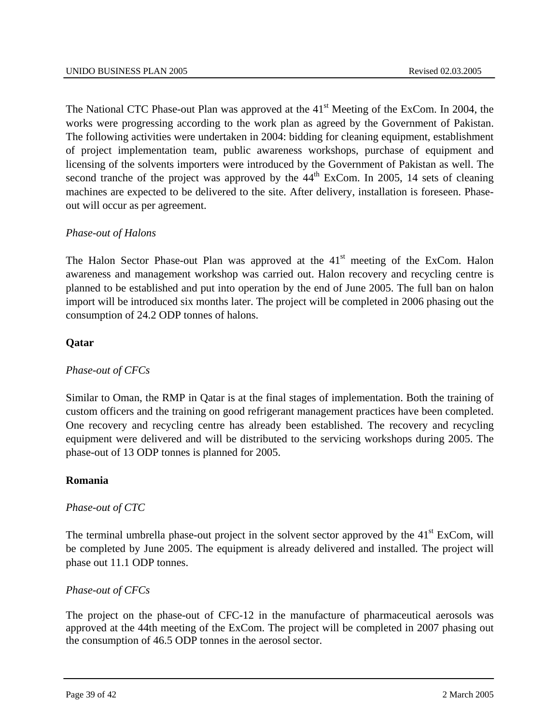The National CTC Phase-out Plan was approved at the  $41<sup>st</sup>$  Meeting of the ExCom. In 2004, the works were progressing according to the work plan as agreed by the Government of Pakistan. The following activities were undertaken in 2004: bidding for cleaning equipment, establishment of project implementation team, public awareness workshops, purchase of equipment and licensing of the solvents importers were introduced by the Government of Pakistan as well. The second tranche of the project was approved by the  $44<sup>th</sup>$  ExCom. In 2005, 14 sets of cleaning machines are expected to be delivered to the site. After delivery, installation is foreseen. Phaseout will occur as per agreement.

# *Phase-out of Halons*

The Halon Sector Phase-out Plan was approved at the  $41<sup>st</sup>$  meeting of the ExCom. Halon awareness and management workshop was carried out. Halon recovery and recycling centre is planned to be established and put into operation by the end of June 2005. The full ban on halon import will be introduced six months later. The project will be completed in 2006 phasing out the consumption of 24.2 ODP tonnes of halons.

# **Qatar**

# *Phase-out of CFCs*

Similar to Oman, the RMP in Qatar is at the final stages of implementation. Both the training of custom officers and the training on good refrigerant management practices have been completed. One recovery and recycling centre has already been established. The recovery and recycling equipment were delivered and will be distributed to the servicing workshops during 2005. The phase-out of 13 ODP tonnes is planned for 2005.

#### **Romania**

# *Phase-out of CTC*

The terminal umbrella phase-out project in the solvent sector approved by the  $41<sup>st</sup>$  ExCom, will be completed by June 2005. The equipment is already delivered and installed. The project will phase out 11.1 ODP tonnes.

#### *Phase-out of CFCs*

The project on the phase-out of CFC-12 in the manufacture of pharmaceutical aerosols was approved at the 44th meeting of the ExCom. The project will be completed in 2007 phasing out the consumption of 46.5 ODP tonnes in the aerosol sector.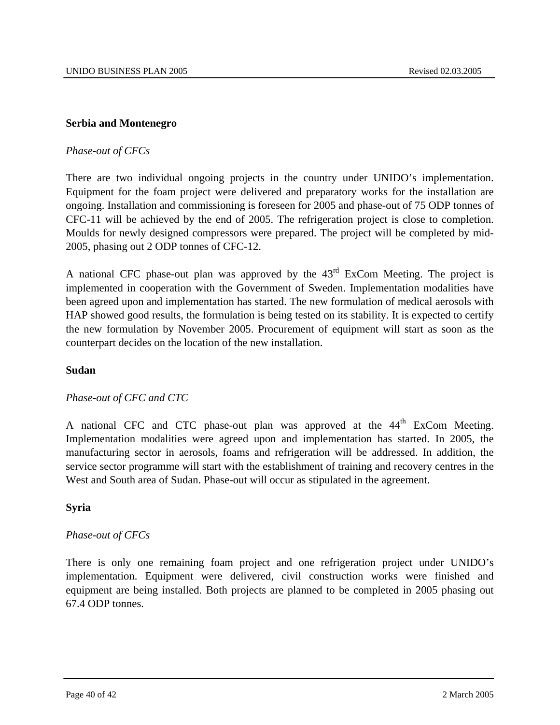# **Serbia and Montenegro**

# *Phase-out of CFCs*

There are two individual ongoing projects in the country under UNIDO's implementation. Equipment for the foam project were delivered and preparatory works for the installation are ongoing. Installation and commissioning is foreseen for 2005 and phase-out of 75 ODP tonnes of CFC-11 will be achieved by the end of 2005. The refrigeration project is close to completion. Moulds for newly designed compressors were prepared. The project will be completed by mid-2005, phasing out 2 ODP tonnes of CFC-12.

A national CFC phase-out plan was approved by the 43rd ExCom Meeting. The project is implemented in cooperation with the Government of Sweden. Implementation modalities have been agreed upon and implementation has started. The new formulation of medical aerosols with HAP showed good results, the formulation is being tested on its stability. It is expected to certify the new formulation by November 2005. Procurement of equipment will start as soon as the counterpart decides on the location of the new installation.

#### **Sudan**

#### *Phase-out of CFC and CTC*

A national CFC and CTC phase-out plan was approved at the 44<sup>th</sup> ExCom Meeting. Implementation modalities were agreed upon and implementation has started. In 2005, the manufacturing sector in aerosols, foams and refrigeration will be addressed. In addition, the service sector programme will start with the establishment of training and recovery centres in the West and South area of Sudan. Phase-out will occur as stipulated in the agreement.

#### **Syria**

#### *Phase-out of CFCs*

There is only one remaining foam project and one refrigeration project under UNIDO's implementation. Equipment were delivered, civil construction works were finished and equipment are being installed. Both projects are planned to be completed in 2005 phasing out 67.4 ODP tonnes.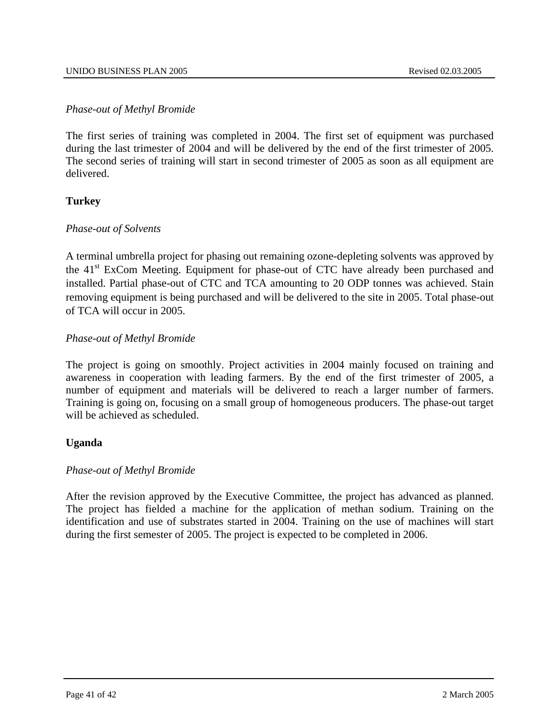# *Phase-out of Methyl Bromide*

The first series of training was completed in 2004. The first set of equipment was purchased during the last trimester of 2004 and will be delivered by the end of the first trimester of 2005. The second series of training will start in second trimester of 2005 as soon as all equipment are delivered.

# **Turkey**

#### *Phase-out of Solvents*

A terminal umbrella project for phasing out remaining ozone-depleting solvents was approved by the 41st ExCom Meeting. Equipment for phase-out of CTC have already been purchased and installed. Partial phase-out of CTC and TCA amounting to 20 ODP tonnes was achieved. Stain removing equipment is being purchased and will be delivered to the site in 2005. Total phase-out of TCA will occur in 2005.

# *Phase-out of Methyl Bromide*

The project is going on smoothly. Project activities in 2004 mainly focused on training and awareness in cooperation with leading farmers. By the end of the first trimester of 2005, a number of equipment and materials will be delivered to reach a larger number of farmers. Training is going on, focusing on a small group of homogeneous producers. The phase-out target will be achieved as scheduled.

# **Uganda**

# *Phase-out of Methyl Bromide*

After the revision approved by the Executive Committee, the project has advanced as planned. The project has fielded a machine for the application of methan sodium. Training on the identification and use of substrates started in 2004. Training on the use of machines will start during the first semester of 2005. The project is expected to be completed in 2006.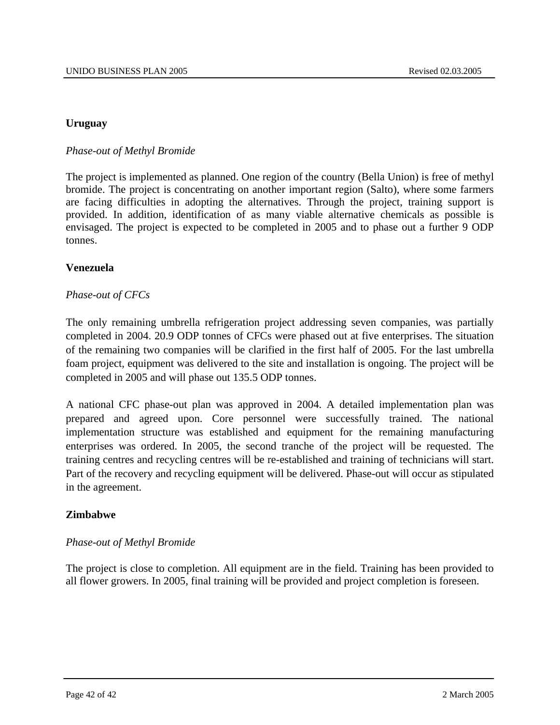# **Uruguay**

# *Phase-out of Methyl Bromide*

The project is implemented as planned. One region of the country (Bella Union) is free of methyl bromide. The project is concentrating on another important region (Salto), where some farmers are facing difficulties in adopting the alternatives. Through the project, training support is provided. In addition, identification of as many viable alternative chemicals as possible is envisaged. The project is expected to be completed in 2005 and to phase out a further 9 ODP tonnes.

#### **Venezuela**

# *Phase-out of CFCs*

The only remaining umbrella refrigeration project addressing seven companies, was partially completed in 2004. 20.9 ODP tonnes of CFCs were phased out at five enterprises. The situation of the remaining two companies will be clarified in the first half of 2005. For the last umbrella foam project, equipment was delivered to the site and installation is ongoing. The project will be completed in 2005 and will phase out 135.5 ODP tonnes.

A national CFC phase-out plan was approved in 2004. A detailed implementation plan was prepared and agreed upon. Core personnel were successfully trained. The national implementation structure was established and equipment for the remaining manufacturing enterprises was ordered. In 2005, the second tranche of the project will be requested. The training centres and recycling centres will be re-established and training of technicians will start. Part of the recovery and recycling equipment will be delivered. Phase-out will occur as stipulated in the agreement.

#### **Zimbabwe**

#### *Phase-out of Methyl Bromide*

The project is close to completion. All equipment are in the field. Training has been provided to all flower growers. In 2005, final training will be provided and project completion is foreseen.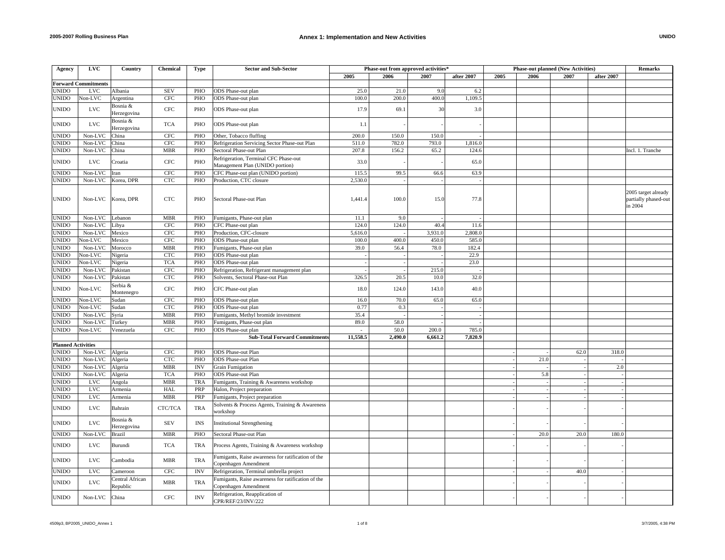| Agency                       | <b>LVC</b>                 | Country                     | <b>Chemical</b>     | Type       | <b>Sector and Sub-Sector</b>                                               |              | Phase-out from approved activities* |               |              |      |      | <b>Phase-out planned (New Activities)</b> |            | <b>Remarks</b>                                         |
|------------------------------|----------------------------|-----------------------------|---------------------|------------|----------------------------------------------------------------------------|--------------|-------------------------------------|---------------|--------------|------|------|-------------------------------------------|------------|--------------------------------------------------------|
|                              |                            |                             |                     |            |                                                                            | 2005         | 2006                                | 2007          | after 2007   | 2005 | 2006 | 2007                                      | after 2007 |                                                        |
|                              | <b>Forward Commitments</b> |                             |                     |            |                                                                            |              |                                     |               |              |      |      |                                           |            |                                                        |
| <b>UNIDO</b>                 | <b>LVC</b>                 | Albania                     | <b>SEV</b>          | PHO        | ODS Phase-out plan                                                         | 25.0         | 21.0                                | 9.0           | 6.2          |      |      |                                           |            |                                                        |
| <b>UNIDO</b>                 | Non-LVC                    | Argentina                   | <b>CFC</b>          | PHO        | ODS Phase-out plan                                                         | 100.0        | 200.0                               | 400.0         | 1,109.5      |      |      |                                           |            |                                                        |
| <b>UNIDO</b>                 | $_{\rm LVC}$               | Bosnia &<br>Herzegovina     | $_{\mathrm{CFC}}$   | PHO        | ODS Phase-out plan                                                         | 17.9         | 69.1                                | 30            | 3.0          |      |      |                                           |            |                                                        |
| <b>UNIDO</b>                 | $_{\rm LVC}$               | Bosnia &<br>Herzegovina     | <b>TCA</b>          | PHO        | ODS Phase-out plan                                                         | 1.1          |                                     |               |              |      |      |                                           |            |                                                        |
| <b>UNIDO</b>                 | Non-LVC                    | China                       | CFC                 | PHO        | Other, Tobacco fluffing                                                    | 200.0        | 150.0                               | 150.0         |              |      |      |                                           |            |                                                        |
| <b>UNIDO</b>                 | Non-LVC                    | China                       | <b>CFC</b>          | PHO        | Refrigeration Servicing Sector Phase-out Plan                              | 511.0        | 782.0                               | 793.0         | 1,816.0      |      |      |                                           |            |                                                        |
| <b>UNIDO</b>                 | Non-LVC                    | China                       | <b>MBR</b>          | PHO        | Sectoral Phase-out Plan                                                    | 207.8        | 156.2                               | 65.2          | 124.6        |      |      |                                           |            | Incl. 1. Tranche                                       |
|                              |                            |                             |                     |            |                                                                            |              |                                     |               |              |      |      |                                           |            |                                                        |
| <b>UNIDO</b>                 | $_{\rm LVC}$               | Croatia                     | $_{\mathrm{CFC}}$   | PHO        | Refrigeration, Terminal CFC Phase-out<br>Management Plan (UNIDO portion)   | 33.0         |                                     |               | 65.0         |      |      |                                           |            |                                                        |
| <b>UNIDO</b>                 | Non-LVC                    | Iran                        | <b>CFC</b>          | PHO        | CFC Phase-out plan (UNIDO portion)                                         | 115.5        | 99.5                                | 66.6          | 63.9         |      |      |                                           |            |                                                        |
| <b>UNIDO</b>                 | Non-LVC                    | Korea, DPR                  | CTC                 | PHO        | Production, CTC closure                                                    | 2,530.0      |                                     |               |              |      |      |                                           |            |                                                        |
| <b>UNIDO</b>                 | Non-LVC                    | Korea, DPR                  | <b>CTC</b>          | PHO        | Sectoral Phase-out Plan                                                    | 1,441.4      | 100.0                               | 15.0          | 77.8         |      |      |                                           |            | 2005 target already<br>partially phased-out<br>in 2004 |
| <b>UNIDO</b>                 | Non-LVC                    | Lebanon                     | <b>MBR</b>          | PHO        | Fumigants, Phase-out plan                                                  | 11.1         | 9.0                                 |               |              |      |      |                                           |            |                                                        |
| <b>UNIDO</b>                 | Non-LVC                    | Libya                       | <b>CFC</b>          | PHO        | CFC Phase-out plan                                                         | 124.0        | 124.0                               | 40.4          | 11.6         |      |      |                                           |            |                                                        |
| <b>UNIDO</b>                 | Non-LVC                    | Mexico                      | <b>CFC</b>          | PHO        | Production, CFC-closure                                                    | 5,616.0      |                                     | 3,931.0       | 2.808.0      |      |      |                                           |            |                                                        |
| <b>UNIDO</b>                 | Non-LVC                    | Mexico                      | CFC                 | PHO        | ODS Phase-out plan                                                         | 100.0        | 400.0                               | 450.0         | 585.0        |      |      |                                           |            |                                                        |
| <b>UNIDO</b>                 | Non-LVC                    | Morocco                     | <b>MBR</b>          | PHO        | Fumigants, Phase-out plan                                                  | 39.0         | 56.4                                | 78.0          | 182.4        |      |      |                                           |            |                                                        |
| <b>UNIDO</b>                 | Non-LVC                    | Nigeria                     | <b>CTC</b>          | PHO        | ODS Phase-out plan                                                         |              |                                     |               | 22.9         |      |      |                                           |            |                                                        |
| <b>UNIDO</b>                 | Non-LVC                    | Nigeria                     | <b>TCA</b>          | PHO        | ODS Phase-out plan                                                         |              |                                     |               | 23.0         |      |      |                                           |            |                                                        |
| <b>UNIDO</b>                 | Non-LVC                    | Pakistan                    | $_{\rm CFC}$        | PHO        | Refrigeration, Refrigerant management plan                                 |              |                                     | 215.0         |              |      |      |                                           |            |                                                        |
| <b>UNIDO</b>                 | Non-LVC                    | Pakistan                    | CTC                 | PHO        | Solvents, Sectoral Phase-out Plan                                          | 326.5        | 20.5                                | 10.0          | 32.0         |      |      |                                           |            |                                                        |
|                              |                            | Serbia &                    |                     |            |                                                                            |              |                                     |               |              |      |      |                                           |            |                                                        |
| <b>UNIDO</b><br><b>UNIDO</b> | Non-LVC<br>Non-LVC         | Montenegro<br>Sudan         | $_{\rm CFC}$<br>CFC | PHO<br>PHO | CFC Phase-out plan<br>ODS Phase-out plan                                   | 18.0<br>16.0 | 124.0<br>70.0                       | 143.0<br>65.0 | 40.0<br>65.0 |      |      |                                           |            |                                                        |
|                              |                            |                             |                     |            |                                                                            |              |                                     |               |              |      |      |                                           |            |                                                        |
| <b>UNIDO</b>                 | Non-LVC                    | Sudan                       | <b>CTC</b>          | PHO        | ODS Phase-out plan                                                         | 0.77         | 0.3                                 |               |              |      |      |                                           |            |                                                        |
| <b>UNIDO</b>                 | Non-LVC                    | Syria                       | <b>MBR</b>          | PHO        | Fumigants, Methyl bromide investment                                       | 35.4         |                                     |               |              |      |      |                                           |            |                                                        |
| UNIDO                        | Non-LVC                    | Turkey                      | <b>MBR</b>          | PHO        | Fumigants, Phase-out plan                                                  | 89.0         | 58.0                                |               |              |      |      |                                           |            |                                                        |
| <b>UNIDO</b>                 | $Non-LVC$                  | Venezuela                   | <b>CFC</b>          | PHO        | ODS Phase-out plan                                                         | $\sim$       | 50.0                                | 200.0         | 785.0        |      |      |                                           |            |                                                        |
|                              |                            |                             |                     |            | <b>Sub-Total Forward Commitments</b>                                       | 11,558.5     | 2,490.0                             | 6,661.2       | 7,820.9      |      |      |                                           |            |                                                        |
| <b>Planned Activities</b>    |                            |                             |                     |            |                                                                            |              |                                     |               |              |      |      |                                           |            |                                                        |
| <b>UNIDO</b>                 | Non-LVC                    | Algeria                     | <b>CFC</b>          | PHO        | <b>ODS</b> Phase-out Plan                                                  |              |                                     |               |              |      |      | 62.0                                      | 318.0      |                                                        |
| <b>UNIDO</b>                 | Non-LVC                    | Algeria                     | <b>CTC</b>          | PHO        | <b>ODS</b> Phase-out Plan                                                  |              |                                     |               |              |      | 21.0 |                                           |            |                                                        |
| <b>UNIDO</b>                 | Non-LVC                    | Algeria                     | <b>MBR</b>          | <b>INV</b> | <b>Grain Fumigation</b>                                                    |              |                                     |               |              |      |      |                                           | 2.0        |                                                        |
| <b>UNIDO</b>                 | Non-LVC                    | Algeria                     | <b>TCA</b>          | PHO        | <b>ODS</b> Phase-out Plan                                                  |              |                                     |               |              |      | 5.8  |                                           |            |                                                        |
| <b>UNIDO</b>                 | <b>LVC</b>                 | Angola                      | <b>MBR</b>          | TRA        | Fumigants, Training & Awareness workshop                                   |              |                                     |               |              |      |      |                                           |            |                                                        |
| <b>UNIDO</b>                 | <b>LVC</b>                 | Armenia                     | <b>HAL</b>          | PRP        | Halon, Project preparation                                                 |              |                                     |               |              |      |      |                                           |            |                                                        |
| <b>UNIDO</b>                 | $_{\rm LVC}$               | Armenia                     | <b>MBR</b>          | PRP        | Fumigants, Project preparation                                             |              |                                     |               |              |      |      |                                           |            |                                                        |
| <b>UNIDO</b>                 | <b>LVC</b>                 | Bahrain                     | CTC/TCA             | <b>TRA</b> | Solvents & Process Agents, Training & Awareness<br>workshop                |              |                                     |               |              |      |      |                                           |            |                                                        |
| <b>UNIDO</b>                 | $_{\rm LVC}$               | Bosnia &<br>Herzegovina     | <b>SEV</b>          | <b>INS</b> | <b>Institutional Strengthening</b>                                         |              |                                     |               |              |      |      |                                           |            |                                                        |
| <b>UNIDO</b>                 | Non-LVC                    | <b>Brazil</b>               | <b>MBR</b>          | PHO        | Sectoral Phase-out Plan                                                    |              |                                     |               |              |      | 20.0 | 20.0                                      | 180.0      |                                                        |
| <b>UNIDO</b>                 | <b>LVC</b>                 | Burundi                     | <b>TCA</b>          | <b>TRA</b> | Process Agents, Training & Awareness workshop                              |              |                                     |               |              |      |      |                                           |            |                                                        |
| <b>UNIDO</b>                 | <b>LVC</b>                 | Cambodia                    | <b>MBR</b>          | <b>TRA</b> | Fumigants, Raise awareness for ratification of the<br>Copenhagen Amendment |              |                                     |               |              |      |      |                                           |            |                                                        |
| <b>UNIDO</b>                 | <b>LVC</b>                 | Cameroon                    | $\rm CFC$           | <b>INV</b> | Refrigeration, Terminal umbrella project                                   |              |                                     |               |              |      |      | 40.0                                      |            |                                                        |
| <b>UNIDO</b>                 | <b>LVC</b>                 | Central African<br>Republic | <b>MBR</b>          | <b>TRA</b> | Fumigants, Raise awareness for ratification of the<br>Copenhagen Amendment |              |                                     |               |              |      |      |                                           |            |                                                        |
| <b>UNIDO</b>                 | Non-LVC                    | China                       | CFC                 | <b>INV</b> | Refrigeration, Reapplication of<br>CPR/REF/23/INV/222                      |              |                                     |               |              |      |      |                                           |            |                                                        |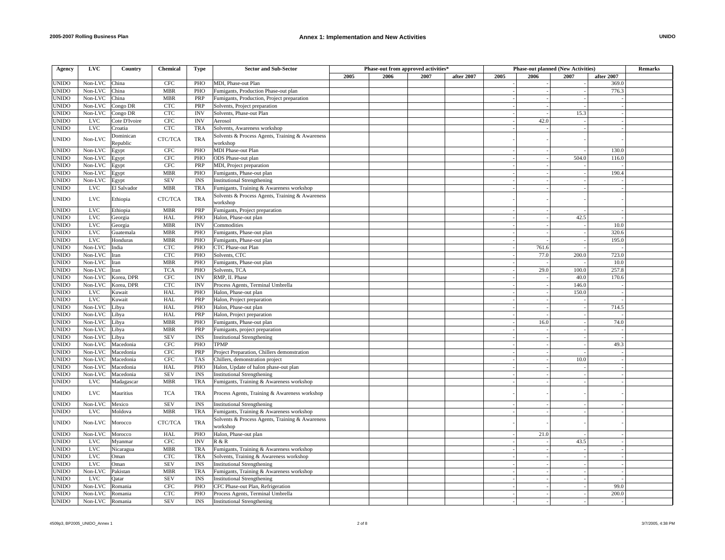| Agency       | <b>LVC</b> | Country               | <b>Chemical</b> | <b>Type</b> | <b>Sector and Sub-Sector</b>                                |              | Phase-out from approved activities <sup>4</sup> |            |      |       | <b>Phase-out planned (New Activities)</b> |            | Remarks |
|--------------|------------|-----------------------|-----------------|-------------|-------------------------------------------------------------|--------------|-------------------------------------------------|------------|------|-------|-------------------------------------------|------------|---------|
|              |            |                       |                 |             |                                                             | 2005<br>2006 | 2007                                            | after 2007 | 2005 | 2006  | 2007                                      | after 2007 |         |
| <b>UNIDO</b> | Non-LVC    | China                 | <b>CFC</b>      | PHO         | MDI, Phase-out Plan                                         |              |                                                 |            |      |       |                                           | 369.0      |         |
| <b>UNIDO</b> | Non-LVC    | China                 | <b>MBR</b>      | PHO         | Fumigants, Production Phase-out plan                        |              |                                                 |            |      |       |                                           | 776.3      |         |
|              | Non-LVC    | China                 | <b>MBR</b>      | PRP         |                                                             |              |                                                 |            |      |       |                                           |            |         |
| <b>UNIDO</b> |            |                       |                 |             | Fumigants, Production, Project preparation                  |              |                                                 |            |      |       |                                           |            |         |
| <b>UNIDO</b> | Non-LVC    | Congo DR              | <b>CTC</b>      | PRP         | Solvents, Project preparation                               |              |                                                 |            |      |       |                                           |            |         |
| <b>UNIDO</b> | Non-LVC    | Congo DR              | <b>CTC</b>      | <b>INV</b>  | Solvents, Phase-out Plan                                    |              |                                                 |            |      |       | 15.3                                      |            |         |
| <b>UNIDO</b> | <b>LVC</b> | Cote D'Ivoire         | <b>CFC</b>      | <b>INV</b>  | Aerosol                                                     |              |                                                 |            |      | 42.0  |                                           |            |         |
| <b>UNIDO</b> | <b>LVC</b> | Croatia               | <b>CTC</b>      | <b>TRA</b>  | Solvents, Awareness workshop                                |              |                                                 |            |      |       |                                           |            |         |
| <b>UNIDO</b> | Non-LVC    | Dominican<br>Republic | CTC/TCA         | <b>TRA</b>  | Solvents & Process Agents, Training & Awareness             |              |                                                 |            |      |       |                                           |            |         |
| <b>UNIDO</b> | Non-LVC    | Egypt                 | <b>CFC</b>      | PHO         | workshop<br>MDI Phase-out Plan                              |              |                                                 |            |      |       |                                           | 130.0      |         |
| <b>UNIDO</b> | Non-LVC    | Egypt                 | <b>CFC</b>      | PHO         | ODS Phase-out plan                                          |              |                                                 |            |      |       | 504.0                                     | 116.0      |         |
| <b>UNIDO</b> | Non-LVC    |                       | <b>CFC</b>      | PRP         | MDI, Project preparation                                    |              |                                                 |            |      |       |                                           |            |         |
|              |            | Egypt                 |                 |             |                                                             |              |                                                 |            |      |       |                                           |            |         |
| <b>UNIDO</b> | Non-LVC    | Egypt                 | <b>MBR</b>      | PHO         | Fumigants, Phase-out plan                                   |              |                                                 |            |      |       |                                           | 190.4      |         |
| <b>UNIDO</b> | Non-LVC    | Egypt                 | <b>SEV</b>      | <b>INS</b>  | <b>Institutional Strengthening</b>                          |              |                                                 |            |      |       |                                           |            |         |
| <b>UNIDO</b> | <b>LVC</b> | El Salvador           | <b>MBR</b>      | <b>TRA</b>  | Fumigants, Training & Awareness workshop                    |              |                                                 |            |      |       |                                           |            |         |
| <b>UNIDO</b> | <b>LVC</b> | Ethiopia              | CTC/TCA         | <b>TRA</b>  | Solvents & Process Agents, Training & Awareness<br>workshop |              |                                                 |            |      |       |                                           |            |         |
| <b>UNIDO</b> | <b>LVC</b> | Ethiopia              | <b>MBR</b>      | PRP         | Fumigants, Project preparation                              |              |                                                 |            |      |       |                                           |            |         |
| <b>UNIDO</b> | <b>LVC</b> | Georgia               | HAL             | PHO         | Halon, Phase-out plan                                       |              |                                                 |            |      |       | 42.5                                      |            |         |
| <b>UNIDO</b> | <b>LVC</b> |                       | <b>MBR</b>      | <b>INV</b>  | Commodities                                                 |              |                                                 |            |      |       |                                           | 10.0       |         |
|              |            | Georgia               |                 |             |                                                             |              |                                                 |            |      |       |                                           |            |         |
| <b>UNIDO</b> | <b>LVC</b> | Guatemala             | <b>MBR</b>      | PHO         | Fumigants, Phase-out plan                                   |              |                                                 |            |      |       |                                           | 320.6      |         |
| <b>UNIDO</b> | <b>LVC</b> | Honduras              | MBR             | PHO         | Fumigants, Phase-out plan                                   |              |                                                 |            |      |       |                                           | 195.0      |         |
| <b>UNIDO</b> | Non-LVC    | India                 | <b>CTC</b>      | PHO         | CTC Phase-out Plan                                          |              |                                                 |            |      | 761.6 |                                           |            |         |
| <b>UNIDO</b> | Non-LVC    | Iran                  | <b>CTC</b>      | PHO         | Solvents, CTC                                               |              |                                                 |            |      | 77.0  | 200.0                                     | 723.0      |         |
| <b>UNIDO</b> | Non-LVC    | <b>I</b> ran          | <b>MBR</b>      | PHO         | Fumigants, Phase-out plan                                   |              |                                                 |            |      |       |                                           | 10.0       |         |
| <b>UNIDO</b> | Non-LVC    | Iran                  | <b>TCA</b>      | PHO         | Solvents, TCA                                               |              |                                                 |            |      | 29.0  | 100.0                                     | 257.8      |         |
| <b>UNIDO</b> | Non-LVC    | Korea, DPR            | <b>CFC</b>      | <b>INV</b>  | RMP, II. Phase                                              |              |                                                 |            |      |       | 40.0                                      | 170.6      |         |
| <b>UNIDO</b> | Non-LVC    | Korea, DPR            | <b>CTC</b>      | <b>INV</b>  | Process Agents, Terminal Umbrella                           |              |                                                 |            |      |       | 146.0                                     |            |         |
| <b>UNIDO</b> | <b>LVC</b> | Kuwait                | HAL             | PHO         | Halon, Phase-out plan                                       |              |                                                 |            |      |       | 150.0                                     |            |         |
| <b>UNIDO</b> | <b>LVC</b> | Kuwait                | <b>HAL</b>      | PRP         | Halon, Project preparation                                  |              |                                                 |            |      |       |                                           |            |         |
|              |            |                       |                 |             |                                                             |              |                                                 |            |      |       |                                           |            |         |
| <b>UNIDO</b> | Non-LVC    | Libya                 | <b>HAL</b>      | PHO         | Halon, Phase-out plan                                       |              |                                                 |            |      |       |                                           | 714.5      |         |
| <b>UNIDO</b> | Non-LVC    | Libya                 | HAL             | PRP         | Halon, Project preparation                                  |              |                                                 |            |      |       |                                           |            |         |
| <b>UNIDO</b> | Non-LVC    | Libya                 | <b>MBR</b>      | PHO         | Fumigants, Phase-out plan                                   |              |                                                 |            |      | 16.0  |                                           | 74.0       |         |
| <b>UNIDO</b> | Non-LVC    | Libya                 | <b>MBR</b>      | PRP         | Fumigants, project preparation                              |              |                                                 |            |      |       |                                           |            |         |
| <b>UNIDO</b> | Non-LVC    | Libya                 | <b>SEV</b>      | <b>INS</b>  | <b>Institutional Strengthening</b>                          |              |                                                 |            |      |       |                                           |            |         |
| <b>UNIDO</b> | Non-LVC    | Macedonia             | <b>CFC</b>      | PHO         | <b>TPMP</b>                                                 |              |                                                 |            |      |       |                                           | 49.3       |         |
| <b>UNIDO</b> | Non-LVC    | Macedonia             | <b>CFC</b>      | PRP         | Project Preparation, Chillers demonstration                 |              |                                                 |            |      |       |                                           |            |         |
| <b>UNIDO</b> | Non-LVC    | Macedonia             | <b>CFC</b>      | <b>TAS</b>  | Chillers, demonstration project                             |              |                                                 |            |      |       | 10.0                                      |            |         |
| <b>UNIDO</b> | Non-LVC    | Macedonia             | HAL             | PHO         | Halon, Update of halon phase-out plan                       |              |                                                 |            |      |       |                                           |            |         |
| <b>UNIDO</b> | Non-LVC    | Macedonia             | <b>SEV</b>      | <b>INS</b>  | <b>Institutional Strengthening</b>                          |              |                                                 |            |      |       |                                           |            |         |
|              | <b>LVC</b> |                       | <b>MBR</b>      | <b>TRA</b>  | Fumigants, Training & Awareness workshop                    |              |                                                 |            |      |       |                                           |            |         |
| <b>UNIDO</b> |            | Madagascar            |                 |             |                                                             |              |                                                 |            |      |       |                                           |            |         |
| UNIDO        | <b>LVC</b> | Mauritius             | <b>TCA</b>      | <b>TRA</b>  | Process Agents, Training & Awareness workshop               |              |                                                 |            |      |       |                                           |            |         |
| <b>UNIDO</b> | Non-LVC    | Mexico                | <b>SEV</b>      | <b>INS</b>  | <b>Institutional Strengthening</b>                          |              |                                                 |            |      |       |                                           |            |         |
| <b>UNIDO</b> | <b>LVC</b> | Moldova               | <b>MBR</b>      | <b>TRA</b>  | Fumigants, Training & Awareness workshop                    |              |                                                 |            |      |       |                                           |            |         |
| <b>UNIDO</b> | Non-LVC    | Morocco               | CTC/TCA         | <b>TRA</b>  | Solvents & Process Agents, Training & Awareness             |              |                                                 |            |      |       |                                           |            |         |
|              |            |                       |                 |             | workshop                                                    |              |                                                 |            |      |       |                                           |            |         |
| <b>UNIDO</b> | Non-LVC    | Morocco               | HAL             | PHO         | Halon, Phase-out plan                                       |              |                                                 |            |      | 21.0  |                                           |            |         |
| <b>UNIDO</b> | <b>LVC</b> | Myanmar               | <b>CFC</b>      | <b>INV</b>  | R & R                                                       |              |                                                 |            |      |       | 43.5                                      |            |         |
| <b>UNIDO</b> | <b>LVC</b> | Nicaragua             | <b>MBR</b>      | <b>TRA</b>  | Fumigants, Training & Awareness workshop                    |              |                                                 |            |      |       |                                           |            |         |
| <b>UNIDO</b> | <b>LVC</b> | Oman                  | <b>CTC</b>      | <b>TRA</b>  | Solvents, Training & Awareness workshop                     |              |                                                 |            |      |       |                                           |            |         |
| <b>UNIDO</b> | <b>LVC</b> | Oman                  | <b>SEV</b>      | <b>INS</b>  | <b>Institutional Strengthening</b>                          |              |                                                 |            |      |       |                                           |            |         |
| <b>UNIDO</b> | Non-LVC    | Pakistan              | <b>MBR</b>      | <b>TRA</b>  | Fumigants, Training & Awareness workshop                    |              |                                                 |            |      |       |                                           |            |         |
| <b>UNIDO</b> | <b>LVC</b> | Oatar                 | <b>SEV</b>      | <b>INS</b>  | <b>Institutional Strengthening</b>                          |              |                                                 |            |      |       |                                           |            |         |
| <b>UNIDO</b> | Non-LVC    | Romania               | CFC             | PHO         | CFC Phase-out Plan, Refrigeration                           |              |                                                 |            |      |       |                                           | 99.0       |         |
| <b>UNIDO</b> | Non-LVC    | Romania               | <b>CTC</b>      | PHO         | Process Agents, Terminal Umbrella                           |              |                                                 |            |      |       |                                           | 200.0      |         |
| <b>UNIDO</b> | Non-LVC    | Romania               | <b>SEV</b>      | <b>INS</b>  | <b>Institutional Strengthening</b>                          |              |                                                 |            |      |       |                                           |            |         |
|              |            |                       |                 |             |                                                             |              |                                                 |            |      |       |                                           |            |         |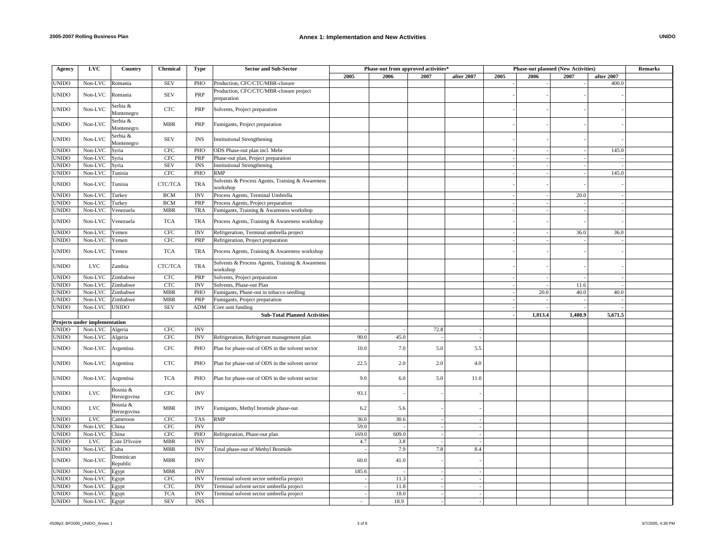| Agency       | <b>LVC</b>                    | Country                 | Chemical          | <b>Type</b>               | <b>Sector and Sub-Sector</b>                                | Phase-out from approved activities* |       |      | <b>Phase-out planned (New Activities)</b> |      |         | Remarks |            |  |
|--------------|-------------------------------|-------------------------|-------------------|---------------------------|-------------------------------------------------------------|-------------------------------------|-------|------|-------------------------------------------|------|---------|---------|------------|--|
|              |                               |                         |                   |                           |                                                             | 2005                                | 2006  | 2007 | after 2007                                | 2005 | 2006    | 2007    | after 2007 |  |
| <b>JNIDO</b> | Non-LVC                       | Romania                 | <b>SEV</b>        | PHO                       | Production, CFC/CTC/MBR-closure                             |                                     |       |      |                                           |      |         |         | 400.0      |  |
| <b>JNIDO</b> | Non-LVC                       | Romania                 | <b>SEV</b>        | PRP                       | Production, CFC/CTC/MBR-closure project<br>preparation      |                                     |       |      |                                           |      |         |         |            |  |
| <b>JNIDO</b> | Non-LVC                       | Serbia &<br>Montenegro  | CTC               | PRP                       | Solvents, Project preparation                               |                                     |       |      |                                           |      |         |         |            |  |
| <b>JNIDO</b> | Non-LVC                       | Serbia &<br>Montenegro  | <b>MBR</b>        | PRP                       | Fumigants, Project preparation                              |                                     |       |      |                                           |      |         |         |            |  |
| <b>JNIDO</b> | Non-LVC                       | Serbia &<br>Montenegro  | <b>SEV</b>        | <b>INS</b>                | <b>Institutional Strengthening</b>                          |                                     |       |      |                                           |      |         |         |            |  |
| <b>JNIDO</b> | Non-LVC                       | Syria                   | $_{\mathrm{CFC}}$ | PHO                       | ODS Phase-out plan incl. Mebr                               |                                     |       |      |                                           |      |         |         | 145.0      |  |
| <b>JNIDO</b> | Non-LVC                       | Syria                   | <b>CFC</b>        | PRP                       | Phase-out plan, Project preparation                         |                                     |       |      |                                           |      |         |         |            |  |
| <b>JNIDO</b> | Non-LVC                       | Syria                   | <b>SEV</b>        | <b>INS</b>                | <b>Institutional Strengthening</b>                          |                                     |       |      |                                           |      |         |         |            |  |
| <b>JNIDO</b> | Non-LVC                       | Tunisia                 | $_{\mathrm{CFC}}$ | PHO                       | <b>RMP</b>                                                  |                                     |       |      |                                           |      |         |         | 145.0      |  |
| <b>JNIDO</b> | Non-LVC                       | Tunisia                 | CTC/TCA           | <b>TRA</b>                | Solvents & Process Agents, Training & Awareness<br>workshop |                                     |       |      |                                           |      |         |         |            |  |
| <b>JNIDO</b> | Non-LVC                       | Turkey                  | <b>BCM</b>        | <b>INV</b>                | Process Agents, Terminal Umbrella                           |                                     |       |      |                                           |      |         | 20.0    |            |  |
| <b>JNIDO</b> | Non-LVC                       | Turkey                  | <b>BCM</b>        | PRP                       | Process Agents, Project preparation                         |                                     |       |      |                                           |      |         |         |            |  |
| JNIDO        | Non-LVC                       | Venezuela               | <b>MBR</b>        | TRA                       | Fumigants, Training & Awareness workshop                    |                                     |       |      |                                           |      |         |         |            |  |
| <b>JNIDO</b> | Non-LVC                       | Venezuela               | <b>TCA</b>        | <b>TRA</b>                | Process Agents, Training & Awareness workshop               |                                     |       |      |                                           |      |         |         |            |  |
| <b>JNIDO</b> | Non-LVC                       | Yemen                   | <b>CFC</b>        | <b>INV</b>                | Refrigeration, Terminal umbrella project                    |                                     |       |      |                                           |      |         | 36.0    | 36.0       |  |
| <b>JNIDO</b> | Non-LVC                       | Yemen                   | $_{\mathrm{CFC}}$ | PRP                       | Refrigeration, Project preparation                          |                                     |       |      |                                           |      |         |         |            |  |
|              |                               |                         |                   |                           |                                                             |                                     |       |      |                                           |      |         |         |            |  |
| JNIDO        | Non-LVC                       | Yemen                   | <b>TCA</b>        | <b>TRA</b>                | Process Agents, Training & Awareness workshop               |                                     |       |      |                                           |      |         |         |            |  |
| <b>JNIDO</b> | <b>LVC</b>                    | Zambia                  | CTC/TCA           | <b>TRA</b>                | Solvents & Process Agents, Training & Awareness<br>workshop |                                     |       |      |                                           |      |         |         |            |  |
| <b>JNIDO</b> | Non-LVC                       | Zimbabwe                | <b>CTC</b>        | PRP                       | Solvents, Project preparation                               |                                     |       |      |                                           |      |         |         |            |  |
| <b>JNIDO</b> | Non-LVC                       | Zimbabwe                | <b>CTC</b>        | $\ensuremath{\text{INV}}$ | Solvents, Phase-out Plan                                    |                                     |       |      |                                           |      |         | 11.6    |            |  |
| <b>JNIDO</b> | Non-LVC                       | Zimbabwe                | <b>MBR</b>        | PHO                       | Fumigants, Phase-out in tobacco seedling                    |                                     |       |      |                                           |      | 20.0    | 40.0    | 40.0       |  |
| JNIDO        | Non-LVC                       | Zimbabwe                | <b>MBR</b>        | PRP                       | Fumigants, Project preparation                              |                                     |       |      |                                           |      |         |         |            |  |
| <b>JNIDO</b> | Non-LVC UNIDO                 |                         | <b>SEV</b>        | ADM                       | Core unit funding                                           |                                     |       |      |                                           |      |         |         |            |  |
|              |                               |                         |                   |                           | <b>Sub-Total Planned Activities</b>                         |                                     |       |      |                                           |      | 1,013.4 | 1,480.9 | 5,671.5    |  |
|              | Projects under implementation |                         |                   |                           |                                                             |                                     |       |      |                                           |      |         |         |            |  |
| <b>JNIDO</b> | Non-LVC                       | Algeria                 | <b>CFC</b>        | <b>INV</b>                |                                                             |                                     |       | 72.8 |                                           |      |         |         |            |  |
| JNIDO        | Non-LVC Algeria               |                         | <b>CFC</b>        | <b>INV</b>                | Refrigeration, Refrigerant management plan                  | 90.0                                | 45.0  |      |                                           |      |         |         |            |  |
| JNIDO        | Non-LVC                       | Argentina               | <b>CFC</b>        | PHO                       | Plan for phase-out of ODS in the solvent sector             | 10.0                                | 7.0   | 5.0  | 5.5                                       |      |         |         |            |  |
| <b>JNIDO</b> | Non-LVC                       | Argentina               | CTC               | PHO                       | Plan for phase-out of ODS in the solvent sector             | 22.5                                | 2.0   | 2.0  | 4.0                                       |      |         |         |            |  |
| <b>JNIDO</b> | Non-LVC                       | Argentina               | <b>TCA</b>        | PHO                       | Plan for phase-out of ODS in the solvent sector             | 9.0                                 | 6.0   | 5.0  | 11.0                                      |      |         |         |            |  |
| JNIDO        | $_{\rm LVC}$                  | Bosnia &<br>Herzegovina | $_{\mathrm{CFC}}$ | <b>INV</b>                |                                                             | 93.1                                |       |      |                                           |      |         |         |            |  |
| JNIDO        | <b>LVC</b>                    | Bosnia &<br>Herzegovina | <b>MBR</b>        | <b>INV</b>                | Fumigants, Methyl bromide phase-out                         | 6.2                                 | 5.6   |      |                                           |      |         |         |            |  |
| <b>JNIDO</b> | <b>LVC</b>                    | Cameroon                | CFC               | <b>TAS</b>                | <b>RMP</b>                                                  | 36.0                                | 30.6  |      |                                           |      |         |         |            |  |
| <b>JNIDO</b> | Non-LVC                       | China                   | <b>CFC</b>        | <b>INV</b>                |                                                             | 59.0                                |       |      |                                           |      |         |         |            |  |
| JNIDO        | Non-LVC                       | China                   | <b>CFC</b>        | PHO                       | Refrigeration, Phase-out plan                               | 169.0                               | 609.0 |      |                                           |      |         |         |            |  |
| <b>JNIDO</b> | <b>LVC</b>                    | Cote D'Ivoire           | <b>MBR</b>        | <b>INV</b>                |                                                             | 4.7                                 | 3.8   |      |                                           |      |         |         |            |  |
| <b>JNIDO</b> | Non-LVC                       | Cuba                    | <b>MBR</b>        | <b>INV</b>                | Total phase-out of Methyl Bromide                           |                                     | 7.9   | 7.8  | 8.4                                       |      |         |         |            |  |
| <b>JNIDO</b> | Non-LVC                       | Dominican<br>Republic   | <b>MBR</b>        | <b>INV</b>                |                                                             | 60.0                                | 41.0  |      |                                           |      |         |         |            |  |
| JNIDO        | Non-LVC                       | Egypt                   | <b>MBR</b>        | <b>INV</b>                |                                                             | 185.6                               |       |      |                                           |      |         |         |            |  |
| <b>JNIDO</b> | Non-LVC                       | Egypt                   | <b>CFC</b>        | $\ensuremath{\text{INV}}$ | Terminal solvent sector umbrella project                    |                                     | 11.3  |      |                                           |      |         |         |            |  |
| <b>JNIDO</b> | Non-LVC                       | Egypt                   | $_{\rm CTC}$      | <b>INV</b>                | Terminal solvent sector umbrella project                    |                                     | 11.8  |      |                                           |      |         |         |            |  |
| <b>JNIDO</b> | Non-LVC                       | Egypt                   | <b>TCA</b>        | $\ensuremath{\text{INV}}$ | Terminal solvent sector umbrella project                    |                                     | 18.0  |      |                                           |      |         |         |            |  |
| <b>JNIDO</b> | Non-LVC Egypt                 |                         | <b>SEV</b>        | <b>INS</b>                |                                                             | $\sim$                              | 18.9  |      |                                           |      |         |         |            |  |
|              |                               |                         |                   |                           |                                                             |                                     |       |      |                                           |      |         |         |            |  |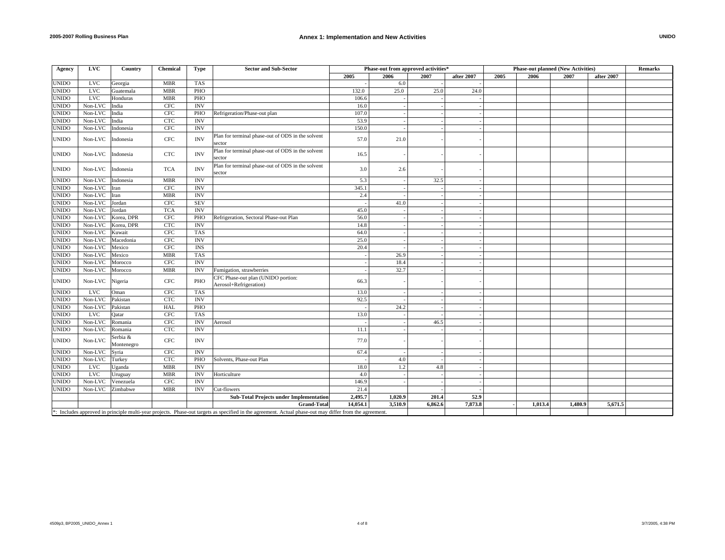| Agency                                                                                                                                                  | LVC          | Country                | <b>Chemical</b>   | Type       | <b>Sector and Sub-Sector</b>                                 |          | Phase-out from approved activities* |         |            | <b>Phase-out planned (New Activities)</b> |         |         |            | <b>Remarks</b> |
|---------------------------------------------------------------------------------------------------------------------------------------------------------|--------------|------------------------|-------------------|------------|--------------------------------------------------------------|----------|-------------------------------------|---------|------------|-------------------------------------------|---------|---------|------------|----------------|
|                                                                                                                                                         |              |                        |                   |            |                                                              | 2005     | 2006                                | 2007    | after 2007 | 2005                                      | 2006    | 2007    | after 2007 |                |
| <b>UNIDO</b>                                                                                                                                            | <b>LVC</b>   | Georgia                | <b>MBR</b>        | <b>TAS</b> |                                                              |          | 6.0                                 |         |            |                                           |         |         |            |                |
| <b>UNIDO</b>                                                                                                                                            | $_{\rm LVC}$ | Guatemala              | <b>MBR</b>        | PHO        |                                                              | 132.0    | 25.0                                | 25.0    | 24.0       |                                           |         |         |            |                |
| <b>UNIDO</b>                                                                                                                                            | <b>LVC</b>   | Honduras               | <b>MBR</b>        | PHO        |                                                              | 106.6    |                                     |         |            |                                           |         |         |            |                |
| <b>UNIDO</b>                                                                                                                                            | Non-LVC      | India                  | $_{\mathrm{CFC}}$ | <b>INV</b> |                                                              | 16.0     |                                     |         |            |                                           |         |         |            |                |
| <b>UNIDO</b>                                                                                                                                            | Non-LVC      | India                  | CFC               | PHO        | Refrigeration/Phase-out plan                                 | 107.0    |                                     |         |            |                                           |         |         |            |                |
| <b>UNIDO</b>                                                                                                                                            | Non-LVC      | India                  | <b>CTC</b>        | <b>INV</b> |                                                              | 53.9     |                                     |         |            |                                           |         |         |            |                |
| <b>UNIDO</b>                                                                                                                                            | Non-LVC      | Indonesia              | <b>CFC</b>        | <b>INV</b> |                                                              | 150.0    |                                     |         |            |                                           |         |         |            |                |
| <b>UNIDO</b>                                                                                                                                            | Non-LVC      | Indonesia              | CFC               | <b>INV</b> | Plan for terminal phase-out of ODS in the solvent<br>sector  | 57.0     | 21.0                                |         |            |                                           |         |         |            |                |
| <b>UNIDO</b>                                                                                                                                            | Non-LVC      | Indonesia              | $_{\rm CTC}$      | <b>INV</b> | Plan for terminal phase-out of ODS in the solvent<br>sector  | 16.5     |                                     |         |            |                                           |         |         |            |                |
| <b>UNIDO</b>                                                                                                                                            | Non-LVC      | Indonesia              | <b>TCA</b>        | <b>INV</b> | Plan for terminal phase-out of ODS in the solvent<br>sector  | 3.0      | 2.6                                 |         |            |                                           |         |         |            |                |
| <b>UNIDO</b>                                                                                                                                            | Non-LVC      | Indonesia              | <b>MBR</b>        | <b>INV</b> |                                                              | 5.3      |                                     | 32.5    |            |                                           |         |         |            |                |
| <b>UNIDO</b>                                                                                                                                            | Non-LVC      | Iran                   | $_{\rm CFC}$      | <b>INV</b> |                                                              | 345.1    |                                     |         |            |                                           |         |         |            |                |
| <b>UNIDO</b>                                                                                                                                            | Non-LVC      | Iran                   | <b>MBR</b>        | <b>INV</b> |                                                              | 2.4      |                                     |         |            |                                           |         |         |            |                |
| <b>UNIDO</b>                                                                                                                                            | Non-LVC      | Jordan                 | $_{\mathrm{CFC}}$ | <b>SEV</b> |                                                              |          | 41.0                                |         |            |                                           |         |         |            |                |
| <b>UNIDO</b>                                                                                                                                            | Non-LVC      | Jordan                 | <b>TCA</b>        | <b>INV</b> |                                                              | 45.0     |                                     |         |            |                                           |         |         |            |                |
| <b>UNIDO</b>                                                                                                                                            | Non-LVC      | Korea, DPR             | $_{\mathrm{CFC}}$ | PHO        | Refrigeration, Sectoral Phase-out Plan                       | 56.0     |                                     |         |            |                                           |         |         |            |                |
| <b>UNIDO</b>                                                                                                                                            | Non-LVC      | Korea, DPR             | CTC               | <b>INV</b> |                                                              | 14.8     |                                     |         |            |                                           |         |         |            |                |
| <b>UNIDO</b>                                                                                                                                            | Non-LVC      | Kuwait                 | $_{\rm CFC}$      | <b>TAS</b> |                                                              | 64.0     |                                     |         |            |                                           |         |         |            |                |
| <b>UNIDO</b>                                                                                                                                            | Non-LVC      | Macedonia              | $_{\mathrm{CFC}}$ | <b>INV</b> |                                                              | 25.0     |                                     |         |            |                                           |         |         |            |                |
| <b>UNIDO</b>                                                                                                                                            | Non-LVC      | Mexico                 | <b>CFC</b>        | <b>INS</b> |                                                              | 20.4     |                                     |         |            |                                           |         |         |            |                |
| <b>UNIDO</b>                                                                                                                                            | Non-LVC      | Mexico                 | <b>MBR</b>        | <b>TAS</b> |                                                              |          | 26.9                                |         |            |                                           |         |         |            |                |
| <b>UNIDO</b>                                                                                                                                            | Non-LVC      | Morocco                | <b>CFC</b>        | <b>INV</b> |                                                              |          | 18.4                                |         |            |                                           |         |         |            |                |
| <b>UNIDO</b>                                                                                                                                            | Non-LVC      | Morocco                | <b>MBR</b>        | <b>INV</b> | Fumigation, strawberries                                     |          | 32.7                                |         |            |                                           |         |         |            |                |
| <b>UNIDO</b>                                                                                                                                            | Non-LVC      | Nigeria                | CFC               | PHO        | CFC Phase-out plan (UNIDO portion:<br>Aerosol+Refrigeration) | 66.3     |                                     |         |            |                                           |         |         |            |                |
| <b>UNIDO</b>                                                                                                                                            | <b>LVC</b>   | Oman                   | <b>CFC</b>        | <b>TAS</b> |                                                              | 13.0     |                                     |         |            |                                           |         |         |            |                |
| <b>UNIDO</b>                                                                                                                                            | Non-LVC      | Pakistan               | CTC               | <b>INV</b> |                                                              | 92.5     |                                     |         |            |                                           |         |         |            |                |
| <b>UNIDO</b>                                                                                                                                            | Non-LVC      | Pakistan               | HAL               | PHO        |                                                              |          | 24.2                                |         |            |                                           |         |         |            |                |
| <b>UNIDO</b>                                                                                                                                            | <b>LVC</b>   | Oatar                  | <b>CFC</b>        | <b>TAS</b> |                                                              | 13.0     |                                     |         |            |                                           |         |         |            |                |
| <b>UNIDO</b>                                                                                                                                            | Non-LVC      | Romania                | <b>CFC</b>        | <b>INV</b> | Aerosol                                                      |          |                                     | 46.5    |            |                                           |         |         |            |                |
| <b>UNIDO</b>                                                                                                                                            | Non-LVC      | Romania                | CTC               | <b>INV</b> |                                                              | 11.1     |                                     |         |            |                                           |         |         |            |                |
| <b>UNIDO</b>                                                                                                                                            | Non-LVC      | Serbia &<br>Montenegro | CFC               | <b>INV</b> |                                                              | 77.0     |                                     |         |            |                                           |         |         |            |                |
| <b>UNIDO</b>                                                                                                                                            | Non-LVC      | Syria                  | CFC               | <b>INV</b> |                                                              | 67.4     |                                     |         |            |                                           |         |         |            |                |
| <b>UNIDO</b>                                                                                                                                            | Non-LVC      | Turkey                 | CTC               | PHO        | Solvents, Phase-out Plan                                     |          | 4.0                                 |         |            |                                           |         |         |            |                |
| <b>UNIDO</b>                                                                                                                                            | <b>LVC</b>   | Uganda                 | <b>MBR</b>        | <b>INV</b> |                                                              | 18.0     | 1.2                                 | 4.8     |            |                                           |         |         |            |                |
| <b>UNIDO</b>                                                                                                                                            | <b>LVC</b>   | Uruguay                | <b>MBR</b>        | <b>INV</b> | Horticulture                                                 | 4.0      |                                     |         |            |                                           |         |         |            |                |
| <b>UNIDO</b>                                                                                                                                            | Non-LVC      | Venezuela              | CFC               | <b>INV</b> |                                                              | 146.9    |                                     |         |            |                                           |         |         |            |                |
| <b>UNIDO</b>                                                                                                                                            | Non-LVC      | Zimbabwe               | <b>MBR</b>        | <b>INV</b> | Cut-flowers                                                  | 21.4     |                                     |         |            |                                           |         |         |            |                |
|                                                                                                                                                         |              |                        |                   |            | <b>Sub-Total Projects under Implementation</b>               | 2,495.7  | 1.020.9                             | 201.4   | 52.9       |                                           |         |         |            |                |
|                                                                                                                                                         |              |                        |                   |            | <b>Grand-Total</b>                                           | 14,054.1 | 3,510.9                             | 6,862.6 | 7,873.8    |                                           | 1,013.4 | 1,480.9 | 5,671.5    |                |
| *: Includes approved in principle multi-year projects. Phase-out targets as specified in the agreement. Actual phase-out may differ from the agreement. |              |                        |                   |            |                                                              |          |                                     |         |            |                                           |         |         |            |                |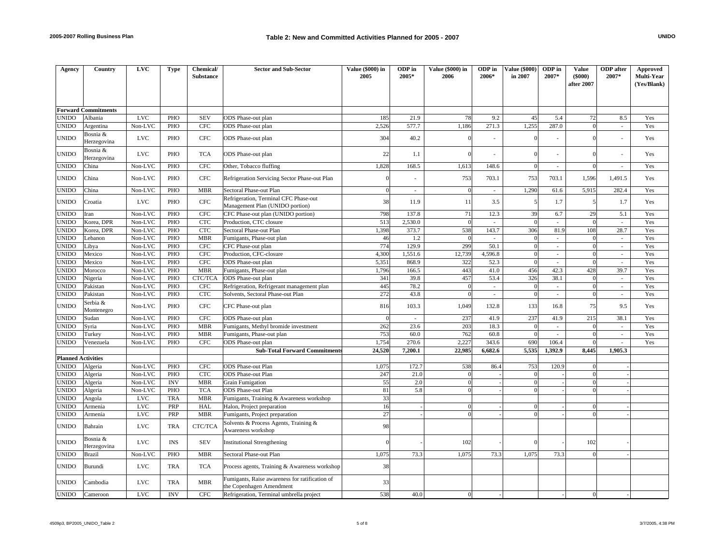| Agency                    | Country                    | <b>LVC</b> | <b>Type</b> | Chemical/<br><b>Substance</b> | <b>Sector and Sub-Sector</b>                                               | <b>Value (\$000) in</b><br>2005 | ODP in<br>2005* | Value (\$000) in<br>2006 | ODP in<br>2006* | <b>Value (\$000)</b><br>in 2007 | ODP in<br>2007*             | Value<br>(5000)<br>after 2007 | <b>ODP</b> after<br>2007*   | Approved<br>Multi-Year<br>(Yes/Blank) |
|---------------------------|----------------------------|------------|-------------|-------------------------------|----------------------------------------------------------------------------|---------------------------------|-----------------|--------------------------|-----------------|---------------------------------|-----------------------------|-------------------------------|-----------------------------|---------------------------------------|
|                           |                            |            |             |                               |                                                                            |                                 |                 |                          |                 |                                 |                             |                               |                             |                                       |
|                           | <b>Forward Commitments</b> |            |             |                               |                                                                            |                                 |                 |                          |                 |                                 |                             |                               |                             |                                       |
| UNIDO                     | Albania                    | <b>LVC</b> | PHO         | <b>SEV</b>                    | ODS Phase-out plan                                                         | 185                             | 21.9            | 78                       | 9.2             | 45                              | 5.4                         | 72                            | 8.5                         | Yes                                   |
| UNIDO                     | Argentina                  | Non-LVC    | PHO         | <b>CFC</b>                    | ODS Phase-out plan                                                         | 2,526                           | 577.7           | 1,186                    | 271.3           | 1,255                           | 287.0                       | $\Omega$                      | ÷,                          | Yes                                   |
| UNIDO                     | Bosnia &<br>Herzegovina    | <b>LVC</b> | PHO         | <b>CFC</b>                    | ODS Phase-out plan                                                         | 304                             | 40.2            |                          | ä,              |                                 |                             |                               |                             | Yes                                   |
| UNIDO                     | Bosnia &<br>Herzegovina    | <b>LVC</b> | PHO         | <b>TCA</b>                    | ODS Phase-out plan                                                         | 22                              | 1.1             |                          |                 | $\Omega$                        |                             | $\Omega$                      |                             | Yes                                   |
| UNIDO                     | China                      | Non-LVC    | PHO         | <b>CFC</b>                    | Other, Tobacco fluffing                                                    | 1,828                           | 168.5           | 1,613                    | 148.6           | $\overline{0}$                  | $\mathcal{L}$               | $\Omega$                      | L.                          | Yes                                   |
| UNIDO                     | China                      | Non-LVC    | PHO         | <b>CFC</b>                    | Refrigeration Servicing Sector Phase-out Plan                              |                                 |                 | 753                      | 703.1           | 753                             | 703.1                       | 1,596                         | 1,491.5                     | Yes                                   |
| UNIDO                     | China                      | Non-LVC    | PHO         | <b>MBR</b>                    | Sectoral Phase-out Plan                                                    | $\Omega$                        | ÷.              | $\Omega$                 | $\sim$          | 1,290                           | 61.6                        | 5,915                         | 282.4                       | Yes                                   |
| <b>UNIDO</b>              | Croatia                    | <b>LVC</b> | PHO         | <b>CFC</b>                    | Refrigeration, Terminal CFC Phase-out<br>Management Plan (UNIDO portion)   | 38                              | 11.9            | 11                       | 3.5             | 5                               | 1.7                         | 5                             | 1.7                         | Yes                                   |
| <b>UNIDO</b>              | Iran                       | Non-LVC    | PHO         | CFC                           | CFC Phase-out plan (UNIDO portion)                                         | 798                             | 137.8           | 71                       | 12.3            | 39                              | 6.7                         | 29                            | 5.1                         | Yes                                   |
| <b>JNIDO</b>              | Korea, DPR                 | Non-LVC    | PHO         | <b>CTC</b>                    | Production, CTC closure                                                    | 513                             | 2,530.0         | $\Omega$                 | $\sim$          | $\overline{0}$                  | $\sim$                      | $\Omega$                      | ÷.                          | Yes                                   |
| UNIDO                     | Korea, DPR                 | Non-LVC    | PHO         | <b>CTC</b>                    | Sectoral Phase-out Plan                                                    | 1,398                           | 373.7           | 538                      | 143.7           | 306                             | 81.9                        | 108                           | 28.7                        | Yes                                   |
| UNIDO                     | Lebanon                    | Non-LVC    | PHO         | <b>MBR</b>                    | Fumigants, Phase-out plan                                                  | 46                              | 1.2             | $\Omega$                 | $\sim$          | $\Omega$                        | $\sim$                      | $\Omega$                      | $\sim$                      | Yes                                   |
| UNIDO                     | Libya                      | Non-LVC    | PHO         | <b>CFC</b>                    | CFC Phase-out plan                                                         | 774                             | 129.9           | 299                      | 50.1            | $\overline{0}$                  | $\sim$                      | $\Omega$                      | ÷,                          | Yes                                   |
| UNIDO                     | Mexico                     | Non-LVC    | PHO         | <b>CFC</b>                    | Production, CFC-closure                                                    | 4,300                           | 1,551.6         | 12,739                   | 4,596.8         | $\overline{0}$                  | $\sim$                      | $\Omega$                      | $\overline{\phantom{a}}$    | Yes                                   |
| UNIDO                     | Mexico                     | Non-LVC    | PHO         | <b>CFC</b>                    | ODS Phase-out plan                                                         | 5,351                           | 868.9           | 322                      | 52.3            | $\Omega$                        | $\mathcal{L}$               | $\Omega$                      | ×.                          | Yes                                   |
| <b>UNIDO</b>              | Morocco                    | Non-LVC    | PHO         | <b>MBR</b>                    | Fumigants, Phase-out plan                                                  | 1,796                           | 166.5           | 443                      | 41.0            | 456                             | 42.3                        | 428                           | 39.7                        | Yes                                   |
| UNIDO                     | Nigeria                    | Non-LVC    | PHO         | CTC/TCA                       | ODS Phase-out plan                                                         | 341                             | 39.8            | 457                      | 53.4            | 326                             | 38.1                        | $\theta$                      | $\mathcal{L}$               | Yes                                   |
| UNIDO                     | Pakistan                   | Non-LVC    | PHO         | <b>CFC</b>                    | Refrigeration, Refrigerant management plan                                 | 445                             | 78.2            | $\Omega$                 | $\sim$          | $\overline{0}$                  | $\sim$                      | $\theta$                      | $\overline{\phantom{a}}$    | Yes                                   |
| UNIDO                     | Pakistan                   | Non-LVC    | PHO         | <b>CTC</b>                    | Solvents, Sectoral Phase-out Plan                                          | 272                             | 43.8            | $\Omega$                 | $\sim$          | $\overline{0}$                  | $\mathcal{L}^{\mathcal{L}}$ | $\Omega$                      | $\sim$                      | Yes                                   |
| <b>UNIDO</b>              | Serbia &<br>Montenegro     | Non-LVC    | PHO         | <b>CFC</b>                    | CFC Phase-out plan                                                         | 816                             | 103.3           | 1,049                    | 132.8           | 133                             | 16.8                        | 75                            | 9.5                         | Yes                                   |
| UNIDO                     | Sudan                      | Non-LVC    | PHO         | <b>CFC</b>                    | ODS Phase-out plan                                                         | $\Omega$                        | ÷.              | 237                      | 41.9            | 237                             | 41.9                        | 215                           | 38.1                        | Yes                                   |
| UNIDO                     | Syria                      | Non-LVC    | PHO         | <b>MBR</b>                    | Fumigants, Methyl bromide investment                                       | 262                             | 23.6            | 203                      | 18.3            | $\overline{0}$                  | $\sim$                      | $\Omega$                      | $\sim$                      | Yes                                   |
| UNIDO                     | Turkey                     | Non-LVC    | PHO         | <b>MBR</b>                    | Fumigants, Phase-out plan                                                  | 753                             | 60.0            | 762                      | 60.8            | $\overline{0}$                  | $\mathcal{L}^{\mathcal{L}}$ |                               | $\mathcal{L}_{\mathcal{A}}$ | Yes                                   |
| <b>UNIDO</b>              | Venezuela                  | Non-LVC    | PHO         | <b>CFC</b>                    | ODS Phase-out plan                                                         | 1,754                           | 270.6           | 2,227                    | 343.6           | 690                             | 106.4                       |                               |                             | Yes                                   |
|                           |                            |            |             |                               | <b>Sub-Total Forward Commitments</b>                                       | 24,520                          | 7,200.1         | 22,985                   | 6,682.6         | 5,535                           | 1,392.9                     | 8,445                         | 1.905.3                     |                                       |
| <b>Planned Activities</b> |                            |            |             |                               |                                                                            |                                 |                 |                          |                 |                                 |                             |                               |                             |                                       |
| <b>UNIDO</b>              | Algeria                    | Non-LVC    | PHO         | <b>CFC</b>                    | <b>ODS</b> Phase-out Plan                                                  | 1,075                           | 172.7           | 538                      | 86.4            | 753                             | 120.9                       | $\Omega$                      |                             |                                       |
| <b>UNIDO</b>              | Algeria                    | Non-LVC    | PHO         | <b>CTC</b>                    | <b>ODS</b> Phase-out Plan                                                  | 247                             | 21.0            | $\Omega$                 |                 | $\theta$                        |                             | $\Omega$                      |                             |                                       |
| UNIDO                     | Algeria                    | Non-LVC    | <b>INV</b>  | <b>MBR</b>                    | <b>Grain Fumigation</b>                                                    | 55                              | 2.0             | $\Omega$                 |                 | $\Omega$                        |                             | $\Omega$                      |                             |                                       |
| UNIDO                     | Algeria                    | Non-LVC    | PHO         | <b>TCA</b>                    | ODS Phase-out Plan                                                         | 81                              | 5.8             | $\Omega$                 |                 | $\overline{0}$                  |                             | $\theta$                      |                             |                                       |
| UNIDO                     | Angola                     | <b>LVC</b> | <b>TRA</b>  | <b>MBR</b>                    | Fumigants, Training & Awareness workshop                                   | 33                              |                 |                          |                 |                                 |                             |                               |                             |                                       |
| UNIDO                     | Armenia                    | <b>LVC</b> | PRP         | HAL                           | Halon, Project preparation                                                 | 16                              |                 | $\Omega$<br>$\Omega$     |                 | $\theta$<br>$\Omega$            |                             |                               |                             |                                       |
| <b>UNIDO</b>              | Armenia                    | <b>LVC</b> | PRP         | <b>MBR</b>                    | Fumigants, Project preparation                                             | 27                              |                 |                          |                 |                                 |                             |                               |                             |                                       |
| UNIDO                     | Bahrain                    | <b>LVC</b> | <b>TRA</b>  | CTC/TCA                       | Solvents & Process Agents, Training &<br>Awareness workshop                | 98                              |                 |                          |                 |                                 |                             |                               |                             |                                       |
| UNIDO                     | Bosnia &<br>Herzegovina    | <b>LVC</b> | <b>INS</b>  | <b>SEV</b>                    | <b>Institutional Strengthening</b>                                         |                                 |                 | 102                      |                 |                                 |                             | 102                           |                             |                                       |
| UNIDO                     | Brazil                     | Non-LVC    | PHO         | <b>MBR</b>                    | Sectoral Phase-out Plan                                                    | 1,075                           | 73.3            | 1,075                    | 73.3            | 1,075                           | 73.3                        | $\theta$                      |                             |                                       |
| UNIDO                     | Burundi                    | <b>LVC</b> | <b>TRA</b>  | <b>TCA</b>                    | Process agents, Training & Awareness workshop                              | 38                              |                 |                          |                 |                                 |                             |                               |                             |                                       |
| UNIDO                     | Cambodia                   | <b>LVC</b> | <b>TRA</b>  | <b>MBR</b>                    | Fumigants, Raise awareness for ratification of<br>the Copenhagen Amendment | 33                              |                 |                          |                 |                                 |                             |                               |                             |                                       |
| <b>UNIDO</b>              | Cameroon                   | LVC.       | <b>INV</b>  | <b>CFC</b>                    | Refrigeration, Terminal umbrella project                                   | 538                             | 40.0            | $\Omega$                 |                 |                                 |                             | $\Omega$                      |                             |                                       |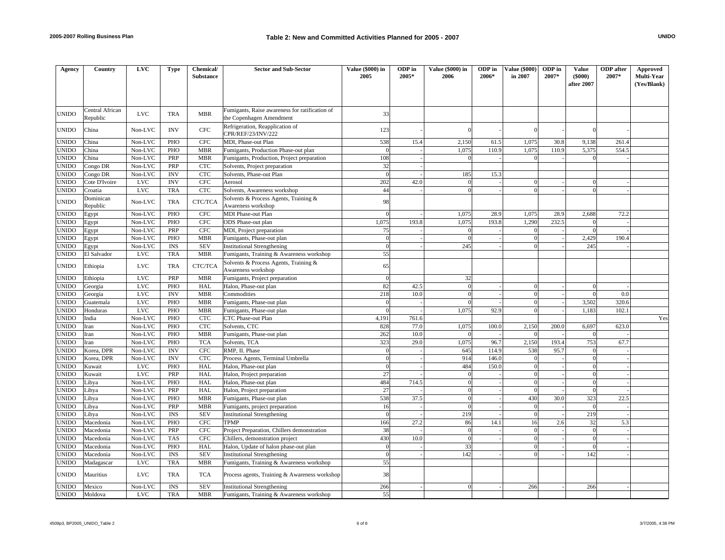| Agency       | Country                     | <b>LVC</b>   | Type                        | Chemical/<br><b>Substance</b> | <b>Sector and Sub-Sector</b>                                               | Value (\$000) in<br>2005 | ODP in<br>2005* | Value (\$000) in<br>2006 | ODP in<br>2006* | <b>Value (\$000)</b><br>in 2007 | ODP in<br>2007* | Value<br>$($ \$000 $)$ | <b>ODP</b> after<br>2007* | Approved<br>Multi-Year |
|--------------|-----------------------------|--------------|-----------------------------|-------------------------------|----------------------------------------------------------------------------|--------------------------|-----------------|--------------------------|-----------------|---------------------------------|-----------------|------------------------|---------------------------|------------------------|
|              |                             |              |                             |                               |                                                                            |                          |                 |                          |                 |                                 |                 | after 2007             |                           | (Yes/Blank)            |
|              |                             |              |                             |                               |                                                                            |                          |                 |                          |                 |                                 |                 |                        |                           |                        |
|              |                             |              |                             |                               |                                                                            |                          |                 |                          |                 |                                 |                 |                        |                           |                        |
| <b>UNIDO</b> | Central African<br>Republic | LVC.         | <b>TRA</b>                  | <b>MBR</b>                    | Fumigants, Raise awareness for ratification of<br>the Copenhagen Amendment | 33                       |                 |                          |                 |                                 |                 |                        |                           |                        |
| <b>UNIDO</b> | China                       | Non-LVC      | <b>INV</b>                  | <b>CFC</b>                    | Refrigeration, Reapplication of<br>CPR/REF/23/INV/222                      | 123                      |                 |                          |                 |                                 |                 | $\Omega$               |                           |                        |
| <b>UNIDO</b> | China                       | Non-LVC      | <b>PHO</b>                  | <b>CFC</b>                    | MDI, Phase-out Plan                                                        | 538                      | 15.4            | 2,150                    | 61.5            | 1,075                           | 30.8            | 9,138                  | 261.4                     |                        |
| UNIDO        | China                       | Non-LVC      | PHO                         | <b>MBR</b>                    | Fumigants, Production Phase-out plan                                       | $\Omega$                 |                 | 1.075                    | 110.9           | 1.075                           | 110.9           | 5,375                  | 554.5                     |                        |
| UNIDO        | China                       | Non-LVC      | PRP                         | <b>MBR</b>                    | Fumigants, Production, Project preparation                                 | 108                      |                 | $\Omega$                 |                 |                                 |                 |                        |                           |                        |
| UNIDO        | Congo DR                    | Non-LVC      | PRP                         | <b>CTC</b>                    | Solvents, Project preparation                                              | 32                       |                 |                          |                 |                                 |                 |                        |                           |                        |
| UNIDO        | Congo DR                    | Non-LVC      | <b>INV</b>                  | <b>CTC</b>                    | Solvents, Phase-out Plan                                                   | $\overline{0}$           |                 | 185                      | 15.3            |                                 |                 |                        |                           |                        |
| UNIDO        | Cote D'Ivoire               | <b>LVC</b>   | <b>INV</b>                  | <b>CFC</b>                    | Aerosol                                                                    | 202                      | 42.0            | $\Omega$                 |                 | $\Omega$                        |                 | $\Omega$               |                           |                        |
| UNIDO        | Croatia                     | <b>LVC</b>   | <b>TRA</b>                  | <b>CTC</b>                    | Solvents, Awareness workshop                                               | 44                       |                 | $\Omega$                 |                 | $\sqrt{ }$                      |                 |                        |                           |                        |
| UNIDO        | Dominican<br>Republic       | Non-LVC      | <b>TRA</b>                  | CTC/TCA                       | Solvents & Process Agents, Training &<br>Awareness workshop                | 98                       |                 |                          |                 |                                 |                 |                        |                           |                        |
| <b>UNIDO</b> | Egypt                       | Non-LVC      | PHO                         | CFC                           | <b>MDI Phase-out Plan</b>                                                  | $\Omega$                 |                 | 1,075                    | 28.9            | 1,075                           | 28.9            | 2,688                  | 72.2                      |                        |
| UNIDO        | Egypt                       | Non-LVC      | PHO                         | <b>CFC</b>                    | ODS Phase-out plan                                                         | 1.075                    | 193.8           | 1.075                    | 193.8           | 1.290                           | 232.5           |                        |                           |                        |
| UNIDO        | Egypt                       | Non-LVC      | PRP                         | <b>CFC</b>                    | MDI, Project preparation                                                   | 75                       |                 | $\Omega$                 |                 | $\Omega$                        |                 | $\Omega$               |                           |                        |
| UNIDO        | Egypt                       | Non-LVC      | PHO                         | <b>MBR</b>                    | Fumigants, Phase-out plan                                                  | $\theta$                 |                 | $\Omega$                 |                 | $\Omega$                        |                 | 2,429                  | 190.4                     |                        |
| UNIDO        | Egypt                       | Non-LVC      | $\mathop{\rm INS}\nolimits$ | <b>SEV</b>                    | <b>Institutional Strengthening</b>                                         | $\overline{0}$           |                 | 245                      |                 | $\Omega$                        |                 | 245                    |                           |                        |
| UNIDO        | El Salvador                 | <b>LVC</b>   | <b>TRA</b>                  | <b>MBR</b>                    | Fumigants, Training & Awareness workshop                                   | 55                       |                 |                          |                 |                                 |                 |                        |                           |                        |
| <b>UNIDO</b> | Ethiopia                    | <b>LVC</b>   | <b>TRA</b>                  | CTC/TCA                       | Solvents & Process Agents, Training &<br>Awareness workshop                | 65                       |                 |                          |                 |                                 |                 |                        |                           |                        |
| UNIDO        | Ethiopia                    | <b>LVC</b>   | PRP                         | <b>MBR</b>                    | Fumigants, Project preparation                                             | $\Omega$                 |                 | 32                       |                 |                                 |                 |                        |                           |                        |
| UNIDO        | Georgia                     | <b>LVC</b>   | PHO                         | HAL                           | Halon, Phase-out plan                                                      | 82                       | 42.5            | $\Omega$                 |                 | $\Omega$                        |                 | $\Omega$               |                           |                        |
| UNIDO        | Georgia                     | <b>LVC</b>   | <b>INV</b>                  | <b>MBR</b>                    | Commodities                                                                | 218                      | 10.0            | $\Omega$                 |                 | $\Omega$                        |                 | $\Omega$               | 0.0                       |                        |
| UNIDO        | Guatemala                   | <b>LVC</b>   | PHO                         | <b>MBR</b>                    | Fumigants, Phase-out plan                                                  | $\mathbf{0}$             |                 | $\Omega$                 |                 | $\Omega$                        |                 | 3,502                  | 320.6                     |                        |
| UNIDO        | Honduras                    | $_{\rm LVC}$ | PHO                         | <b>MBR</b>                    | Fumigants, Phase-out plan                                                  | $\Omega$                 |                 | 1,075                    | 92.9            | $\theta$                        |                 | 1,183                  | 102.1                     |                        |
| UNIDO        | India                       | Non-LVC      | PHO                         | <b>CTC</b>                    | CTC Phase-out Plan                                                         | 4,191                    | 761.6           |                          |                 |                                 |                 |                        |                           | Yes                    |
| UNIDO        | Iran                        | Non-LVC      | PHO                         | <b>CTC</b>                    | Solvents, CTC                                                              | 828                      | 77.0            | 1,075                    | 100.0           | 2,150                           | 200.0           | 6,697                  | 623.0                     |                        |
| UNIDO        | Iran                        | Non-LVC      | PHO                         | <b>MBR</b>                    | Fumigants, Phase-out plan                                                  | 262                      | 10.0            |                          |                 |                                 |                 | $\Omega$               |                           |                        |
| <b>UNIDO</b> | Iran                        | Non-LVC      | PHO                         | <b>TCA</b>                    | Solvents, TCA                                                              | 323                      | 29.0            | 1,075                    | 96.7            | 2,150                           | 193.4           | 753                    | 67.7                      |                        |
| UNIDO        | Korea, DPR                  | Non-LVC      | <b>INV</b>                  | <b>CFC</b>                    | RMP. II. Phase                                                             | $\Omega$                 |                 | 645                      | 114.9           | 538                             | 95.7            | $\Omega$               |                           |                        |
| UNIDO        | Korea, DPR                  | Non-LVC      | <b>INV</b>                  | <b>CTC</b>                    | Process Agents, Terminal Umbrella                                          | $\overline{0}$           |                 | 914                      | 146.0           | $\overline{0}$                  |                 | $\theta$               |                           |                        |
| UNIDO        | Kuwait                      | <b>LVC</b>   | PHO                         | HAL                           | Halon, Phase-out plan                                                      | $\Omega$                 |                 | 484                      | 150.0           | $\Omega$                        |                 | $\theta$               |                           |                        |
| UNIDO        | Kuwait                      | <b>LVC</b>   | PRP                         | HAL                           | Halon, Project preparation                                                 | 27                       |                 | $\overline{0}$           |                 | $\theta$                        |                 | $\theta$               |                           |                        |
| UNIDO        | Libya                       | Non-LVC      | PHO                         | HAL                           | Halon, Phase-out plan                                                      | 484                      | 714.5           | $\Omega$                 |                 | $\Omega$                        |                 | $\theta$               |                           |                        |
| UNIDO        | Libya                       | Non-LVC      | PRP                         | <b>HAL</b>                    | Halon, Project preparation                                                 | 27                       |                 | $\overline{0}$           |                 | $\Omega$                        |                 | $\Omega$               |                           |                        |
| UNIDO        | Libya                       | Non-LVC      | PHO                         | <b>MBR</b>                    | Fumigants, Phase-out plan                                                  | 538                      | 37.5            | $\overline{0}$           |                 | 430                             | 30.0            | 323                    | 22.5                      |                        |
| UNIDO        | Libya                       | Non-LVC      | PRP                         | <b>MBR</b>                    | Fumigants, project preparation                                             | 16                       |                 | $\Omega$                 |                 | $\Omega$                        |                 | $\Omega$               |                           |                        |
| UNIDO        | Libya                       | Non-LVC      | <b>INS</b>                  | <b>SEV</b>                    | <b>Institutional Strengthening</b>                                         | $\Omega$                 |                 | 219                      |                 | $\Omega$                        |                 | 219                    |                           |                        |
| UNIDO        | Macedonia                   | Non-LVC      | PHO                         | <b>CFC</b>                    | <b>TPMP</b>                                                                | 166                      | 27.2            | 86                       | 14.1            | 16                              | 2.6             | 32                     | 5.3                       |                        |
| UNIDO        | Macedonia                   | Non-LVC      | PRP                         | <b>CFC</b>                    | Project Preparation, Chillers demonstration                                | 38                       |                 | $\overline{0}$           |                 | $\overline{0}$                  |                 | $\Omega$               |                           |                        |
| UNIDO        | Macedonia                   | Non-LVC      | <b>TAS</b>                  | <b>CFC</b>                    | Chillers, demonstration project                                            | 430                      | 10.0            | $\overline{0}$           |                 | $\Omega$                        |                 | $\theta$               |                           |                        |
| UNIDO        | Macedonia                   | Non-LVC      | PHO                         | HAL                           | Halon, Update of halon phase-out plan                                      | $\mathbf{0}$             |                 | 33                       |                 | $\Omega$                        |                 | $\theta$               |                           |                        |
| <b>UNIDO</b> | Macedonia                   | Non-LVC      | <b>INS</b>                  | <b>SEV</b>                    | <b>Institutional Strengthening</b>                                         | $\Omega$                 |                 | 142                      |                 | $\Omega$                        |                 | 142                    |                           |                        |
| <b>UNIDO</b> | Madagascar                  | <b>LVC</b>   | <b>TRA</b>                  | <b>MBR</b>                    | Fumigants, Training & Awareness workshop                                   | 55                       |                 |                          |                 |                                 |                 |                        |                           |                        |
| <b>UNIDO</b> | Mauritius                   | <b>LVC</b>   | <b>TRA</b>                  | <b>TCA</b>                    | Process agents, Training & Awareness workshop                              | 38                       |                 |                          |                 |                                 |                 |                        |                           |                        |
| <b>UNIDO</b> | Mexico                      | Non-LVC      | <b>INS</b>                  | <b>SEV</b>                    | <b>Institutional Strengthening</b>                                         | 266                      |                 | $\Omega$                 |                 | 266                             |                 | 266                    |                           |                        |
| <b>UNIDO</b> | Moldova                     | <b>LVC</b>   | <b>TRA</b>                  | <b>MBR</b>                    | Fumigants, Training & Awareness workshop                                   | 55                       |                 |                          |                 |                                 |                 |                        |                           |                        |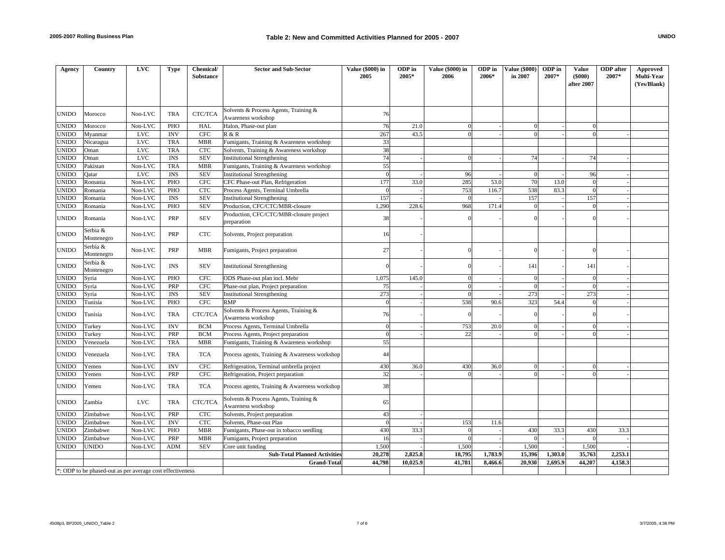| Agency       | Country                                                   | <b>LVC</b> | <b>Type</b>               | Chemical/<br><b>Substance</b> | <b>Sector and Sub-Sector</b>                                | <b>Value (\$000) in</b><br>2005 | ODP in<br>2005* | Value (\$000) in<br>2006 | ODP in<br>2006* | <b>Value (\$000)</b><br>in 2007 | ODP in<br>2007* | <b>Value</b><br>$($ \$000 $)$<br>after 2007 | <b>ODP</b> after<br>2007* | <b>Approved</b><br>Multi-Year |
|--------------|-----------------------------------------------------------|------------|---------------------------|-------------------------------|-------------------------------------------------------------|---------------------------------|-----------------|--------------------------|-----------------|---------------------------------|-----------------|---------------------------------------------|---------------------------|-------------------------------|
|              |                                                           |            |                           |                               |                                                             |                                 |                 |                          |                 |                                 |                 |                                             |                           | (Yes/Blank)                   |
| UNIDO        | Morocco                                                   | Non-LVC    | <b>TRA</b>                | CTC/TCA                       | Solvents & Process Agents, Training &<br>Awareness workshop | 76                              |                 |                          |                 |                                 |                 |                                             |                           |                               |
| <b>UNIDO</b> | Morocco                                                   | Non-LVC    | PHO                       | HAL                           | Halon, Phase-out plan                                       | 76                              | 21.0            | $\Omega$                 |                 | $\Omega$                        |                 | $\Omega$                                    |                           |                               |
| <b>UNIDO</b> | Myanmar                                                   | <b>LVC</b> | $\ensuremath{\text{INV}}$ | <b>CFC</b>                    | R & R                                                       | 267                             | 43.5            | $\Omega$                 |                 | $\Omega$                        |                 | $\Omega$                                    |                           |                               |
| UNIDO        | Nicaragua                                                 | <b>LVC</b> | <b>TRA</b>                | <b>MBR</b>                    | Fumigants, Training & Awareness workshop                    | 33                              |                 |                          |                 |                                 |                 |                                             |                           |                               |
| UNIDO        | Oman                                                      | <b>LVC</b> | <b>TRA</b>                | <b>CTC</b>                    | Solvents, Training & Awareness workshop                     | 38                              |                 |                          |                 |                                 |                 |                                             |                           |                               |
| UNIDO        | Oman                                                      | <b>LVC</b> | <b>INS</b>                | <b>SEV</b>                    | <b>Institutional Strengthening</b>                          | 74                              |                 | $\Omega$                 |                 | 74                              |                 | 74                                          |                           |                               |
| UNIDO        | Pakistan                                                  | Non-LVC    | <b>TRA</b>                | <b>MBR</b>                    | Fumigants, Training & Awareness workshop                    | 55                              |                 |                          |                 |                                 |                 |                                             |                           |                               |
| UNIDO        | Oatar                                                     | <b>LVC</b> | <b>INS</b>                | <b>SEV</b>                    | <b>Institutional Strengthening</b>                          | $\Omega$                        |                 | 96                       |                 | $\Omega$                        |                 | 96                                          |                           |                               |
| UNIDO        | Romania                                                   | Non-LVC    | PHO                       | <b>CFC</b>                    | CFC Phase-out Plan, Refrigeration                           | 177                             | 33.0            | 285                      | 53.0            | 70                              | 13.0            | $\theta$                                    |                           |                               |
| UNIDO        | Romania                                                   | Non-LVC    | PHO                       | <b>CTC</b>                    | Process Agents, Terminal Umbrella                           | $\overline{0}$                  |                 | 753                      | 116.7           | 538                             | 83.3            | $\theta$                                    |                           |                               |
| UNIDO        | Romania                                                   | Non-LVC    | <b>INS</b>                | <b>SEV</b>                    | <b>Institutional Strengthening</b>                          | 157                             |                 | $\vert$ 0                |                 | 157                             |                 | 157                                         |                           |                               |
| UNIDO        | Romania                                                   | Non-LVC    | PHO                       | <b>SEV</b>                    | Production, CFC/CTC/MBR-closure                             | 1,290                           | 228.6           | 968                      | 171.4           | $\Omega$                        |                 | $\Omega$                                    |                           |                               |
| UNIDO        | Romania                                                   | Non-LVC    | PRP                       | <b>SEV</b>                    | Production, CFC/CTC/MBR-closure project<br>preparation      | 38                              |                 |                          |                 |                                 |                 |                                             |                           |                               |
| UNIDO        | Serbia &<br>Montenegro                                    | Non-LVC    | PRP                       | <b>CTC</b>                    | Solvents, Project preparation                               | 16                              |                 |                          |                 |                                 |                 |                                             |                           |                               |
| UNIDO        | Serbia &<br>Montenegro                                    | Non-LVC    | PRP                       | <b>MBR</b>                    | Fumigants, Project preparation                              | 27                              |                 |                          |                 |                                 |                 |                                             |                           |                               |
| UNIDO        | Serbia &<br>Montenegro                                    | Non-LVC    | <b>INS</b>                | <b>SEV</b>                    | <b>Institutional Strengthening</b>                          |                                 |                 |                          |                 | 141                             |                 | 141                                         |                           |                               |
| UNIDO        | Syria                                                     | Non-LVC    | PHO                       | <b>CFC</b>                    | ODS Phase-out plan incl. Mebr                               | 1,075                           | 145.0           | $\Omega$                 |                 | $\Omega$                        |                 | $\theta$                                    |                           |                               |
| <b>UNIDO</b> | Syria                                                     | Non-LVC    | PRP                       | <b>CFC</b>                    | Phase-out plan, Project preparation                         | 75                              |                 | $\overline{0}$           |                 | $\Omega$                        |                 | $\theta$                                    |                           |                               |
| UNIDO        | Syria                                                     | Non-LVC    | <b>INS</b>                | <b>SEV</b>                    | <b>Institutional Strengthening</b>                          | 273                             |                 | $\Omega$                 |                 | 273                             |                 | 273                                         |                           |                               |
| UNIDO        | Tunisia                                                   | Non-LVC    | PHO                       | <b>CFC</b>                    | RMP                                                         | $\Omega$                        |                 | 538                      | 90.6            | 323                             | 54.4            | $\theta$                                    |                           |                               |
| UNIDO        | Tunisia                                                   | Non-LVC    | <b>TRA</b>                | CTC/TCA                       | Solvents & Process Agents, Training &<br>Awareness workshop | 76                              |                 |                          |                 |                                 |                 |                                             |                           |                               |
| UNIDO        | Turkey                                                    | Non-LVC    | $\ensuremath{\text{INV}}$ | <b>BCM</b>                    | Process Agents, Terminal Umbrella                           | $\overline{0}$                  |                 | 753                      | 20.0            | $\Omega$                        |                 | $\overline{0}$                              |                           |                               |
| UNIDO        | Turkey                                                    | Non-LVC    | PRP                       | <b>BCM</b>                    | Process Agents, Project preparation                         | $\overline{0}$                  |                 | 22                       |                 | $\Omega$                        |                 | $\Omega$                                    |                           |                               |
| UNIDO        | Venezuela                                                 | Non-LVC    | <b>TRA</b>                | <b>MBR</b>                    | Fumigants, Training & Awareness workshop                    | 55                              |                 |                          |                 |                                 |                 |                                             |                           |                               |
| UNIDO        | Venezuela                                                 | Non-LVC    | <b>TRA</b>                | <b>TCA</b>                    | Process agents, Training & Awareness workshop               | 44                              |                 |                          |                 |                                 |                 |                                             |                           |                               |
| UNIDO        | Yemen                                                     | Non-LVC    | <b>INV</b>                | <b>CFC</b>                    | Refrigeration, Terminal umbrella project                    | 430                             | 36.0            | 430                      | 36.0            | $\theta$                        |                 | $\Omega$                                    |                           |                               |
| UNIDO        | Yemen                                                     | Non-LVC    | PRP                       | <b>CFC</b>                    | Refrigeration, Project preparation                          | 32                              |                 |                          |                 | $\Omega$                        |                 |                                             |                           |                               |
| UNIDO        | Yemen                                                     | Non-LVC    | <b>TRA</b>                | <b>TCA</b>                    | Process agents, Training & Awareness workshop               | 38                              |                 |                          |                 |                                 |                 |                                             |                           |                               |
| <b>UNIDO</b> | Zambia                                                    | <b>LVC</b> | <b>TRA</b>                | CTC/TCA                       | Solvents & Process Agents, Training &<br>Awareness workshop | 65                              |                 |                          |                 |                                 |                 |                                             |                           |                               |
| UNIDO        | Zimbabwe                                                  | Non-LVC    | PRP                       | <b>CTC</b>                    | Solvents, Project preparation                               | 43                              |                 |                          |                 |                                 |                 |                                             |                           |                               |
| UNIDO        | Zimbabwe                                                  | Non-LVC    | <b>INV</b>                | <b>CTC</b>                    | Solvents, Phase-out Plan                                    | $\overline{0}$                  |                 | 153                      | 11.6            |                                 |                 |                                             |                           |                               |
| UNIDO        | Zimbabwe                                                  | Non-LVC    | PHO                       | <b>MBR</b>                    | Fumigants, Phase-out in tobacco seedling                    | 430                             | 33.3            | $\Omega$                 |                 | 430                             | 33.3            | 430                                         | 33.3                      |                               |
| <b>JNIDO</b> | Zimbabwe                                                  | Non-LVC    | PRP                       | <b>MBR</b>                    | Fumigants, Project preparation                              | 16                              |                 | $\Omega$                 |                 | $\Omega$                        |                 | $\Omega$                                    |                           |                               |
| UNIDO        | UNIDO                                                     | Non-LVC    | <b>ADM</b>                | <b>SEV</b>                    | Core unit funding                                           | 1,500                           |                 | 1,500                    |                 | 1,500                           |                 | 1,500                                       |                           |                               |
|              |                                                           |            |                           |                               | <b>Sub-Total Planned Activities</b>                         | 20,278                          | 2,825.8         | 18,795                   | 1,783.9         | 15,396                          | 1,303.0         | 35,763                                      | 2,253.1                   |                               |
|              |                                                           |            |                           |                               | <b>Grand-Total</b>                                          | 44,798                          | 10.025.9        | 41,781                   | 8,466.6         | 20,930                          | 2,695.9         | 44,207                                      | 4,158.3                   |                               |
|              | *: ODP to be phased-out as per average cost effectiveness |            |                           |                               |                                                             |                                 |                 |                          |                 |                                 |                 |                                             |                           |                               |